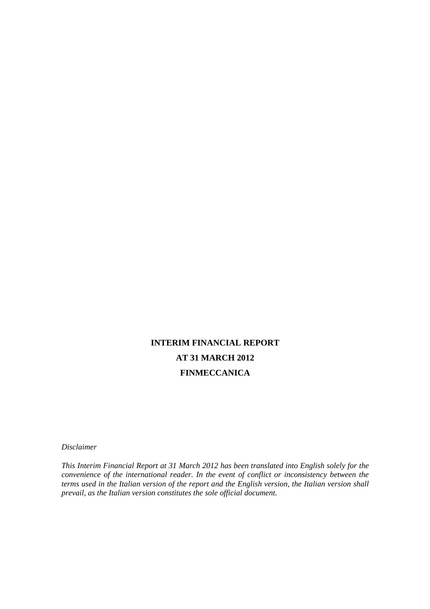# **INTERIM FINANCIAL REPORT AT 31 MARCH 2012 FINMECCANICA**

*Disclaimer* 

*This Interim Financial Report at 31 March 2012 has been translated into English solely for the convenience of the international reader. In the event of conflict or inconsistency between the terms used in the Italian version of the report and the English version, the Italian version shall prevail, as the Italian version constitutes the sole official document.*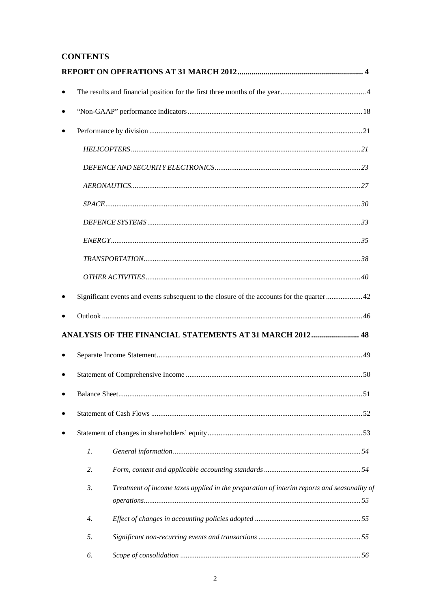# **CONTENTS**

| $\bullet$ |                  |                                                                                             |  |
|-----------|------------------|---------------------------------------------------------------------------------------------|--|
|           |                  |                                                                                             |  |
|           |                  |                                                                                             |  |
|           |                  |                                                                                             |  |
|           |                  |                                                                                             |  |
|           |                  |                                                                                             |  |
|           |                  |                                                                                             |  |
|           |                  |                                                                                             |  |
|           |                  |                                                                                             |  |
|           |                  |                                                                                             |  |
|           |                  |                                                                                             |  |
|           |                  | Significant events and events subsequent to the closure of the accounts for the quarter  42 |  |
|           |                  |                                                                                             |  |
|           |                  | ANALYSIS OF THE FINANCIAL STATEMENTS AT 31 MARCH 2012 48                                    |  |
|           |                  |                                                                                             |  |
|           |                  |                                                                                             |  |
|           |                  |                                                                                             |  |
|           |                  |                                                                                             |  |
|           |                  |                                                                                             |  |
|           |                  |                                                                                             |  |
|           | $\mathfrak{1}.$  |                                                                                             |  |
|           | 2.               |                                                                                             |  |
|           | $\mathfrak{Z}$ . | Treatment of income taxes applied in the preparation of interim reports and seasonality of  |  |
|           | 4.               |                                                                                             |  |
|           | 5.               |                                                                                             |  |
|           | 6.               |                                                                                             |  |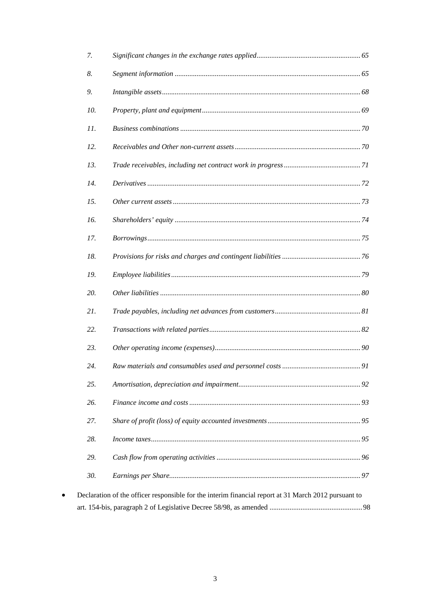| 7.  |                                                                                                      |  |
|-----|------------------------------------------------------------------------------------------------------|--|
| 8.  |                                                                                                      |  |
| 9.  |                                                                                                      |  |
| 10. |                                                                                                      |  |
| 11. |                                                                                                      |  |
| 12. |                                                                                                      |  |
| 13. |                                                                                                      |  |
| 14. |                                                                                                      |  |
| 15. |                                                                                                      |  |
| 16. |                                                                                                      |  |
| 17. |                                                                                                      |  |
| 18. |                                                                                                      |  |
| 19. |                                                                                                      |  |
| 20. |                                                                                                      |  |
| 21. |                                                                                                      |  |
| 22. |                                                                                                      |  |
| 23. |                                                                                                      |  |
| 24. |                                                                                                      |  |
| 25. |                                                                                                      |  |
| 26. |                                                                                                      |  |
| 27. |                                                                                                      |  |
| 28. |                                                                                                      |  |
| 29. |                                                                                                      |  |
| 30. |                                                                                                      |  |
|     | Declaration of the officer responsible for the interim financial report at 31 March 2012 pursuant to |  |
|     |                                                                                                      |  |

 $\bullet$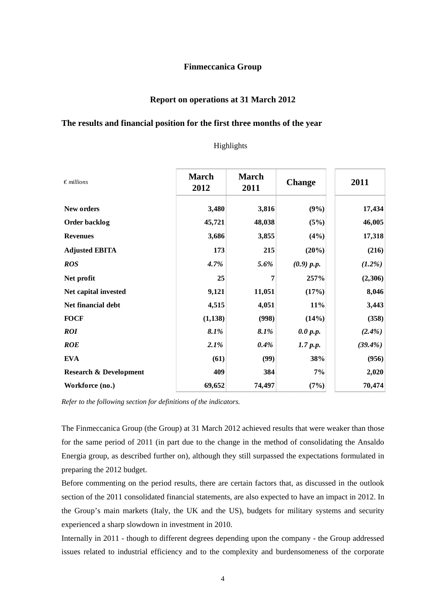### **Finmeccanica Group**

## **Report on operations at 31 March 2012**

### **The results and financial position for the first three months of the year**

| $\epsilon$ millions               | <b>March</b><br>2012 | <b>March</b><br>2011 | <b>Change</b> | 2011      |
|-----------------------------------|----------------------|----------------------|---------------|-----------|
| New orders                        | 3,480                | 3,816                | (9%)          | 17,434    |
| Order backlog                     | 45,721               | 48,038               | (5%)          | 46,005    |
| <b>Revenues</b>                   | 3,686                | 3,855                | (4%)          | 17,318    |
| <b>Adjusted EBITA</b>             | 173                  | 215                  | (20%)         | (216)     |
| <b>ROS</b>                        | 4.7%                 | 5.6%                 | (0.9) p.p.    | $(1.2\%)$ |
| Net profit                        | 25                   | 7                    | 257%          | (2,306)   |
| Net capital invested              | 9,121                | 11,051               | (17%)         | 8,046     |
| Net financial debt                | 4,515                | 4,051                | 11%           | 3,443     |
| <b>FOCF</b>                       | (1, 138)             | (998)                | (14%)         | (358)     |
| <b>ROI</b>                        | 8.1%                 | 8.1%                 | 0.0 p.p.      | $(2.4\%)$ |
| <b>ROE</b>                        | 2.1%                 | 0.4%                 | 1.7 p.p.      | (39.4%)   |
| <b>EVA</b>                        | (61)                 | (99)                 | 38%           | (956)     |
| <b>Research &amp; Development</b> | 409                  | 384                  | 7%            | 2,020     |
| Workforce (no.)                   | 69,652               | 74,497               | (7%)          | 70,474    |

# Highlights

*Refer to the following section for definitions of the indicators.* 

The Finmeccanica Group (the Group) at 31 March 2012 achieved results that were weaker than those for the same period of 2011 (in part due to the change in the method of consolidating the Ansaldo Energia group, as described further on), although they still surpassed the expectations formulated in preparing the 2012 budget.

Before commenting on the period results, there are certain factors that, as discussed in the outlook section of the 2011 consolidated financial statements, are also expected to have an impact in 2012. In the Group's main markets (Italy, the UK and the US), budgets for military systems and security experienced a sharp slowdown in investment in 2010.

Internally in 2011 - though to different degrees depending upon the company - the Group addressed issues related to industrial efficiency and to the complexity and burdensomeness of the corporate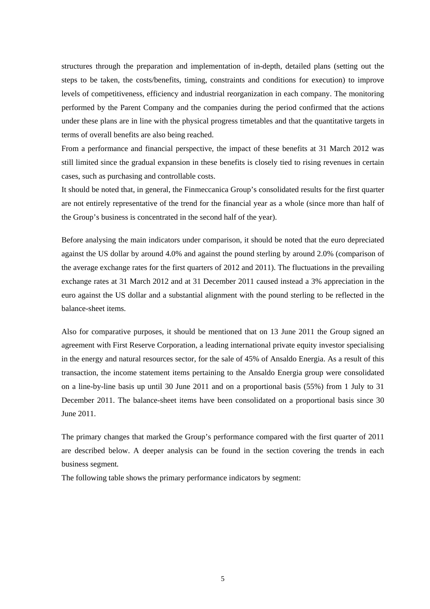structures through the preparation and implementation of in-depth, detailed plans (setting out the steps to be taken, the costs/benefits, timing, constraints and conditions for execution) to improve levels of competitiveness, efficiency and industrial reorganization in each company. The monitoring performed by the Parent Company and the companies during the period confirmed that the actions under these plans are in line with the physical progress timetables and that the quantitative targets in terms of overall benefits are also being reached.

From a performance and financial perspective, the impact of these benefits at 31 March 2012 was still limited since the gradual expansion in these benefits is closely tied to rising revenues in certain cases, such as purchasing and controllable costs.

It should be noted that, in general, the Finmeccanica Group's consolidated results for the first quarter are not entirely representative of the trend for the financial year as a whole (since more than half of the Group's business is concentrated in the second half of the year).

Before analysing the main indicators under comparison, it should be noted that the euro depreciated against the US dollar by around 4.0% and against the pound sterling by around 2.0% (comparison of the average exchange rates for the first quarters of 2012 and 2011). The fluctuations in the prevailing exchange rates at 31 March 2012 and at 31 December 2011 caused instead a 3% appreciation in the euro against the US dollar and a substantial alignment with the pound sterling to be reflected in the balance-sheet items.

Also for comparative purposes, it should be mentioned that on 13 June 2011 the Group signed an agreement with First Reserve Corporation, a leading international private equity investor specialising in the energy and natural resources sector, for the sale of 45% of Ansaldo Energia. As a result of this transaction, the income statement items pertaining to the Ansaldo Energia group were consolidated on a line-by-line basis up until 30 June 2011 and on a proportional basis (55%) from 1 July to 31 December 2011. The balance-sheet items have been consolidated on a proportional basis since 30 June 2011.

The primary changes that marked the Group's performance compared with the first quarter of 2011 are described below. A deeper analysis can be found in the section covering the trends in each business segment*.*

The following table shows the primary performance indicators by segment: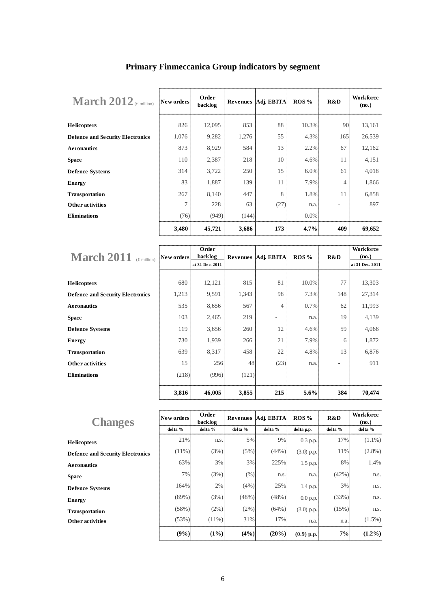| March $2012$ (Emillion)                 | New orders | Order<br>backlog | Revenues | Adj. EBITA | $ROS\%$ | R&D            | <b>Workforce</b><br>(no.) |
|-----------------------------------------|------------|------------------|----------|------------|---------|----------------|---------------------------|
| <b>Helicopters</b>                      | 826        | 12,095           | 853      | 88         | 10.3%   | 90             | 13,161                    |
| <b>Defence and Security Electronics</b> | 1,076      | 9,282            | 1,276    | 55         | 4.3%    | 165            | 26,539                    |
| <b>Aeronautics</b>                      | 873        | 8,929            | 584      | 13         | 2.2%    | 67             | 12,162                    |
| <b>Space</b>                            | 110        | 2,387            | 218      | 10         | 4.6%    | 11             | 4,151                     |
| <b>Defence Systems</b>                  | 314        | 3,722            | 250      | 15         | 6.0%    | 61             | 4,018                     |
| Energy                                  | 83         | 1,887            | 139      | 11         | 7.9%    | $\overline{4}$ | 1,866                     |
| <b>Transportation</b>                   | 267        | 8,140            | 447      | 8          | 1.8%    | 11             | 6,858                     |
| Other activities                        | 7          | 228              | 63       | (27)       | n.a.    |                | 897                       |
| <b>Eliminations</b>                     | (76)       | (949)            | (144)    |            | $0.0\%$ |                |                           |
|                                         | 3,480      | 45,721           | 3,686    | 173        | 4.7%    | 409            | 69,652                    |

# **Primary Finmeccanica Group indicators by segment**

|                                         |            | Order           |          | Adj. EBITA | ROS % | R&D | <b>Workforce</b> |
|-----------------------------------------|------------|-----------------|----------|------------|-------|-----|------------------|
| <b>March 2011</b> $\epsilon$ million)   | New orders | backlog         | Revenues |            |       |     | (no.)            |
|                                         |            | at 31 Dec. 2011 |          |            |       |     | at 31 Dec. 2011  |
|                                         |            |                 |          |            |       |     |                  |
| Helicopters                             | 680        | 12,121          | 815      | 81         | 10.0% | 77  | 13,303           |
| <b>Defence and Security Electronics</b> | 1,213      | 9,591           | 1,343    | 98         | 7.3%  | 148 | 27,314           |
| <b>Aeronautics</b>                      | 535        | 8,656           | 567      | 4          | 0.7%  | 62  | 11,993           |
| Space                                   | 103        | 2,465           | 219      | -          | n.a.  | 19  | 4,139            |
| Defence Systems                         | 119        | 3,656           | 260      | 12         | 4.6%  | 59  | 4,066            |
| Energy                                  | 730        | 1,939           | 266      | 21         | 7.9%  | 6   | 1,872            |
| <b>Transportation</b>                   | 639        | 8,317           | 458      | 22         | 4.8%  | 13  | 6,876            |
| Other activities                        | 15         | 256             | 48       | (23)       | n.a.  |     | 911              |
| <b>Eliminations</b>                     | (218)      | (996)           | (121)    |            |       |     |                  |
|                                         | 3,816      | 46,005          | 3,855    | 215        | 5.6%  | 384 | 70,474           |

| <b>Changes</b>                          | New orders | Order<br>backlog | Revenues | Adj. EBITA | $ROS\%$      | R&D     | <b>Workforce</b><br>(no.) |
|-----------------------------------------|------------|------------------|----------|------------|--------------|---------|---------------------------|
|                                         | delta %    | delta %          | delta %  | delta %    | delta p.p.   | delta % | delta %                   |
| <b>Helicopters</b>                      | 21%        | n.s.             | 5%       | 9%         | $0.3$ p.p.   | 17%     | $(1.1\%)$                 |
| <b>Defence and Security Electronics</b> | $(11\%)$   | (3%)             | $(5\%)$  | (44%)      | $(3.0)$ p.p. | 11%     | $(2.8\%)$                 |
| <b>Aeronautics</b>                      | 63%        | 3%               | 3%       | 225%       | 1.5 p.p.     | 8%      | 1.4%                      |
| <b>Space</b>                            | 7%         | (3%)             | (% )     | n.s.       | n.a.         | (42%)   | n.s.                      |
| <b>Defence Systems</b>                  | 164%       | 2%               | $(4\%)$  | 25%        | 1.4 p.p.     | 3%      | n.s.                      |
| Energy                                  | (89%)      | (3%)             | $(48\%)$ | (48%)      | 0.0 p.p.     | (33%)   | n.s.                      |
| <b>Transportation</b>                   | (58%)      | $(2\%)$          | $(2\%)$  | (64%)      | $(3.0)$ p.p. | (15%)   | n.s.                      |
| Other activities                        | (53%)      | $(11\%)$         | 31%      | 17%        | n.a.         | n.a.    | $(1.5\%)$                 |
|                                         | (9%)       | $(1\%)$          | $(4\%)$  | $(20\%)$   | $(0.9)$ p.p. | 7%      | $(1.2\%)$                 |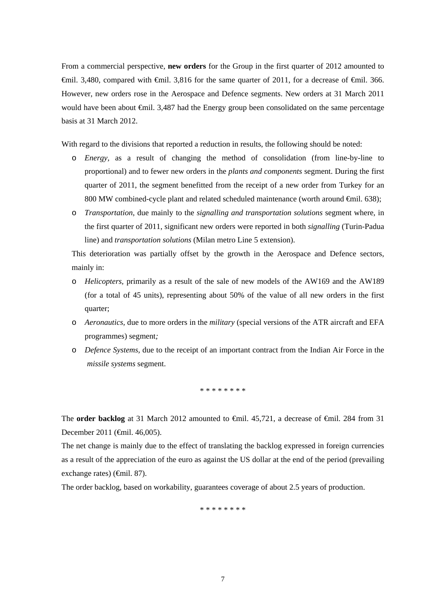From a commercial perspective, **new orders** for the Group in the first quarter of 2012 amounted to  $\hat{\text{F}}$ mil. 3,480, compared with  $\hat{\text{F}}$ mil. 3,816 for the same quarter of 2011, for a decrease of  $\hat{\text{F}}$ mil. 366. However, new orders rose in the Aerospace and Defence segments. New orders at 31 March 2011 would have been about €mil. 3,487 had the Energy group been consolidated on the same percentage basis at 31 March 2012.

With regard to the divisions that reported a reduction in results, the following should be noted:

- o *Energy,* as a result of changing the method of consolidation (from line-by-line to proportional) and to fewer new orders in the *plants and components* segment. During the first quarter of 2011, the segment benefitted from the receipt of a new order from Turkey for an 800 MW combined-cycle plant and related scheduled maintenance (worth around  $\epsilon$ mil. 638);
- o *Transportation*, due mainly to the *signalling and transportation solutions* segment where, in the first quarter of 2011, significant new orders were reported in both *signalling* (Turin-Padua line) and *transportation solutions* (Milan metro Line 5 extension).

This deterioration was partially offset by the growth in the Aerospace and Defence sectors, mainly in:

- o *Helicopters,* primarily as a result of the sale of new models of the AW169 and the AW189 (for a total of 45 units), representing about 50% of the value of all new orders in the first quarter;
- o *Aeronautics,* due to more orders in the *military* (special versions of the ATR aircraft and EFA programmes) segment*;*
- o *Defence Systems,* due to the receipt of an important contract from the Indian Air Force in the *missile systems* segment.

\* \* \* \* \* \* \* \*

The **order backlog** at 31 March 2012 amounted to  $\oplus$ mil. 45,721, a decrease of  $\oplus$ mil. 284 from 31 December 2011 (€mil. 46,005).

The net change is mainly due to the effect of translating the backlog expressed in foreign currencies as a result of the appreciation of the euro as against the US dollar at the end of the period (prevailing exchange rates) (€mil. 87).

The order backlog, based on workability, guarantees coverage of about 2.5 years of production.

\* \* \* \* \* \* \* \*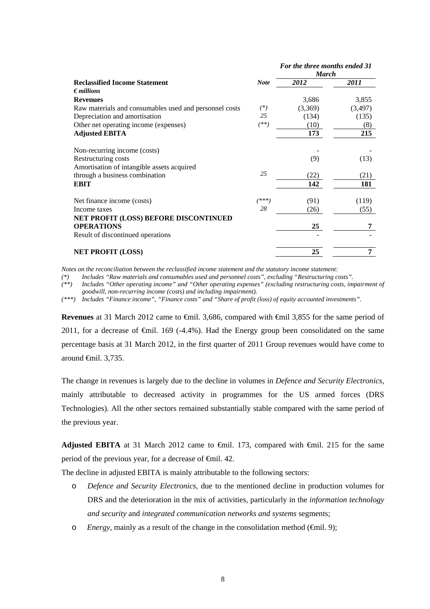|                                                                 | For the three months ended 31<br><b>March</b> |         |
|-----------------------------------------------------------------|-----------------------------------------------|---------|
| <b>Reclassified Income Statement</b><br><b>Note</b>             | 2012                                          | 2011    |
| $\epsilon$ <i>millions</i>                                      |                                               |         |
| <b>Revenues</b>                                                 | 3,686                                         | 3,855   |
| Raw materials and consumables used and personnel costs<br>$(*)$ | (3,369)                                       | (3,497) |
| 25<br>Depreciation and amortisation                             | (134)                                         | (135)   |
| $(**)$<br>Other net operating income (expenses)                 | (10)                                          | (8)     |
| <b>Adjusted EBITA</b>                                           | 173                                           | 215     |
| Non-recurring income (costs)                                    |                                               |         |
| Restructuring costs                                             | (9)                                           | (13)    |
| Amortisation of intangible assets acquired                      |                                               |         |
| 25<br>through a business combination                            | (22)                                          | (21)    |
| <b>EBIT</b>                                                     | 142                                           | 181     |
| /米米米)<br>Net finance income (costs)                             | (91)                                          | (119)   |
| 28<br>Income taxes                                              | (26)                                          | (55)    |
| NET PROFIT (LOSS) BEFORE DISCONTINUED                           |                                               |         |
| <b>OPERATIONS</b>                                               | 25                                            | 7       |
| Result of discontinued operations                               |                                               |         |
| <b>NET PROFIT (LOSS)</b>                                        | 25                                            | 7       |

*Notes on the reconciliation between the reclassified income statement and the statutory income statement:* 

*(\*) Includes "Raw materials and consumables used and personnel costs", excluding "Restructuring costs".* 

*(\*\*) Includes "Other operating income" and "Other operating expenses" (excluding restructuring costs, impairment of goodwill, non-recurring income (costs) and including impairment).* 

*(\*\*\*) Includes "Finance income", "Finance costs" and "Share of profit (loss) of equity accounted investments".* 

**Revenues** at 31 March 2012 came to €mil. 3,686, compared with €mil 3,855 for the same period of 2011, for a decrease of €mil. 169 (-4.4%). Had the Energy group been consolidated on the same percentage basis at 31 March 2012, in the first quarter of 2011 Group revenues would have come to around €mil. 3,735.

The change in revenues is largely due to the decline in volumes in *Defence and Security Electronics,*  mainly attributable to decreased activity in programmes for the US armed forces (DRS Technologies). All the other sectors remained substantially stable compared with the same period of the previous year.

**Adjusted EBITA** at 31 March 2012 came to  $\oplus$  inil. 173, compared with  $\oplus$  inil. 215 for the same period of the previous year, for a decrease of <del>€mil</del>. 42.

The decline in adjusted EBITA is mainly attributable to the following sectors:

- o *Defence and Security Electronics*, due to the mentioned decline in production volumes for DRS and the deterioration in the mix of activities, particularly in the *information technology and security* and *integrated communication networks and systems* segments;
- o *Energy*, mainly as a result of the change in the consolidation method ( $\epsilon$ mil. 9);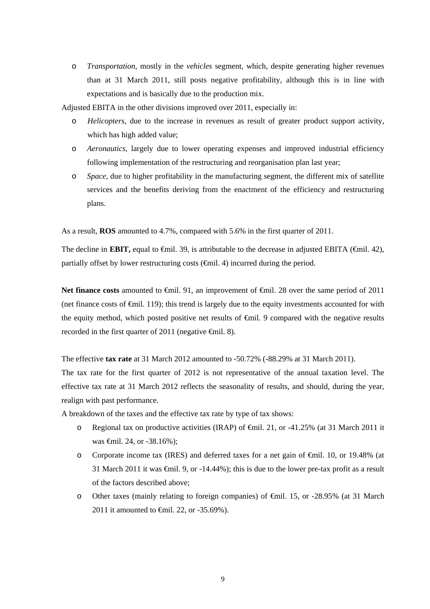o *Transportation,* mostly in the *vehicles* segment, which, despite generating higher revenues than at 31 March 2011, still posts negative profitability, although this is in line with expectations and is basically due to the production mix.

Adjusted EBITA in the other divisions improved over 2011, especially in:

- o *Helicopters*, due to the increase in revenues as result of greater product support activity, which has high added value;
- o *Aeronautics,* largely due to lower operating expenses and improved industrial efficiency following implementation of the restructuring and reorganisation plan last year;
- o *Space*, due to higher profitability in the manufacturing segment, the different mix of satellite services and the benefits deriving from the enactment of the efficiency and restructuring plans.

As a result, **ROS** amounted to 4.7%, compared with 5.6% in the first quarter of 2011.

The decline in **EBIT**, equal to €mil. 39, is attributable to the decrease in adjusted EBITA (€mil. 42), partially offset by lower restructuring costs  $(\theta$ mil. 4) incurred during the period.

**Net finance costs** amounted to **∈mil.** 91, an improvement of ∈mil. 28 over the same period of 2011 (net finance costs of €mil. 119); this trend is largely due to the equity investments accounted for with the equity method, which posted positive net results of €mil. 9 compared with the negative results recorded in the first quarter of 2011 (negative  $\epsilon$ mil. 8).

The effective **tax rate** at 31 March 2012 amounted to -50.72% (-88.29% at 31 March 2011).

The tax rate for the first quarter of 2012 is not representative of the annual taxation level. The effective tax rate at 31 March 2012 reflects the seasonality of results, and should, during the year, realign with past performance.

A breakdown of the taxes and the effective tax rate by type of tax shows:

- o Regional tax on productive activities (IRAP) of  $\epsilon$ mil. 21, or -41.25% (at 31 March 2011 it was €mil. 24, or -38.16%);
- o Corporate income tax (IRES) and deferred taxes for a net gain of €mil. 10, or 19.48% (at 31 March 2011 it was €mil. 9, or -14.44%); this is due to the lower pre-tax profit as a result of the factors described above;
- o Other taxes (mainly relating to foreign companies) of €mil. 15, or -28.95% (at 31 March 2011 it amounted to €mil. 22, or -35.69%).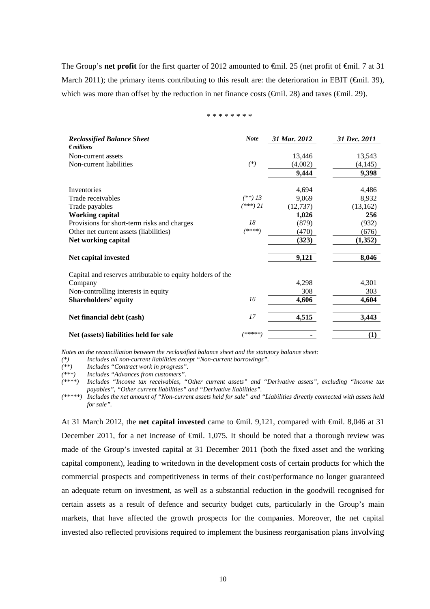The Group's **net profit** for the first quarter of 2012 amounted to  $\widehat{\text{f}}$ mil. 25 (net profit of  $\widehat{\text{f}}$ mil. 7 at 31 March 2011); the primary items contributing to this result are: the deterioration in EBIT ( $\epsilon$ mil. 39), which was more than offset by the reduction in net finance costs ( $\widehat{\mathbf{f}}$ mil. 28) and taxes ( $\widehat{\mathbf{f}}$ mil. 29).

<sup>\* \* \* \* \* \* \* \*</sup> 

| <b>Reclassified Balance Sheet</b><br>$\epsilon$ <i>millions</i> | <b>Note</b> | 31 Mar. 2012 | 31 Dec. 2011 |
|-----------------------------------------------------------------|-------------|--------------|--------------|
| Non-current assets                                              |             | 13,446       | 13,543       |
| Non-current liabilities                                         | $(*)$       | (4,002)      | (4,145)      |
|                                                                 |             | 9,444        | 9,398        |
|                                                                 |             |              |              |
| Inventories                                                     |             | 4,694        | 4,486        |
| Trade receivables                                               | $(**)$ 13   | 9,069        | 8,932        |
| Trade payables                                                  | $(***)$ 21  | (12, 737)    | (13, 162)    |
| <b>Working capital</b>                                          |             | 1,026        | 256          |
| Provisions for short-term risks and charges                     | 18          | (879)        | (932)        |
| Other net current assets (liabilities)                          | (****)      | (470)        | (676)        |
| Net working capital                                             |             | (323)        | (1,352)      |
| Net capital invested                                            |             | 9,121        | 8,046        |
| Capital and reserves attributable to equity holders of the      |             |              |              |
| Company                                                         |             | 4,298        | 4,301        |
| Non-controlling interests in equity                             |             | 308          | 303          |
| <b>Shareholders' equity</b>                                     | 16          | 4,606        | 4,604        |
| Net financial debt (cash)                                       | 17          | 4,515        | 3,443        |
| Net (assets) liabilities held for sale                          | *****       |              | (1)          |

*Notes on the reconciliation between the reclassified balance sheet and the statutory balance sheet:* 

*(\*) Includes all non-current liabilities except "Non-current borrowings".* 

*(\*\*) Includes "Contract work in progress".* 

*(\*\*\*) Includes "Advances from customers".* 

*(\*\*\*\*) Includes "Income tax receivables, "Other current assets" and "Derivative assets", excluding "Income tax payables", "Other current liabilities" and "Derivative liabilities".* 

*(\*\*\*\*\*) Includes the net amount of "Non-current assets held for sale" and "Liabilities directly connected with assets held for sale".* 

At 31 March 2012, the **net capital invested** came to €mil. 9,121, compared with €mil. 8,046 at 31 December 2011, for a net increase of €mil. 1,075. It should be noted that a thorough review was made of the Group's invested capital at 31 December 2011 (both the fixed asset and the working capital component), leading to writedown in the development costs of certain products for which the commercial prospects and competitiveness in terms of their cost/performance no longer guaranteed an adequate return on investment, as well as a substantial reduction in the goodwill recognised for certain assets as a result of defence and security budget cuts, particularly in the Group's main markets, that have affected the growth prospects for the companies. Moreover, the net capital invested also reflected provisions required to implement the business reorganisation plans involving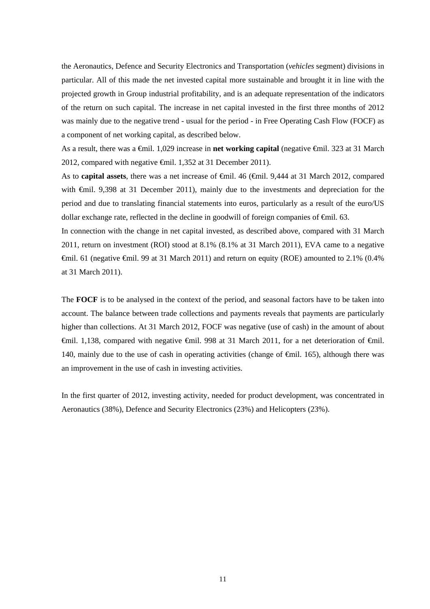the Aeronautics, Defence and Security Electronics and Transportation (*vehicles* segment) divisions in particular. All of this made the net invested capital more sustainable and brought it in line with the projected growth in Group industrial profitability, and is an adequate representation of the indicators of the return on such capital. The increase in net capital invested in the first three months of 2012 was mainly due to the negative trend - usual for the period - in Free Operating Cash Flow (FOCF) as a component of net working capital, as described below.

As a result, there was a €mil. 1,029 increase in **net working capital** (negative €mil. 323 at 31 March 2012, compared with negative €mil. 1,352 at 31 December 2011).

As to **capital assets**, there was a net increase of €mil. 46 (€mil. 9,444 at 31 March 2012, compared with €mil. 9,398 at 31 December 2011), mainly due to the investments and depreciation for the period and due to translating financial statements into euros, particularly as a result of the euro/US dollar exchange rate, reflected in the decline in goodwill of foreign companies of  $\epsilon$ mil. 63.

In connection with the change in net capital invested, as described above, compared with 31 March 2011, return on investment (ROI) stood at 8.1% (8.1% at 31 March 2011), EVA came to a negative €mil. 61 (negative €mil. 99 at 31 March 2011) and return on equity (ROE) amounted to 2.1% (0.4% at 31 March 2011).

The **FOCF** is to be analysed in the context of the period, and seasonal factors have to be taken into account. The balance between trade collections and payments reveals that payments are particularly higher than collections. At 31 March 2012, FOCF was negative (use of cash) in the amount of about €mil. 1,138, compared with negative €mil. 998 at 31 March 2011, for a net deterioration of €mil. 140, mainly due to the use of cash in operating activities (change of €mil. 165), although there was an improvement in the use of cash in investing activities.

In the first quarter of 2012, investing activity, needed for product development, was concentrated in Aeronautics (38%), Defence and Security Electronics (23%) and Helicopters (23%).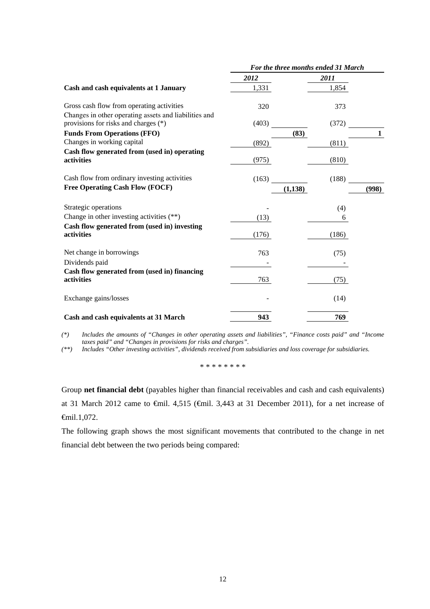|                                                                                               | For the three months ended 31 March |          |              |  |  |
|-----------------------------------------------------------------------------------------------|-------------------------------------|----------|--------------|--|--|
|                                                                                               | 2012                                | 2011     |              |  |  |
| Cash and cash equivalents at 1 January                                                        | 1,331                               | 1,854    |              |  |  |
| Gross cash flow from operating activities                                                     | 320                                 | 373      |              |  |  |
| Changes in other operating assets and liabilities and<br>provisions for risks and charges (*) | (403)                               | (372)    |              |  |  |
| <b>Funds From Operations (FFO)</b>                                                            |                                     | (83)     | $\mathbf{1}$ |  |  |
| Changes in working capital                                                                    | (892)                               | (811)    |              |  |  |
| Cash flow generated from (used in) operating                                                  |                                     |          |              |  |  |
| activities                                                                                    | (975)                               | (810)    |              |  |  |
| Cash flow from ordinary investing activities                                                  | (163)                               | (188)    |              |  |  |
| <b>Free Operating Cash Flow (FOCF)</b>                                                        |                                     | (1, 138) | (998)        |  |  |
| Strategic operations                                                                          |                                     | (4)      |              |  |  |
| Change in other investing activities $(**)$                                                   | (13)                                | 6        |              |  |  |
| Cash flow generated from (used in) investing                                                  |                                     |          |              |  |  |
| activities                                                                                    | (176)                               | (186)    |              |  |  |
| Net change in borrowings                                                                      | 763                                 | (75)     |              |  |  |
| Dividends paid                                                                                |                                     |          |              |  |  |
| Cash flow generated from (used in) financing<br>activities                                    | 763                                 | (75)     |              |  |  |
| Exchange gains/losses                                                                         |                                     | (14)     |              |  |  |
| Cash and cash equivalents at 31 March                                                         | 943                                 | 769      |              |  |  |

*(\*) Includes the amounts of "Changes in other operating assets and liabilities", "Finance costs paid" and "Income taxes paid" and "Changes in provisions for risks and charges".* 

*(\*\*) Includes "Other investing activities", dividends received from subsidiaries and loss coverage for subsidiaries.* 

\* \* \* \* \* \* \* \*

Group **net financial debt** (payables higher than financial receivables and cash and cash equivalents) at 31 March 2012 came to €mil. 4,515 (€mil. 3,443 at 31 December 2011), for a net increase of €mil.1,072.

The following graph shows the most significant movements that contributed to the change in net financial debt between the two periods being compared: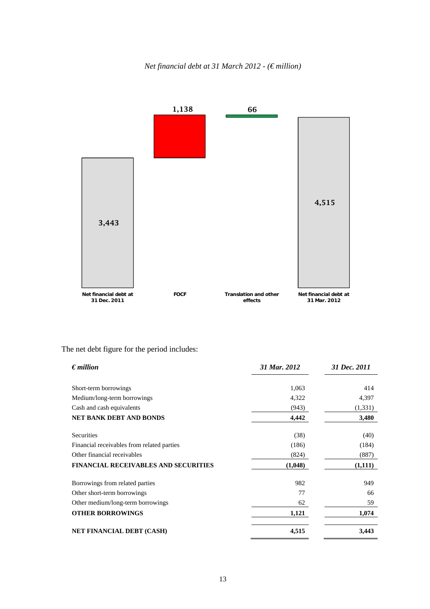



# The net debt figure for the period includes:

| $\epsilon$ <i>million</i>                   | 31 Mar. 2012 | 31 Dec. 2011 |
|---------------------------------------------|--------------|--------------|
| Short-term borrowings                       | 1,063        | 414          |
| Medium/long-term borrowings                 | 4,322        | 4,397        |
| Cash and cash equivalents                   | (943)        | (1, 331)     |
| <b>NET BANK DEBT AND BONDS</b>              | 4,442        | 3,480        |
| <b>Securities</b>                           | (38)         | (40)         |
| Financial receivables from related parties  | (186)        | (184)        |
| Other financial receivables                 | (824)        | (887)        |
| <b>FINANCIAL RECEIVABLES AND SECURITIES</b> | (1,048)      | (1,111)      |
| Borrowings from related parties             | 982          | 949          |
| Other short-term borrowings                 | 77           | 66           |
| Other medium/long-term borrowings           | 62           | 59           |
| <b>OTHER BORROWINGS</b>                     | 1,121        | 1,074        |
| <b>NET FINANCIAL DEBT (CASH)</b>            | 4,515        | 3.443        |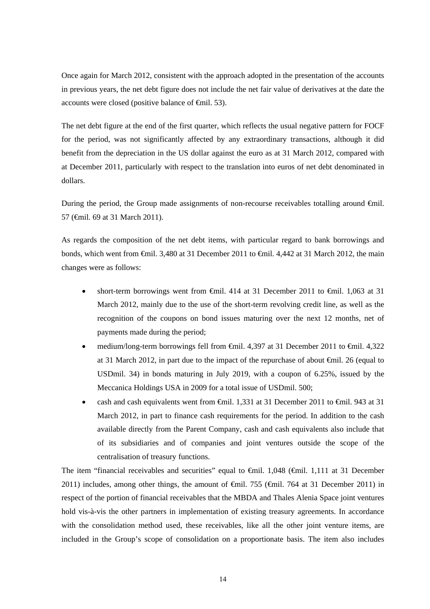Once again for March 2012, consistent with the approach adopted in the presentation of the accounts in previous years, the net debt figure does not include the net fair value of derivatives at the date the accounts were closed (positive balance of  $\epsilon$ mil. 53).

The net debt figure at the end of the first quarter, which reflects the usual negative pattern for FOCF for the period, was not significantly affected by any extraordinary transactions, although it did benefit from the depreciation in the US dollar against the euro as at 31 March 2012, compared with at December 2011, particularly with respect to the translation into euros of net debt denominated in dollars.

During the period, the Group made assignments of non-recourse receivables totalling around €mil. 57 (€mil. 69 at 31 March 2011).

As regards the composition of the net debt items, with particular regard to bank borrowings and bonds, which went from €mil. 3,480 at 31 December 2011 to €mil. 4,442 at 31 March 2012, the main changes were as follows:

- short-term borrowings went from  $\theta$ mil. 414 at 31 December 2011 to  $\theta$ mil. 1,063 at 31 March 2012, mainly due to the use of the short-term revolving credit line, as well as the recognition of the coupons on bond issues maturing over the next 12 months, net of payments made during the period;
- medium/long-term borrowings fell from  $\epsilon$ mil. 4,397 at 31 December 2011 to  $\epsilon$ mil. 4,322 at 31 March 2012, in part due to the impact of the repurchase of about €mil. 26 (equal to USDmil. 34) in bonds maturing in July 2019, with a coupon of 6.25%, issued by the Meccanica Holdings USA in 2009 for a total issue of USDmil. 500;
- cash and cash equivalents went from €mil. 1,331 at 31 December 2011 to €mil. 943 at 31 March 2012, in part to finance cash requirements for the period. In addition to the cash available directly from the Parent Company, cash and cash equivalents also include that of its subsidiaries and of companies and joint ventures outside the scope of the centralisation of treasury functions.

The item "financial receivables and securities" equal to €mil. 1,048 (€mil. 1,111 at 31 December 2011) includes, among other things, the amount of  $\theta$ mil. 755 ( $\theta$ mil. 764 at 31 December 2011) in respect of the portion of financial receivables that the MBDA and Thales Alenia Space joint ventures hold vis-à-vis the other partners in implementation of existing treasury agreements. In accordance with the consolidation method used, these receivables, like all the other joint venture items, are included in the Group's scope of consolidation on a proportionate basis. The item also includes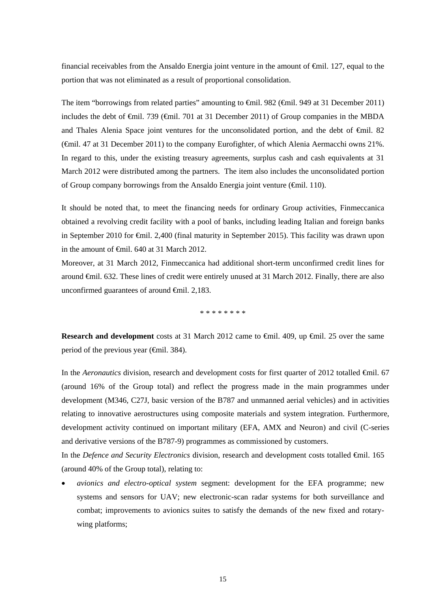financial receivables from the Ansaldo Energia joint venture in the amount of  $\epsilon$ mil. 127, equal to the portion that was not eliminated as a result of proportional consolidation.

The item "borrowings from related parties" amounting to €mil. 982 (€mil. 949 at 31 December 2011) includes the debt of €mil. 739 (€mil. 701 at 31 December 2011) of Group companies in the MBDA and Thales Alenia Space joint ventures for the unconsolidated portion, and the debt of €mil. 82 (€mil. 47 at 31 December 2011) to the company Eurofighter, of which Alenia Aermacchi owns 21%. In regard to this, under the existing treasury agreements, surplus cash and cash equivalents at 31 March 2012 were distributed among the partners. The item also includes the unconsolidated portion of Group company borrowings from the Ansaldo Energia joint venture ( $\epsilon$ mil. 110).

It should be noted that, to meet the financing needs for ordinary Group activities, Finmeccanica obtained a revolving credit facility with a pool of banks, including leading Italian and foreign banks in September 2010 for €mil. 2,400 (final maturity in September 2015). This facility was drawn upon in the amount of €mil. 640 at 31 March 2012.

Moreover, at 31 March 2012, Finmeccanica had additional short-term unconfirmed credit lines for around €mil. 632. These lines of credit were entirely unused at 31 March 2012. Finally, there are also unconfirmed guarantees of around €mil. 2,183.

\* \* \* \* \* \* \* \*

**Research and development** costs at 31 March 2012 came to  $\widehat{\text{f}}$ mil. 409, up  $\widehat{\text{f}}$ mil. 25 over the same period of the previous year (€mil. 384).

In the *Aeronautics* division, research and development costs for first quarter of 2012 totalled €mil. 67 (around 16% of the Group total) and reflect the progress made in the main programmes under development (M346, C27J, basic version of the B787 and unmanned aerial vehicles) and in activities relating to innovative aerostructures using composite materials and system integration. Furthermore, development activity continued on important military (EFA, AMX and Neuron) and civil (C-series and derivative versions of the B787-9) programmes as commissioned by customers.

In the *Defence and Security Electronics* division, research and development costs totalled €mil. 165 (around 40% of the Group total), relating to:

 *avionics and electro-optical system* segment: development for the EFA programme; new systems and sensors for UAV; new electronic-scan radar systems for both surveillance and combat; improvements to avionics suites to satisfy the demands of the new fixed and rotarywing platforms;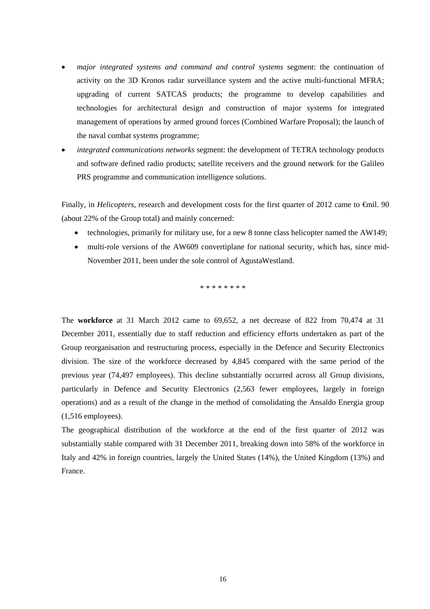- *major integrated systems and command and control systems* segment: the continuation of activity on the 3D Kronos radar surveillance system and the active multi-functional MFRA; upgrading of current SATCAS products; the programme to develop capabilities and technologies for architectural design and construction of major systems for integrated management of operations by armed ground forces (Combined Warfare Proposal); the launch of the naval combat systems programme;
- *integrated communications networks* segment: the development of TETRA technology products and software defined radio products; satellite receivers and the ground network for the Galileo PRS programme and communication intelligence solutions.

Finally, in *Helicopters*, research and development costs for the first quarter of 2012 came to €mil. 90 (about 22% of the Group total) and mainly concerned:

- technologies, primarily for military use, for a new 8 tonne class helicopter named the AW149;
- multi-role versions of the AW609 convertiplane for national security, which has, since mid-November 2011, been under the sole control of AgustaWestland.

\* \* \* \* \* \* \* \*

The **workforce** at 31 March 2012 came to 69,652, a net decrease of 822 from 70,474 at 31 December 2011, essentially due to staff reduction and efficiency efforts undertaken as part of the Group reorganisation and restructuring process, especially in the Defence and Security Electronics division. The size of the workforce decreased by 4,845 compared with the same period of the previous year (74,497 employees). This decline substantially occurred across all Group divisions, particularly in Defence and Security Electronics (2,563 fewer employees, largely in foreign operations) and as a result of the change in the method of consolidating the Ansaldo Energia group (1,516 employees).

The geographical distribution of the workforce at the end of the first quarter of 2012 was substantially stable compared with 31 December 2011, breaking down into 58% of the workforce in Italy and 42% in foreign countries, largely the United States (14%), the United Kingdom (13%) and France.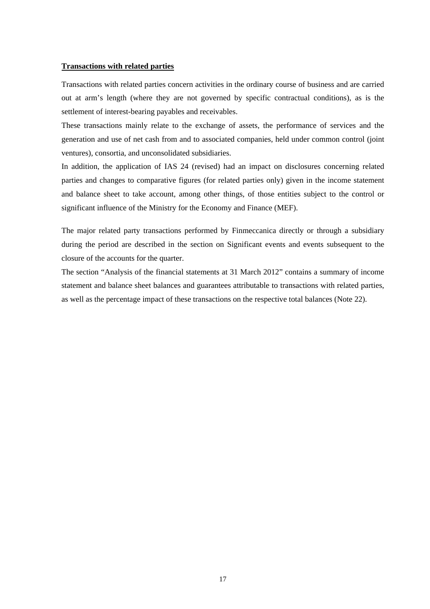#### **Transactions with related parties**

Transactions with related parties concern activities in the ordinary course of business and are carried out at arm's length (where they are not governed by specific contractual conditions), as is the settlement of interest-bearing payables and receivables.

These transactions mainly relate to the exchange of assets, the performance of services and the generation and use of net cash from and to associated companies, held under common control (joint ventures), consortia, and unconsolidated subsidiaries.

In addition, the application of IAS 24 (revised) had an impact on disclosures concerning related parties and changes to comparative figures (for related parties only) given in the income statement and balance sheet to take account, among other things, of those entities subject to the control or significant influence of the Ministry for the Economy and Finance (MEF).

The major related party transactions performed by Finmeccanica directly or through a subsidiary during the period are described in the section on Significant events and events subsequent to the closure of the accounts for the quarter.

The section "Analysis of the financial statements at 31 March 2012" contains a summary of income statement and balance sheet balances and guarantees attributable to transactions with related parties, as well as the percentage impact of these transactions on the respective total balances (Note 22).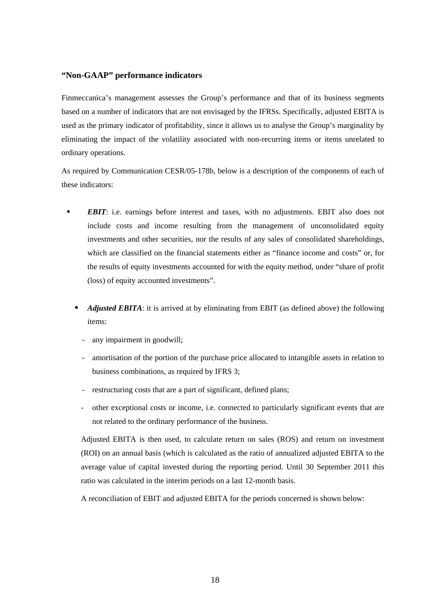### **"Non-GAAP" performance indicators**

Finmeccanica's management assesses the Group's performance and that of its business segments based on a number of indicators that are not envisaged by the IFRSs. Specifically, adjusted EBITA is used as the primary indicator of profitability, since it allows us to analyse the Group's marginality by eliminating the impact of the volatility associated with non-recurring items or items unrelated to ordinary operations.

As required by Communication CESR/05-178b, below is a description of the components of each of these indicators:

- *EBIT*: i.e. earnings before interest and taxes, with no adjustments. EBIT also does not include costs and income resulting from the management of unconsolidated equity investments and other securities, nor the results of any sales of consolidated shareholdings, which are classified on the financial statements either as "finance income and costs" or, for the results of equity investments accounted for with the equity method, under "share of profit (loss) of equity accounted investments".
	- **Adjusted EBITA:** it is arrived at by eliminating from EBIT (as defined above) the following items:
		- any impairment in goodwill;
		- amortisation of the portion of the purchase price allocated to intangible assets in relation to business combinations, as required by IFRS 3;
		- restructuring costs that are a part of significant, defined plans;
		- other exceptional costs or income, i.e. connected to particularly significant events that are not related to the ordinary performance of the business.

Adjusted EBITA is then used, to calculate return on sales (ROS) and return on investment (ROI) on an annual basis (which is calculated as the ratio of annualized adjusted EBITA to the average value of capital invested during the reporting period. Until 30 September 2011 this ratio was calculated in the interim periods on a last 12-month basis.

A reconciliation of EBIT and adjusted EBITA for the periods concerned is shown below: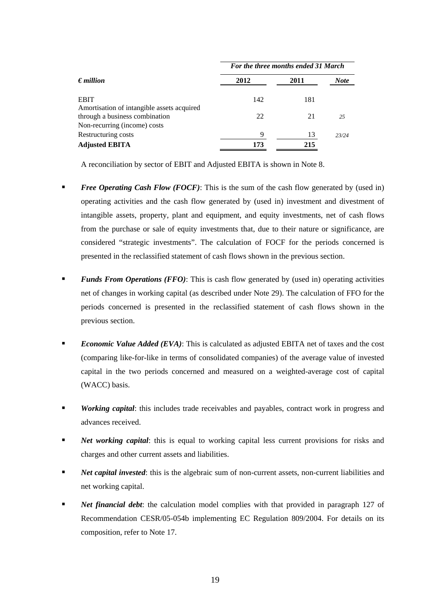|                                                                              | For the three months ended 31 March |      |       |  |  |
|------------------------------------------------------------------------------|-------------------------------------|------|-------|--|--|
| $\epsilon$ <i>million</i>                                                    | 2012                                | 2011 | Note  |  |  |
| <b>EBIT</b>                                                                  | 142                                 | 181  |       |  |  |
| Amortisation of intangible assets acquired<br>through a business combination | 22                                  | 21   | 25    |  |  |
| Non-recurring (income) costs                                                 |                                     |      |       |  |  |
| Restructuring costs                                                          | 9                                   | 13   | 23/24 |  |  |
| <b>Adjusted EBITA</b>                                                        | 173                                 | 215  |       |  |  |

A reconciliation by sector of EBIT and Adjusted EBITA is shown in Note 8.

- *Free Operating Cash Flow (FOCF)*: This is the sum of the cash flow generated by (used in) operating activities and the cash flow generated by (used in) investment and divestment of intangible assets, property, plant and equipment, and equity investments, net of cash flows from the purchase or sale of equity investments that, due to their nature or significance, are considered "strategic investments". The calculation of FOCF for the periods concerned is presented in the reclassified statement of cash flows shown in the previous section.
- *Funds From Operations (FFO)*: This is cash flow generated by (used in) operating activities net of changes in working capital (as described under Note 29). The calculation of FFO for the periods concerned is presented in the reclassified statement of cash flows shown in the previous section.
- *Economic Value Added (EVA)*: This is calculated as adjusted EBITA net of taxes and the cost (comparing like-for-like in terms of consolidated companies) of the average value of invested capital in the two periods concerned and measured on a weighted-average cost of capital (WACC) basis.
- **Working capital:** this includes trade receivables and payables, contract work in progress and advances received.
- **Net working capital:** this is equal to working capital less current provisions for risks and charges and other current assets and liabilities.
- *Net capital invested*: this is the algebraic sum of non-current assets, non-current liabilities and net working capital.
- *Net financial debt*: the calculation model complies with that provided in paragraph 127 of Recommendation CESR/05-054b implementing EC Regulation 809/2004. For details on its composition, refer to Note 17.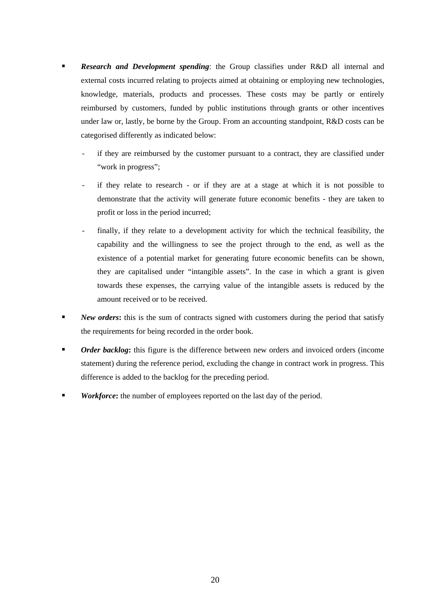- *Research and Development spending*: the Group classifies under R&D all internal and external costs incurred relating to projects aimed at obtaining or employing new technologies, knowledge, materials, products and processes. These costs may be partly or entirely reimbursed by customers, funded by public institutions through grants or other incentives under law or, lastly, be borne by the Group. From an accounting standpoint, R&D costs can be categorised differently as indicated below:
	- if they are reimbursed by the customer pursuant to a contract, they are classified under "work in progress";
	- if they relate to research or if they are at a stage at which it is not possible to demonstrate that the activity will generate future economic benefits - they are taken to profit or loss in the period incurred;
	- finally, if they relate to a development activity for which the technical feasibility, the capability and the willingness to see the project through to the end, as well as the existence of a potential market for generating future economic benefits can be shown, they are capitalised under "intangible assets". In the case in which a grant is given towards these expenses, the carrying value of the intangible assets is reduced by the amount received or to be received.
- **New orders:** this is the sum of contracts signed with customers during the period that satisfy the requirements for being recorded in the order book.
- *Order backlog*: this figure is the difference between new orders and invoiced orders (income statement) during the reference period, excluding the change in contract work in progress. This difference is added to the backlog for the preceding period.
- *Workforce***:** the number of employees reported on the last day of the period.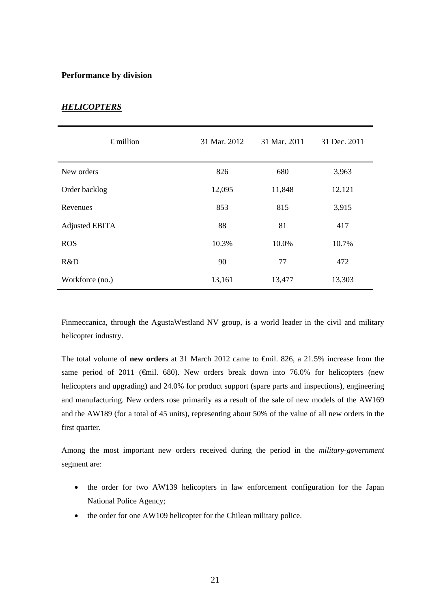### **Performance by division**

| <b>HELICOPTERS</b> |  |  |
|--------------------|--|--|
|                    |  |  |

| $\epsilon$ million    | 31 Mar. 2012 | 31 Mar. 2011 | 31 Dec. 2011 |
|-----------------------|--------------|--------------|--------------|
| New orders            | 826          | 680          | 3,963        |
| Order backlog         | 12,095       | 11,848       | 12,121       |
| Revenues              | 853          | 815          | 3,915        |
| <b>Adjusted EBITA</b> | 88           | 81           | 417          |
| <b>ROS</b>            | 10.3%        | 10.0%        | 10.7%        |
| R&D                   | 90           | 77           | 472          |
| Workforce (no.)       | 13,161       | 13,477       | 13,303       |

Finmeccanica, through the AgustaWestland NV group, is a world leader in the civil and military helicopter industry.

The total volume of **new orders** at 31 March 2012 came to €mil. 826, a 21.5% increase from the same period of 2011 ( $\epsilon$ mil. 680). New orders break down into 76.0% for helicopters (new helicopters and upgrading) and 24.0% for product support (spare parts and inspections), engineering and manufacturing. New orders rose primarily as a result of the sale of new models of the AW169 and the AW189 (for a total of 45 units), representing about 50% of the value of all new orders in the first quarter.

Among the most important new orders received during the period in the *military-government* segment are:

- the order for two AW139 helicopters in law enforcement configuration for the Japan National Police Agency;
- the order for one AW109 helicopter for the Chilean military police.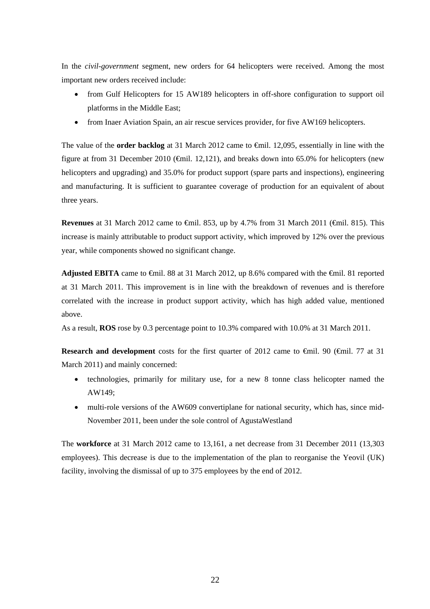In the *civil-government* segment, new orders for 64 helicopters were received. Among the most important new orders received include:

- from Gulf Helicopters for 15 AW189 helicopters in off-shore configuration to support oil platforms in the Middle East;
- from Inaer Aviation Spain, an air rescue services provider, for five AW169 helicopters.

The value of the **order backlog** at 31 March 2012 came to €mil. 12,095, essentially in line with the figure at from 31 December 2010 ( $\bigoplus$  fil. 12,121), and breaks down into 65.0% for helicopters (new helicopters and upgrading) and 35.0% for product support (spare parts and inspections), engineering and manufacturing. It is sufficient to guarantee coverage of production for an equivalent of about three years.

**Revenues** at 31 March 2012 came to €mil. 853, up by 4.7% from 31 March 2011 (€mil. 815). This increase is mainly attributable to product support activity, which improved by 12% over the previous year, while components showed no significant change.

Adjusted EBITA came to <del>C</del>mil. 88 at 31 March 2012, up 8.6% compared with the <del>C</del>mil. 81 reported at 31 March 2011. This improvement is in line with the breakdown of revenues and is therefore correlated with the increase in product support activity, which has high added value, mentioned above.

As a result, **ROS** rose by 0.3 percentage point to 10.3% compared with 10.0% at 31 March 2011.

**Research and development** costs for the first quarter of 2012 came to €mil. 90 (€mil. 77 at 31 March 2011) and mainly concerned:

- technologies, primarily for military use, for a new 8 tonne class helicopter named the AW149;
- multi-role versions of the AW609 convertiplane for national security, which has, since mid-November 2011, been under the sole control of AgustaWestland

The **workforce** at 31 March 2012 came to 13,161, a net decrease from 31 December 2011 (13,303 employees). This decrease is due to the implementation of the plan to reorganise the Yeovil (UK) facility, involving the dismissal of up to 375 employees by the end of 2012.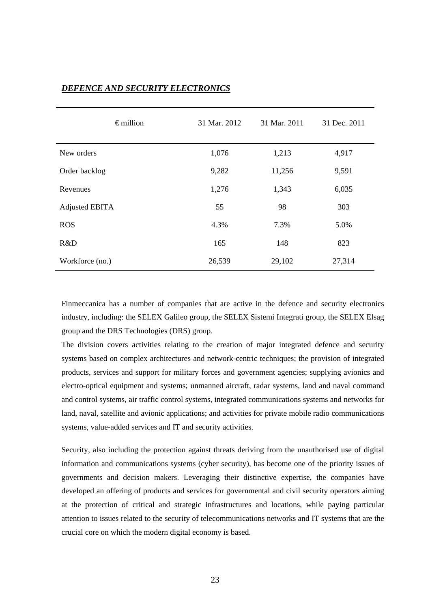| $\epsilon$ million    | 31 Mar. 2012 | 31 Mar. 2011 | 31 Dec. 2011 |
|-----------------------|--------------|--------------|--------------|
| New orders            | 1,076        | 1,213        | 4,917        |
| Order backlog         | 9,282        | 11,256       | 9,591        |
| Revenues              | 1,276        | 1,343        | 6,035        |
| <b>Adjusted EBITA</b> | 55           | 98           | 303          |
| <b>ROS</b>            | 4.3%         | 7.3%         | 5.0%         |
| R&D                   | 165          | 148          | 823          |
| Workforce (no.)       | 26,539       | 29,102       | 27,314       |

### *DEFENCE AND SECURITY ELECTRONICS*

Finmeccanica has a number of companies that are active in the defence and security electronics industry, including: the SELEX Galileo group, the SELEX Sistemi Integrati group, the SELEX Elsag group and the DRS Technologies (DRS) group.

The division covers activities relating to the creation of major integrated defence and security systems based on complex architectures and network-centric techniques; the provision of integrated products, services and support for military forces and government agencies; supplying avionics and electro-optical equipment and systems; unmanned aircraft, radar systems, land and naval command and control systems, air traffic control systems, integrated communications systems and networks for land, naval, satellite and avionic applications; and activities for private mobile radio communications systems, value-added services and IT and security activities.

Security, also including the protection against threats deriving from the unauthorised use of digital information and communications systems (cyber security), has become one of the priority issues of governments and decision makers. Leveraging their distinctive expertise, the companies have developed an offering of products and services for governmental and civil security operators aiming at the protection of critical and strategic infrastructures and locations, while paying particular attention to issues related to the security of telecommunications networks and IT systems that are the crucial core on which the modern digital economy is based.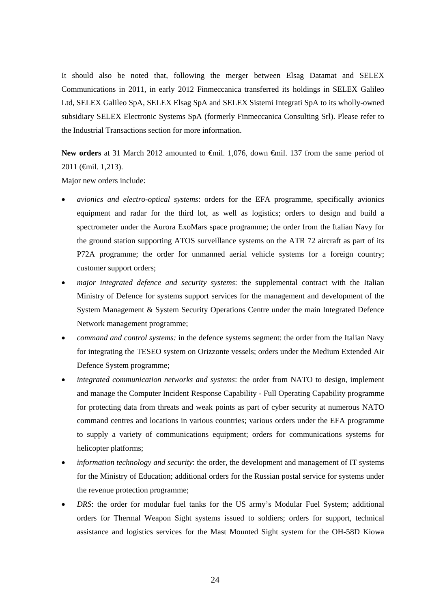It should also be noted that, following the merger between Elsag Datamat and SELEX Communications in 2011, in early 2012 Finmeccanica transferred its holdings in SELEX Galileo Ltd, SELEX Galileo SpA, SELEX Elsag SpA and SELEX Sistemi Integrati SpA to its wholly-owned subsidiary SELEX Electronic Systems SpA (formerly Finmeccanica Consulting Srl). Please refer to the Industrial Transactions section for more information.

New orders at 31 March 2012 amounted to €mil. 1,076, down €mil. 137 from the same period of 2011 (€mil. 1,213).

Major new orders include:

- *avionics and electro-optical systems*: orders for the EFA programme, specifically avionics equipment and radar for the third lot, as well as logistics; orders to design and build a spectrometer under the Aurora ExoMars space programme; the order from the Italian Navy for the ground station supporting ATOS surveillance systems on the ATR 72 aircraft as part of its P72A programme; the order for unmanned aerial vehicle systems for a foreign country; customer support orders;
- *major integrated defence and security systems*: the supplemental contract with the Italian Ministry of Defence for systems support services for the management and development of the System Management & System Security Operations Centre under the main Integrated Defence Network management programme;
- *command and control systems:* in the defence systems segment: the order from the Italian Navy for integrating the TESEO system on Orizzonte vessels; orders under the Medium Extended Air Defence System programme;
- *integrated communication networks and systems*: the order from NATO to design, implement and manage the Computer Incident Response Capability - Full Operating Capability programme for protecting data from threats and weak points as part of cyber security at numerous NATO command centres and locations in various countries; various orders under the EFA programme to supply a variety of communications equipment; orders for communications systems for helicopter platforms;
- *information technology and security*: the order, the development and management of IT systems for the Ministry of Education; additional orders for the Russian postal service for systems under the revenue protection programme;
- *DRS*: the order for modular fuel tanks for the US army's Modular Fuel System; additional orders for Thermal Weapon Sight systems issued to soldiers; orders for support, technical assistance and logistics services for the Mast Mounted Sight system for the OH-58D Kiowa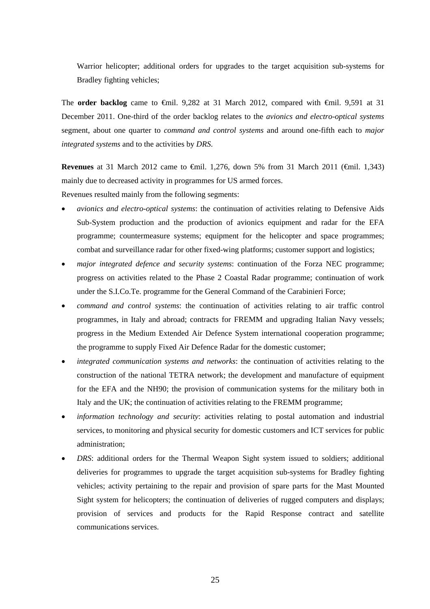Warrior helicopter; additional orders for upgrades to the target acquisition sub-systems for Bradley fighting vehicles;

The **order backlog** came to €mil. 9,282 at 31 March 2012, compared with €mil. 9,591 at 31 December 2011. One-third of the order backlog relates to the *avionics and electro-optical systems* segment, about one quarter to *command and control systems* and around one-fifth each to *major integrated systems* and to the activities by *DRS*.

**Revenues** at 31 March 2012 came to €mil. 1,276, down 5% from 31 March 2011 (€mil. 1,343) mainly due to decreased activity in programmes for US armed forces.

Revenues resulted mainly from the following segments:

- *avionics and electro-optical systems*: the continuation of activities relating to Defensive Aids Sub-System production and the production of avionics equipment and radar for the EFA programme; countermeasure systems; equipment for the helicopter and space programmes; combat and surveillance radar for other fixed-wing platforms; customer support and logistics;
- *major integrated defence and security systems*: continuation of the Forza NEC programme; progress on activities related to the Phase 2 Coastal Radar programme; continuation of work under the S.I.Co.Te. programme for the General Command of the Carabinieri Force;
- *command and control systems*: the continuation of activities relating to air traffic control programmes, in Italy and abroad; contracts for FREMM and upgrading Italian Navy vessels; progress in the Medium Extended Air Defence System international cooperation programme; the programme to supply Fixed Air Defence Radar for the domestic customer;
- *integrated communication systems and networks*: the continuation of activities relating to the construction of the national TETRA network; the development and manufacture of equipment for the EFA and the NH90; the provision of communication systems for the military both in Italy and the UK; the continuation of activities relating to the FREMM programme;
- *information technology and security*: activities relating to postal automation and industrial services, to monitoring and physical security for domestic customers and ICT services for public administration;
- *DRS*: additional orders for the Thermal Weapon Sight system issued to soldiers; additional deliveries for programmes to upgrade the target acquisition sub-systems for Bradley fighting vehicles; activity pertaining to the repair and provision of spare parts for the Mast Mounted Sight system for helicopters; the continuation of deliveries of rugged computers and displays; provision of services and products for the Rapid Response contract and satellite communications services.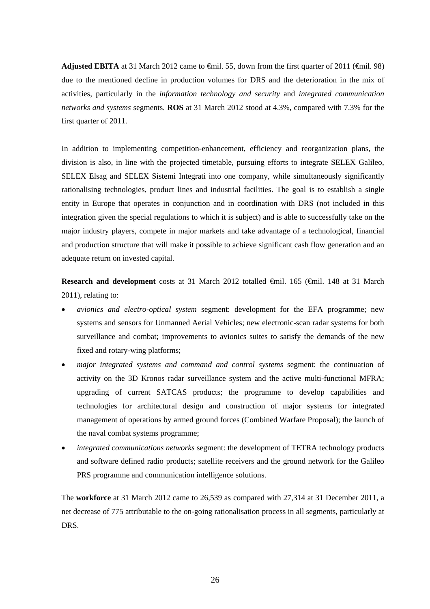**Adjusted EBITA** at 31 March 2012 came to €mil. 55, down from the first quarter of 2011 (€mil. 98) due to the mentioned decline in production volumes for DRS and the deterioration in the mix of activities, particularly in the *information technology and security* and *integrated communication networks and systems* segments. **ROS** at 31 March 2012 stood at 4.3%, compared with 7.3% for the first quarter of 2011.

In addition to implementing competition-enhancement, efficiency and reorganization plans, the division is also, in line with the projected timetable, pursuing efforts to integrate SELEX Galileo, SELEX Elsag and SELEX Sistemi Integrati into one company, while simultaneously significantly rationalising technologies, product lines and industrial facilities. The goal is to establish a single entity in Europe that operates in conjunction and in coordination with DRS (not included in this integration given the special regulations to which it is subject) and is able to successfully take on the major industry players, compete in major markets and take advantage of a technological, financial and production structure that will make it possible to achieve significant cash flow generation and an adequate return on invested capital.

**Research and development** costs at 31 March 2012 totalled €mil. 165 (€mil. 148 at 31 March 2011), relating to:

- *avionics and electro-optical system* segment: development for the EFA programme; new systems and sensors for Unmanned Aerial Vehicles; new electronic-scan radar systems for both surveillance and combat; improvements to avionics suites to satisfy the demands of the new fixed and rotary-wing platforms;
- *major integrated systems and command and control systems* segment: the continuation of activity on the 3D Kronos radar surveillance system and the active multi-functional MFRA; upgrading of current SATCAS products; the programme to develop capabilities and technologies for architectural design and construction of major systems for integrated management of operations by armed ground forces (Combined Warfare Proposal); the launch of the naval combat systems programme;
- *integrated communications networks* segment: the development of TETRA technology products and software defined radio products; satellite receivers and the ground network for the Galileo PRS programme and communication intelligence solutions.

The **workforce** at 31 March 2012 came to 26,539 as compared with 27,314 at 31 December 2011, a net decrease of 775 attributable to the on-going rationalisation process in all segments, particularly at DRS.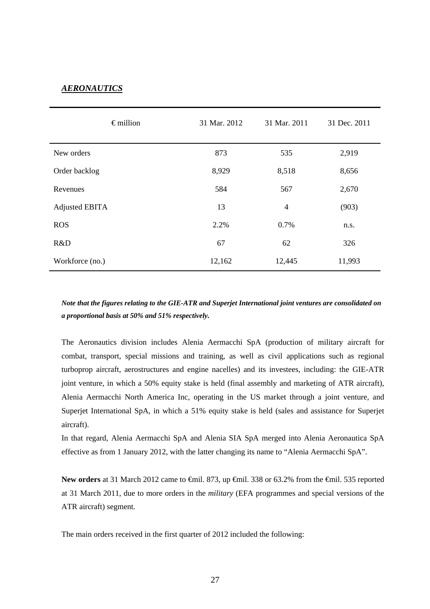## *AERONAUTICS*

| $\epsilon$ million    | 31 Mar. 2012 | 31 Mar. 2011   | 31 Dec. 2011 |
|-----------------------|--------------|----------------|--------------|
| New orders            | 873          | 535            | 2,919        |
| Order backlog         | 8,929        | 8,518          | 8,656        |
| Revenues              | 584          | 567            | 2,670        |
| <b>Adjusted EBITA</b> | 13           | $\overline{4}$ | (903)        |
| <b>ROS</b>            | 2.2%         | 0.7%           | n.s.         |
| R&D                   | 67           | 62             | 326          |
| Workforce (no.)       | 12,162       | 12,445         | 11,993       |

*Note that the figures relating to the GIE-ATR and Superjet International joint ventures are consolidated on a proportional basis at 50% and 51% respectively.* 

The Aeronautics division includes Alenia Aermacchi SpA (production of military aircraft for combat, transport, special missions and training, as well as civil applications such as regional turboprop aircraft, aerostructures and engine nacelles) and its investees, including: the GIE-ATR joint venture, in which a 50% equity stake is held (final assembly and marketing of ATR aircraft), Alenia Aermacchi North America Inc, operating in the US market through a joint venture, and Superjet International SpA, in which a 51% equity stake is held (sales and assistance for Superjet aircraft).

In that regard, Alenia Aermacchi SpA and Alenia SIA SpA merged into Alenia Aeronautica SpA effective as from 1 January 2012, with the latter changing its name to "Alenia Aermacchi SpA".

New orders at 31 March 2012 came to <del>€</del>mil. 873, up <del>€</del>mil. 338 or 63.2% from the <del>€</del>mil. 535 reported at 31 March 2011, due to more orders in the *military* (EFA programmes and special versions of the ATR aircraft) segment*.* 

The main orders received in the first quarter of 2012 included the following: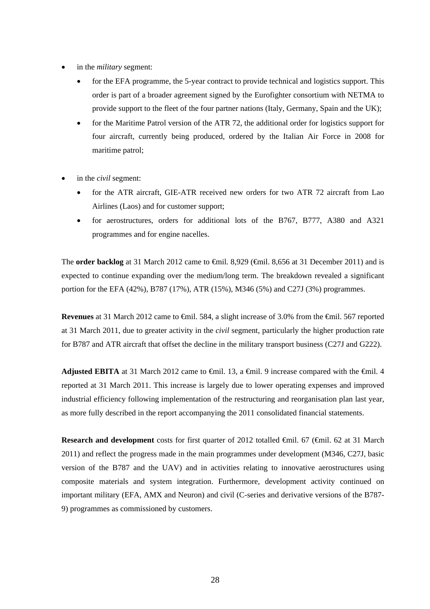- in the *military* segment:
	- for the EFA programme, the 5-year contract to provide technical and logistics support. This order is part of a broader agreement signed by the Eurofighter consortium with NETMA to provide support to the fleet of the four partner nations (Italy, Germany, Spain and the UK);
	- for the Maritime Patrol version of the ATR 72, the additional order for logistics support for four aircraft, currently being produced, ordered by the Italian Air Force in 2008 for maritime patrol;
- in the *civil* segment:
	- for the ATR aircraft, GIE-ATR received new orders for two ATR 72 aircraft from Lao Airlines (Laos) and for customer support;
	- for aerostructures, orders for additional lots of the B767, B777, A380 and A321 programmes and for engine nacelles.

The **order backlog** at 31 March 2012 came to <del>€</del>mil. 8,929 (€mil. 8,656 at 31 December 2011) and is expected to continue expanding over the medium/long term. The breakdown revealed a significant portion for the EFA (42%), B787 (17%), ATR (15%), M346 (5%) and C27J (3%) programmes.

**Revenues** at 31 March 2012 came to <del>C</del>mil. 584, a slight increase of 3.0% from the <del>C</del>mil. 567 reported at 31 March 2011, due to greater activity in the *civil* segment, particularly the higher production rate for B787 and ATR aircraft that offset the decline in the military transport business (C27J and G222).

**Adjusted EBITA** at 31 March 2012 came to  $\oplus$  ill 13, a  $\oplus$  inil. 9 increase compared with the  $\oplus$ nil. 4 reported at 31 March 2011. This increase is largely due to lower operating expenses and improved industrial efficiency following implementation of the restructuring and reorganisation plan last year, as more fully described in the report accompanying the 2011 consolidated financial statements.

**Research and development** costs for first quarter of 2012 totalled €mil. 67 (€mil. 62 at 31 March 2011) and reflect the progress made in the main programmes under development (M346, C27J, basic version of the B787 and the UAV) and in activities relating to innovative aerostructures using composite materials and system integration. Furthermore, development activity continued on important military (EFA, AMX and Neuron) and civil (C-series and derivative versions of the B787- 9) programmes as commissioned by customers.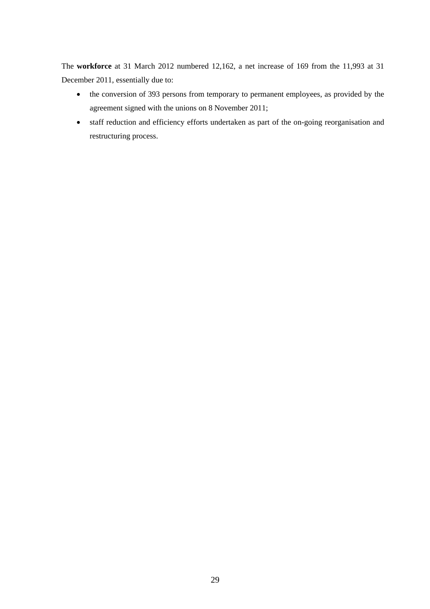The **workforce** at 31 March 2012 numbered 12,162, a net increase of 169 from the 11,993 at 31 December 2011, essentially due to:

- the conversion of 393 persons from temporary to permanent employees, as provided by the agreement signed with the unions on 8 November 2011;
- staff reduction and efficiency efforts undertaken as part of the on-going reorganisation and restructuring process.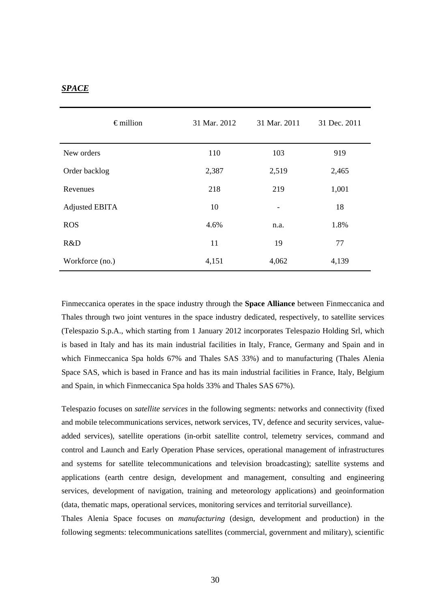### *SPACE*

| $\epsilon$ million    | 31 Mar. 2012 | 31 Mar. 2011             | 31 Dec. 2011 |
|-----------------------|--------------|--------------------------|--------------|
| New orders            | 110          | 103                      | 919          |
| Order backlog         | 2,387        | 2,519                    | 2,465        |
| Revenues              | 218          | 219                      | 1,001        |
| <b>Adjusted EBITA</b> | 10           | $\overline{\phantom{a}}$ | 18           |
| <b>ROS</b>            | 4.6%         | n.a.                     | 1.8%         |
| R&D                   | 11           | 19                       | 77           |
| Workforce (no.)       | 4,151        | 4,062                    | 4,139        |

Finmeccanica operates in the space industry through the **Space Alliance** between Finmeccanica and Thales through two joint ventures in the space industry dedicated, respectively, to satellite services (Telespazio S.p.A., which starting from 1 January 2012 incorporates Telespazio Holding Srl, which is based in Italy and has its main industrial facilities in Italy, France, Germany and Spain and in which Finmeccanica Spa holds 67% and Thales SAS 33%) and to manufacturing (Thales Alenia Space SAS, which is based in France and has its main industrial facilities in France, Italy, Belgium and Spain, in which Finmeccanica Spa holds 33% and Thales SAS 67%).

Telespazio focuses on *satellite services* in the following segments: networks and connectivity (fixed and mobile telecommunications services, network services, TV, defence and security services, valueadded services), satellite operations (in-orbit satellite control, telemetry services, command and control and Launch and Early Operation Phase services, operational management of infrastructures and systems for satellite telecommunications and television broadcasting); satellite systems and applications (earth centre design, development and management, consulting and engineering services, development of navigation, training and meteorology applications) and geoinformation (data, thematic maps, operational services, monitoring services and territorial surveillance).

Thales Alenia Space focuses on *manufacturing* (design, development and production) in the following segments: telecommunications satellites (commercial, government and military), scientific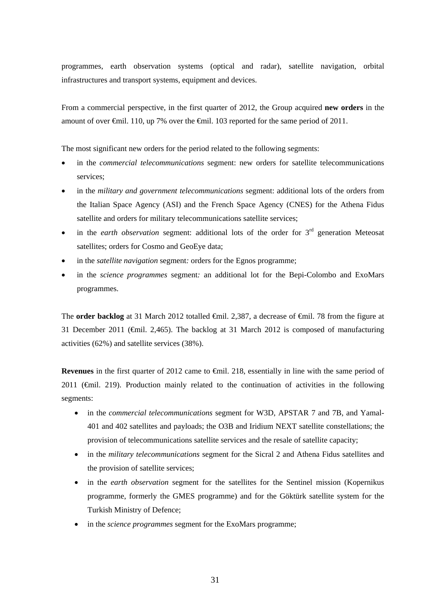programmes, earth observation systems (optical and radar), satellite navigation, orbital infrastructures and transport systems, equipment and devices.

From a commercial perspective, in the first quarter of 2012, the Group acquired **new orders** in the amount of over €mil. 110, up 7% over the €mil. 103 reported for the same period of 2011.

The most significant new orders for the period related to the following segments:

- in the *commercial telecommunications* segment: new orders for satellite telecommunications services;
- in the *military and government telecommunications* segment: additional lots of the orders from the Italian Space Agency (ASI) and the French Space Agency (CNES) for the Athena Fidus satellite and orders for military telecommunications satellite services;
- $\bullet$  in the *earth observation* segment: additional lots of the order for  $3<sup>rd</sup>$  generation Meteosat satellites; orders for Cosmo and GeoEye data;
- in the *satellite navigation* segment*:* orders for the Egnos programme;
- in the *science programmes* segment: an additional lot for the Bepi-Colombo and ExoMars programmes.

The **order backlog** at 31 March 2012 totalled <del>€</del>mil. 2,387, a decrease of €mil. 78 from the figure at 31 December 2011 (€mil. 2,465). The backlog at 31 March 2012 is composed of manufacturing activities (62%) and satellite services (38%).

**Revenues** in the first quarter of 2012 came to  $\hat{\theta}$  and  $\hat{\theta}$ . essentially in line with the same period of 2011 ( $\oplus$ mil. 219). Production mainly related to the continuation of activities in the following segments:

- in the *commercial telecommunications* segment for W3D, APSTAR 7 and 7B, and Yamal-401 and 402 satellites and payloads; the O3B and Iridium NEXT satellite constellations; the provision of telecommunications satellite services and the resale of satellite capacity;
- in the *military telecommunications* segment for the Sicral 2 and Athena Fidus satellites and the provision of satellite services;
- in the *earth observation* segment for the satellites for the Sentinel mission (Kopernikus programme, formerly the GMES programme) and for the Göktürk satellite system for the Turkish Ministry of Defence;
- in the *science programmes* segment for the ExoMars programme;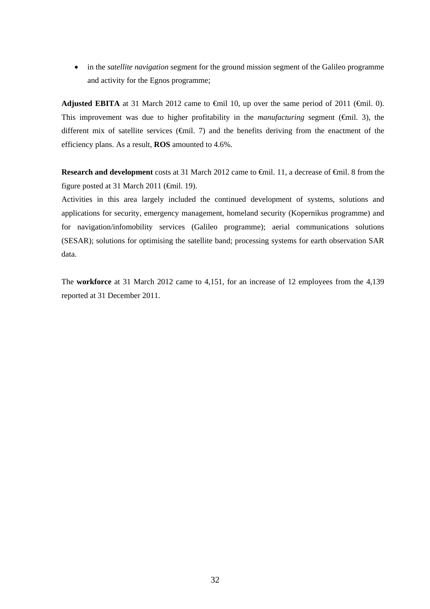in the *satellite navigation* segment for the ground mission segment of the Galileo programme and activity for the Egnos programme;

**Adjusted EBITA** at 31 March 2012 came to  $\widehat{\text{efnil}}$  10, up over the same period of 2011 ( $\widehat{\text{efnil}}$ . 0). This improvement was due to higher profitability in the *manufacturing* segment (€mil. 3), the different mix of satellite services ( $\oplus$ mil. 7) and the benefits deriving from the enactment of the efficiency plans. As a result, **ROS** amounted to 4.6%.

**Research and development** costs at 31 March 2012 came to <del>€</del>mil. 11, a decrease of €mil. 8 from the figure posted at 31 March 2011 ( $\epsilon$ mil. 19).

Activities in this area largely included the continued development of systems, solutions and applications for security, emergency management, homeland security (Kopernikus programme) and for navigation/infomobility services (Galileo programme); aerial communications solutions (SESAR); solutions for optimising the satellite band; processing systems for earth observation SAR data.

The **workforce** at 31 March 2012 came to 4,151, for an increase of 12 employees from the 4,139 reported at 31 December 2011.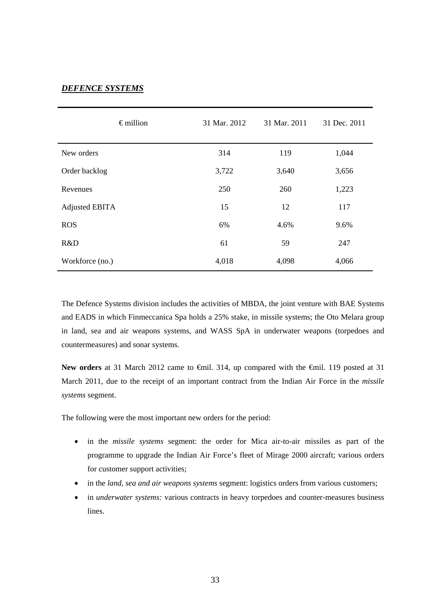## *DEFENCE SYSTEMS*

|                       | $\epsilon$ million | 31 Mar. 2012 | 31 Mar. 2011 | 31 Dec. 2011 |
|-----------------------|--------------------|--------------|--------------|--------------|
| New orders            |                    | 314          | 119          | 1,044        |
| Order backlog         |                    | 3,722        | 3,640        | 3,656        |
| Revenues              |                    | 250          | 260          | 1,223        |
| <b>Adjusted EBITA</b> |                    | 15           | 12           | 117          |
| <b>ROS</b>            |                    | 6%           | 4.6%         | 9.6%         |
| R&D                   |                    | 61           | 59           | 247          |
| Workforce (no.)       |                    | 4,018        | 4,098        | 4,066        |

The Defence Systems division includes the activities of MBDA, the joint venture with BAE Systems and EADS in which Finmeccanica Spa holds a 25% stake, in missile systems; the Oto Melara group in land, sea and air weapons systems, and WASS SpA in underwater weapons (torpedoes and countermeasures) and sonar systems.

New orders at 31 March 2012 came to <del>€</del>mil. 314, up compared with the €mil. 119 posted at 31 March 2011, due to the receipt of an important contract from the Indian Air Force in the *missile systems* segment.

The following were the most important new orders for the period:

- in the *missile systems* segment: the order for Mica air-to-air missiles as part of the programme to upgrade the Indian Air Force's fleet of Mirage 2000 aircraft; various orders for customer support activities;
- in the *land, sea and air weapons systems* segment: logistics orders from various customers;
- in *underwater systems:* various contracts in heavy torpedoes and counter-measures business lines.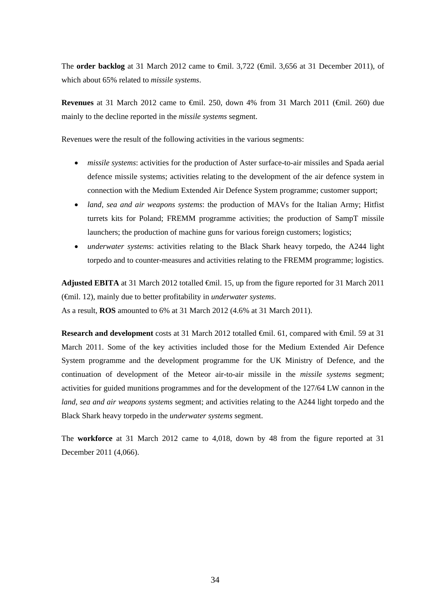The **order backlog** at 31 March 2012 came to €mil. 3,722 (€mil. 3,656 at 31 December 2011), of which about 65% related to *missile systems*.

**Revenues** at 31 March 2012 came to €mil. 250, down 4% from 31 March 2011 (€mil. 260) due mainly to the decline reported in the *missile systems* segment.

Revenues were the result of the following activities in the various segments:

- *missile systems*: activities for the production of Aster surface-to-air missiles and Spada aerial defence missile systems; activities relating to the development of the air defence system in connection with the Medium Extended Air Defence System programme; customer support;
- *land, sea and air weapons systems*: the production of MAVs for the Italian Army; Hitfist turrets kits for Poland; FREMM programme activities; the production of SampT missile launchers; the production of machine guns for various foreign customers; logistics;
- *underwater systems*: activities relating to the Black Shark heavy torpedo, the A244 light torpedo and to counter-measures and activities relating to the FREMM programme; logistics.

**Adjusted EBITA** at 31 March 2012 totalled €mil. 15, up from the figure reported for 31 March 2011 (€mil. 12), mainly due to better profitability in *underwater systems*. As a result, **ROS** amounted to 6% at 31 March 2012 (4.6% at 31 March 2011).

**Research and development** costs at 31 March 2012 totalled €mil. 61, compared with €mil. 59 at 31 March 2011. Some of the key activities included those for the Medium Extended Air Defence System programme and the development programme for the UK Ministry of Defence, and the continuation of development of the Meteor air-to-air missile in the *missile systems* segment; activities for guided munitions programmes and for the development of the 127/64 LW cannon in the *land, sea and air weapons systems* segment; and activities relating to the A244 light torpedo and the Black Shark heavy torpedo in the *underwater systems* segment.

The **workforce** at 31 March 2012 came to 4,018, down by 48 from the figure reported at 31 December 2011 (4,066).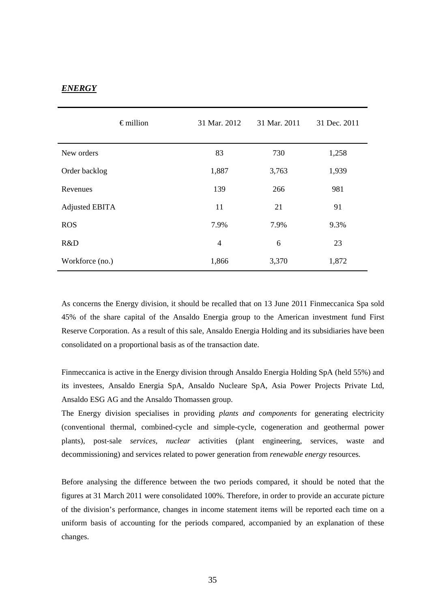### *ENERGY*

|                       | $\epsilon$ million | 31 Mar. 2012 | 31 Mar. 2011 | 31 Dec. 2011 |
|-----------------------|--------------------|--------------|--------------|--------------|
| New orders            |                    | 83           | 730          | 1,258        |
| Order backlog         |                    | 1,887        | 3,763        | 1,939        |
| Revenues              |                    | 139          | 266          | 981          |
| <b>Adjusted EBITA</b> |                    | 11           | 21           | 91           |
| <b>ROS</b>            |                    | 7.9%         | 7.9%         | 9.3%         |
| R&D                   |                    | 4            | 6            | 23           |
| Workforce (no.)       |                    | 1,866        | 3,370        | 1,872        |

As concerns the Energy division, it should be recalled that on 13 June 2011 Finmeccanica Spa sold 45% of the share capital of the Ansaldo Energia group to the American investment fund First Reserve Corporation. As a result of this sale, Ansaldo Energia Holding and its subsidiaries have been consolidated on a proportional basis as of the transaction date.

Finmeccanica is active in the Energy division through Ansaldo Energia Holding SpA (held 55%) and its investees, Ansaldo Energia SpA, Ansaldo Nucleare SpA, Asia Power Projects Private Ltd, Ansaldo ESG AG and the Ansaldo Thomassen group.

The Energy division specialises in providing *plants and components* for generating electricity (conventional thermal, combined-cycle and simple-cycle, cogeneration and geothermal power plants), post-sale *services, nuclear* activities (plant engineering, services, waste and decommissioning) and services related to power generation from *renewable energy* resources.

Before analysing the difference between the two periods compared, it should be noted that the figures at 31 March 2011 were consolidated 100%. Therefore, in order to provide an accurate picture of the division's performance, changes in income statement items will be reported each time on a uniform basis of accounting for the periods compared, accompanied by an explanation of these changes.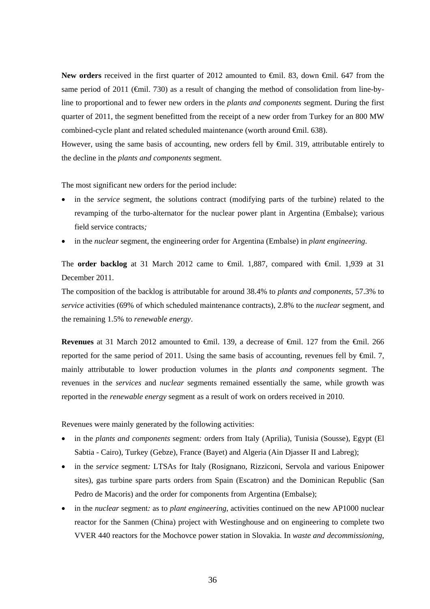New orders received in the first quarter of 2012 amounted to <del>€</del>mil. 83, down €mil. 647 from the same period of 2011 ( $\epsilon$ mil. 730) as a result of changing the method of consolidation from line-byline to proportional and to fewer new orders in the *plants and components* segment. During the first quarter of 2011, the segment benefitted from the receipt of a new order from Turkey for an 800 MW combined-cycle plant and related scheduled maintenance (worth around €mil. 638).

However, using the same basis of accounting, new orders fell by  $\oplus$  ill. 319, attributable entirely to the decline in the *plants and components* segment.

The most significant new orders for the period include:

- in the *service* segment, the solutions contract (modifying parts of the turbine) related to the revamping of the turbo-alternator for the nuclear power plant in Argentina (Embalse); various field service contracts*;*
- in the *nuclear* segment, the engineering order for Argentina (Embalse) in *plant engineering*.

The **order backlog** at 31 March 2012 came to €mil. 1,887, compared with €mil. 1,939 at 31 December 2011.

The composition of the backlog is attributable for around 38.4% to *plants and components*, 57.3% to *service* activities (69% of which scheduled maintenance contracts), 2.8% to the *nuclear* segment, and the remaining 1.5% to *renewable energy*.

Revenues at 31 March 2012 amounted to <del>C</del>mil. 139, a decrease of <del>C</del>mil. 127 from the <del>C</del>mil. 266 reported for the same period of 2011. Using the same basis of accounting, revenues fell by  $\Theta$ mil. 7, mainly attributable to lower production volumes in the *plants and components* segment. The revenues in the *services* and *nuclear* segments remained essentially the same, while growth was reported in the *renewable energy* segment as a result of work on orders received in 2010.

Revenues were mainly generated by the following activities:

- in the *plants and components* segment*:* orders from Italy (Aprilia), Tunisia (Sousse), Egypt (El Sabtia - Cairo), Turkey (Gebze), France (Bayet) and Algeria (Ain Djasser II and Labreg);
- in the *service* segment*:* LTSAs for Italy (Rosignano, Rizziconi, Servola and various Enipower sites), gas turbine spare parts orders from Spain (Escatron) and the Dominican Republic (San Pedro de Macoris) and the order for components from Argentina (Embalse);
- in the *nuclear* segment*:* as to *plant engineering*, activities continued on the new AP1000 nuclear reactor for the Sanmen (China) project with Westinghouse and on engineering to complete two VVER 440 reactors for the Mochovce power station in Slovakia. In *waste and decommissioning*,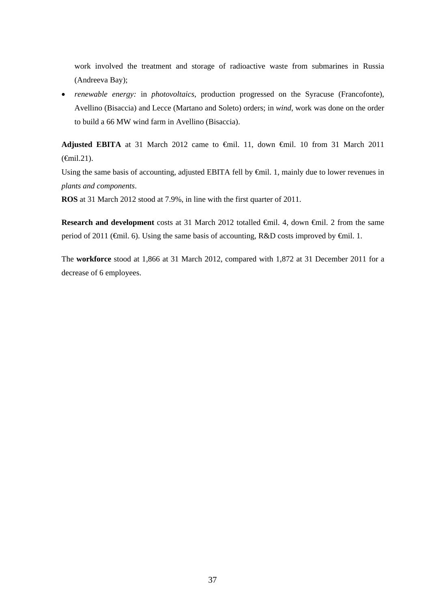work involved the treatment and storage of radioactive waste from submarines in Russia (Andreeva Bay);

 *renewable energy:* in *photovoltaics*, production progressed on the Syracuse (Francofonte), Avellino (Bisaccia) and Lecce (Martano and Soleto) orders; in *wind*, work was done on the order to build a 66 MW wind farm in Avellino (Bisaccia).

**Adjusted EBITA** at 31 March 2012 came to €mil. 11, down €mil. 10 from 31 March 2011 (€mil.21).

Using the same basis of accounting, adjusted EBITA fell by €mil. 1, mainly due to lower revenues in *plants and components*.

**ROS** at 31 March 2012 stood at 7.9%, in line with the first quarter of 2011.

Research and development costs at 31 March 2012 totalled €mil. 4, down €mil. 2 from the same period of 2011 (€mil. 6). Using the same basis of accounting, R&D costs improved by €mil. 1.

The **workforce** stood at 1,866 at 31 March 2012, compared with 1,872 at 31 December 2011 for a decrease of 6 employees.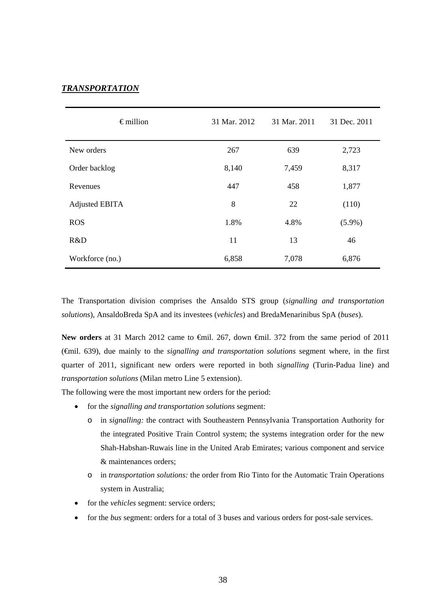### *TRANSPORTATION*

| $\epsilon$ million    | 31 Mar. 2012 | 31 Mar. 2011 | 31 Dec. 2011 |
|-----------------------|--------------|--------------|--------------|
| New orders            | 267          | 639          | 2,723        |
| Order backlog         | 8,140        | 7,459        | 8,317        |
| Revenues              | 447          | 458          | 1,877        |
| <b>Adjusted EBITA</b> | 8            | 22           | (110)        |
| <b>ROS</b>            | 1.8%         | 4.8%         | $(5.9\%)$    |
| R&D                   | 11           | 13           | 46           |
| Workforce (no.)       | 6,858        | 7,078        | 6,876        |

The Transportation division comprises the Ansaldo STS group (*signalling and transportation solutions*), AnsaldoBreda SpA and its investees (*vehicles*) and BredaMenarinibus SpA (*buses*).

New orders at 31 March 2012 came to <del>€</del>mil. 267, down <del>€</del>mil. 372 from the same period of 2011 (€mil. 639), due mainly to the *signalling and transportation solutions* segment where, in the first quarter of 2011, significant new orders were reported in both *signalling* (Turin-Padua line) and *transportation solutions* (Milan metro Line 5 extension).

The following were the most important new orders for the period:

- for the *signalling and transportation solutions* segment:
	- o in *signalling:* the contract with Southeastern Pennsylvania Transportation Authority for the integrated Positive Train Control system; the systems integration order for the new Shah-Habshan-Ruwais line in the United Arab Emirates; various component and service & maintenances orders;
	- o in *transportation solutions:* the order from Rio Tinto for the Automatic Train Operations system in Australia;
- for the *vehicles* segment: service orders;
- for the *bus* segment: orders for a total of 3 buses and various orders for post-sale services.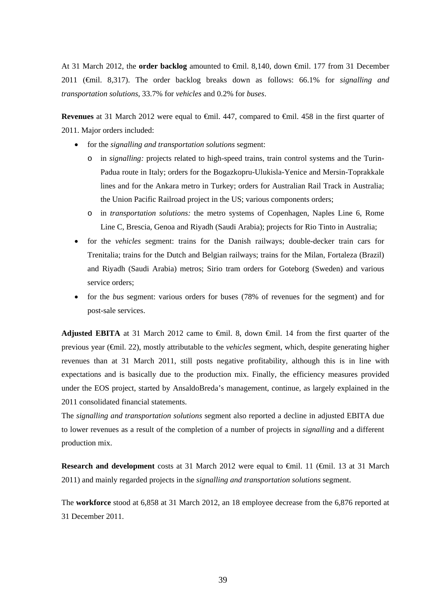At 31 March 2012, the **order backlog** amounted to €mil. 8,140, down €mil. 177 from 31 December 2011 (€mil. 8,317). The order backlog breaks down as follows: 66.1% for *signalling and transportation solutions*, 33.7% for *vehicles* and 0.2% for *buses*.

**Revenues** at 31 March 2012 were equal to €mil. 447, compared to €mil. 458 in the first quarter of 2011. Major orders included:

- for the *signalling and transportation solutions* segment:
	- o in *signalling:* projects related to high-speed trains, train control systems and the Turin-Padua route in Italy; orders for the Bogazkopru-Ulukisla-Yenice and Mersin-Toprakkale lines and for the Ankara metro in Turkey; orders for Australian Rail Track in Australia; the Union Pacific Railroad project in the US; various components orders;
	- o in *transportation solutions:* the metro systems of Copenhagen, Naples Line 6, Rome Line C, Brescia, Genoa and Riyadh (Saudi Arabia); projects for Rio Tinto in Australia;
- for the *vehicles* segment: trains for the Danish railways; double-decker train cars for Trenitalia; trains for the Dutch and Belgian railways; trains for the Milan, Fortaleza (Brazil) and Riyadh (Saudi Arabia) metros; Sirio tram orders for Goteborg (Sweden) and various service orders;
- for the *bus* segment: various orders for buses (78% of revenues for the segment) and for post-sale services.

Adjusted EBITA at 31 March 2012 came to <del>C</del>mil. 8, down <del>C</del>mil. 14 from the first quarter of the previous year (€mil. 22), mostly attributable to the *vehicles* segment, which, despite generating higher revenues than at 31 March 2011, still posts negative profitability, although this is in line with expectations and is basically due to the production mix. Finally, the efficiency measures provided under the EOS project, started by AnsaldoBreda's management, continue, as largely explained in the 2011 consolidated financial statements.

The *signalling and transportation solutions* segment also reported a decline in adjusted EBITA due to lower revenues as a result of the completion of a number of projects in *signalling* and a different production mix.

**Research and development** costs at 31 March 2012 were equal to €mil. 11 (€mil. 13 at 31 March 2011) and mainly regarded projects in the *signalling and transportation solutions* segment.

The **workforce** stood at 6,858 at 31 March 2012, an 18 employee decrease from the 6,876 reported at 31 December 2011.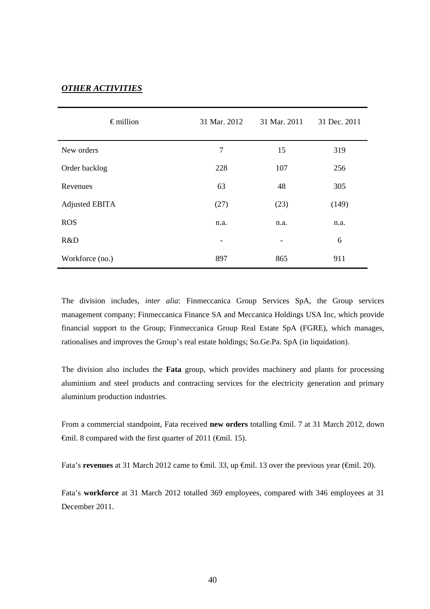### *OTHER ACTIVITIES*

| $\epsilon$ million    | 31 Mar. 2012 | 31 Mar. 2011             | 31 Dec. 2011 |
|-----------------------|--------------|--------------------------|--------------|
| New orders            | 7            | 15                       | 319          |
| Order backlog         | 228          | 107                      | 256          |
| Revenues              | 63           | 48                       | 305          |
| <b>Adjusted EBITA</b> | (27)         | (23)                     | (149)        |
| <b>ROS</b>            | n.a.         | n.a.                     | n.a.         |
| R&D                   | -            | $\overline{\phantom{a}}$ | 6            |
| Workforce (no.)       | 897          | 865                      | 911          |

The division includes, *inter alia*: Finmeccanica Group Services SpA, the Group services management company; Finmeccanica Finance SA and Meccanica Holdings USA Inc, which provide financial support to the Group; Finmeccanica Group Real Estate SpA (FGRE), which manages, rationalises and improves the Group's real estate holdings; So.Ge.Pa. SpA (in liquidation).

The division also includes the **Fata** group, which provides machinery and plants for processing aluminium and steel products and contracting services for the electricity generation and primary aluminium production industries.

From a commercial standpoint, Fata received **new orders** totalling €mil. 7 at 31 March 2012, down  $\theta$  = finil. 8 compared with the first quarter of 2011 ( $\theta$ mil. 15).

Fata's **revenues** at 31 March 2012 came to <del>€</del>mil. 33, up <del>€</del>mil. 13 over the previous year (€mil. 20).

Fata's **workforce** at 31 March 2012 totalled 369 employees, compared with 346 employees at 31 December 2011.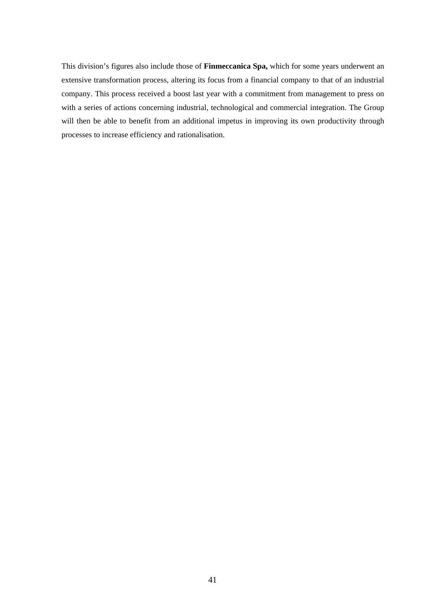This division's figures also include those of **Finmeccanica Spa,** which for some years underwent an extensive transformation process, altering its focus from a financial company to that of an industrial company. This process received a boost last year with a commitment from management to press on with a series of actions concerning industrial, technological and commercial integration. The Group will then be able to benefit from an additional impetus in improving its own productivity through processes to increase efficiency and rationalisation.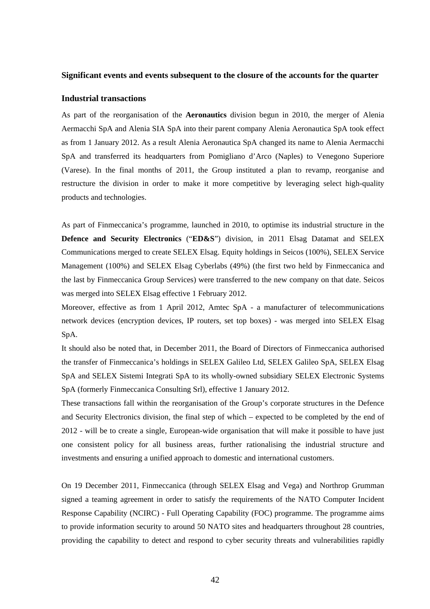#### **Significant events and events subsequent to the closure of the accounts for the quarter**

#### **Industrial transactions**

As part of the reorganisation of the **Aeronautics** division begun in 2010, the merger of Alenia Aermacchi SpA and Alenia SIA SpA into their parent company Alenia Aeronautica SpA took effect as from 1 January 2012. As a result Alenia Aeronautica SpA changed its name to Alenia Aermacchi SpA and transferred its headquarters from Pomigliano d'Arco (Naples) to Venegono Superiore (Varese). In the final months of 2011, the Group instituted a plan to revamp, reorganise and restructure the division in order to make it more competitive by leveraging select high-quality products and technologies.

As part of Finmeccanica's programme, launched in 2010, to optimise its industrial structure in the **Defence and Security Electronics** ("**ED&S**") division, in 2011 Elsag Datamat and SELEX Communications merged to create SELEX Elsag. Equity holdings in Seicos (100%), SELEX Service Management (100%) and SELEX Elsag Cyberlabs (49%) (the first two held by Finmeccanica and the last by Finmeccanica Group Services) were transferred to the new company on that date. Seicos was merged into SELEX Elsag effective 1 February 2012.

Moreover, effective as from 1 April 2012, Amtec SpA - a manufacturer of telecommunications network devices (encryption devices, IP routers, set top boxes) - was merged into SELEX Elsag SpA.

It should also be noted that, in December 2011, the Board of Directors of Finmeccanica authorised the transfer of Finmeccanica's holdings in SELEX Galileo Ltd, SELEX Galileo SpA, SELEX Elsag SpA and SELEX Sistemi Integrati SpA to its wholly-owned subsidiary SELEX Electronic Systems SpA (formerly Finmeccanica Consulting Srl), effective 1 January 2012.

These transactions fall within the reorganisation of the Group's corporate structures in the Defence and Security Electronics division, the final step of which – expected to be completed by the end of 2012 - will be to create a single, European-wide organisation that will make it possible to have just one consistent policy for all business areas, further rationalising the industrial structure and investments and ensuring a unified approach to domestic and international customers.

On 19 December 2011, Finmeccanica (through SELEX Elsag and Vega) and Northrop Grumman signed a teaming agreement in order to satisfy the requirements of the NATO Computer Incident Response Capability (NCIRC) - Full Operating Capability (FOC) programme. The programme aims to provide information security to around 50 NATO sites and headquarters throughout 28 countries, providing the capability to detect and respond to cyber security threats and vulnerabilities rapidly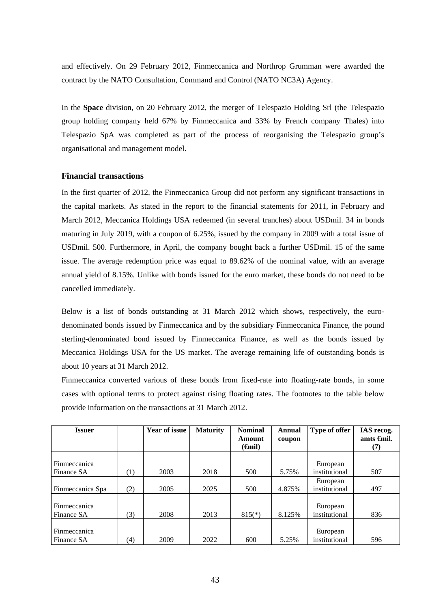and effectively. On 29 February 2012, Finmeccanica and Northrop Grumman were awarded the contract by the NATO Consultation, Command and Control (NATO NC3A) Agency.

In the **Space** division, on 20 February 2012, the merger of Telespazio Holding Srl (the Telespazio group holding company held 67% by Finmeccanica and 33% by French company Thales) into Telespazio SpA was completed as part of the process of reorganising the Telespazio group's organisational and management model.

#### **Financial transactions**

In the first quarter of 2012, the Finmeccanica Group did not perform any significant transactions in the capital markets. As stated in the report to the financial statements for 2011, in February and March 2012, Meccanica Holdings USA redeemed (in several tranches) about USDmil. 34 in bonds maturing in July 2019, with a coupon of 6.25%, issued by the company in 2009 with a total issue of USDmil. 500. Furthermore, in April, the company bought back a further USDmil. 15 of the same issue. The average redemption price was equal to 89.62% of the nominal value, with an average annual yield of 8.15%. Unlike with bonds issued for the euro market, these bonds do not need to be cancelled immediately.

Below is a list of bonds outstanding at 31 March 2012 which shows, respectively, the eurodenominated bonds issued by Finmeccanica and by the subsidiary Finmeccanica Finance, the pound sterling-denominated bond issued by Finmeccanica Finance, as well as the bonds issued by Meccanica Holdings USA for the US market. The average remaining life of outstanding bonds is about 10 years at 31 March 2012.

Finmeccanica converted various of these bonds from fixed-rate into floating-rate bonds, in some cases with optional terms to protect against rising floating rates. The footnotes to the table below provide information on the transactions at 31 March 2012.

| <b>Issuer</b>       |     | <b>Year of issue</b> | <b>Maturity</b> | <b>Nominal</b>     | <b>Annual</b> | Type of offer | IAS recog.           |
|---------------------|-----|----------------------|-----------------|--------------------|---------------|---------------|----------------------|
|                     |     |                      |                 | Amount             | coupon        |               | amts $\epsilon$ mil. |
|                     |     |                      |                 | $(\mathbf{G}$ nil) |               |               | (7)                  |
|                     |     |                      |                 |                    |               |               |                      |
| Finmeccanica        |     |                      |                 |                    |               | European      |                      |
| Finance SA          | (1) | 2003                 | 2018            | 500                | 5.75%         | institutional | 507                  |
|                     |     |                      |                 |                    |               | European      |                      |
| Finmeccanica Spa    | (2) | 2005                 | 2025            | 500                | 4.875%        | institutional | 497                  |
|                     |     |                      |                 |                    |               |               |                      |
| Finmeccanica        |     |                      |                 |                    |               | European      |                      |
| Finance SA          | (3) | 2008                 | 2013            | $815(*)$           | 8.125%        | institutional | 836                  |
|                     |     |                      |                 |                    |               |               |                      |
| <b>Finmeccanica</b> |     |                      |                 |                    |               | European      |                      |
| Finance SA          | (4) | 2009                 | 2022            | 600                | 5.25%         | institutional | 596                  |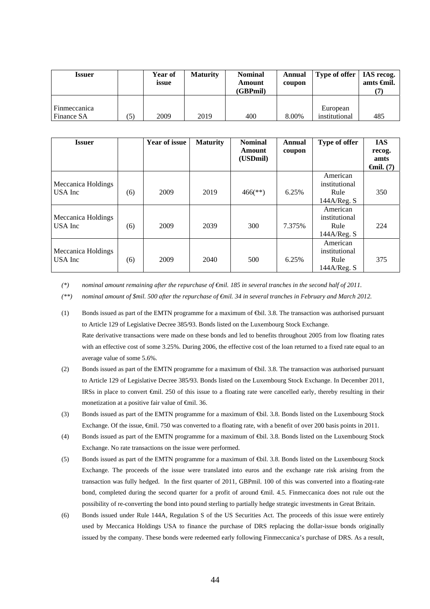| Issuer                     | <b>Year of</b><br>issue | <b>Maturity</b> | <b>Nominal</b><br>Amount<br>(GBPmil) | Annual<br>coupon | Type of offer   IAS recog. | amts $\epsilon$ mil. |
|----------------------------|-------------------------|-----------------|--------------------------------------|------------------|----------------------------|----------------------|
| Finmeccanica<br>Finance SA | 2009                    | 2019            | 400                                  | 8.00%            | European<br>institutional  | 485                  |

| <b>Issuer</b>                 |     | Year of issue | <b>Maturity</b> | <b>Nominal</b><br>Amount<br>(USDmil) | Annual<br>coupon | Type of offer                                    | <b>IAS</b><br>recog.<br>amts<br>$\boldsymbol{\Theta}$ mil. (7) |
|-------------------------------|-----|---------------|-----------------|--------------------------------------|------------------|--------------------------------------------------|----------------------------------------------------------------|
| Meccanica Holdings<br>USA Inc | (6) | 2009          | 2019            | $466$ <sup>(**)</sup> )              | 6.25%            | American<br>institutional<br>Rule<br>144A/Reg. S | 350                                                            |
| Meccanica Holdings<br>USA Inc | (6) | 2009          | 2039            | 300                                  | 7.375%           | American<br>institutional<br>Rule<br>144A/Reg. S | 224                                                            |
| Meccanica Holdings<br>USA Inc | (6) | 2009          | 2040            | 500                                  | 6.25%            | American<br>institutional<br>Rule<br>144A/Reg. S | 375                                                            |

*(\*) nominal amount remaining after the repurchase of €mil. 185 in several tranches in the second half of 2011.* 

*(\*\*) nominal amount of \$mil. 500 after the repurchase of €mil. 34 in several tranches in February and March 2012.* 

- (1) Bonds issued as part of the EMTN programme for a maximum of  $\bigoplus$ il. 3.8. The transaction was authorised pursuant to Article 129 of Legislative Decree 385/93. Bonds listed on the Luxembourg Stock Exchange. Rate derivative transactions were made on these bonds and led to benefits throughout 2005 from low floating rates with an effective cost of some 3.25%. During 2006, the effective cost of the loan returned to a fixed rate equal to an average value of some 5.6%.
- (2) Bonds issued as part of the EMTN programme for a maximum of €bil. 3.8. The transaction was authorised pursuant to Article 129 of Legislative Decree 385/93. Bonds listed on the Luxembourg Stock Exchange. In December 2011, IRSs in place to convert €mil. 250 of this issue to a floating rate were cancelled early, thereby resulting in their monetization at a positive fair value of <del>€</del>mil. 36.
- (3) Bonds issued as part of the EMTN programme for a maximum of  $\text{6bil. } 3.8$ . Bonds listed on the Luxembourg Stock Exchange. Of the issue, €mil. 750 was converted to a floating rate, with a benefit of over 200 basis points in 2011.
- (4) Bonds issued as part of the EMTN programme for a maximum of  $\text{6bil. } 3.8$ . Bonds listed on the Luxembourg Stock Exchange. No rate transactions on the issue were performed.
- (5) Bonds issued as part of the EMTN programme for a maximum of  $\bigoplus$  il. 3.8. Bonds listed on the Luxembourg Stock Exchange. The proceeds of the issue were translated into euros and the exchange rate risk arising from the transaction was fully hedged. In the first quarter of 2011, GBPmil. 100 of this was converted into a floating-rate bond, completed during the second quarter for a profit of around €mil. 4.5. Finmeccanica does not rule out the possibility of re-converting the bond into pound sterling to partially hedge strategic investments in Great Britain.
- (6) Bonds issued under Rule 144A, Regulation S of the US Securities Act. The proceeds of this issue were entirely used by Meccanica Holdings USA to finance the purchase of DRS replacing the dollar-issue bonds originally issued by the company. These bonds were redeemed early following Finmeccanica's purchase of DRS. As a result,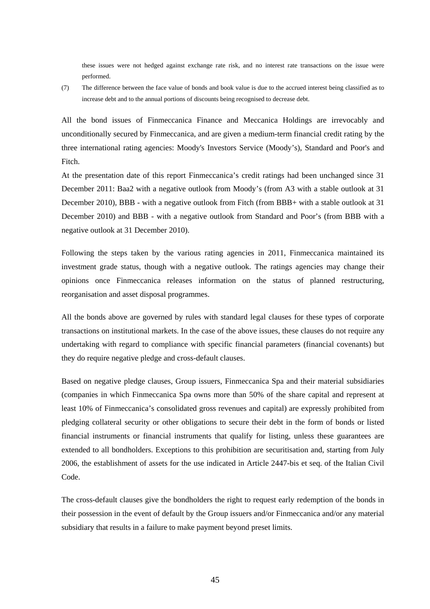these issues were not hedged against exchange rate risk, and no interest rate transactions on the issue were performed.

(7) The difference between the face value of bonds and book value is due to the accrued interest being classified as to increase debt and to the annual portions of discounts being recognised to decrease debt.

All the bond issues of Finmeccanica Finance and Meccanica Holdings are irrevocably and unconditionally secured by Finmeccanica, and are given a medium-term financial credit rating by the three international rating agencies: Moody's Investors Service (Moody's), Standard and Poor's and Fitch.

At the presentation date of this report Finmeccanica's credit ratings had been unchanged since 31 December 2011: Baa2 with a negative outlook from Moody's (from A3 with a stable outlook at 31 December 2010)*,* BBB - with a negative outlook from Fitch (from BBB+ with a stable outlook at 31 December 2010) and BBB - with a negative outlook from Standard and Poor's (from BBB with a negative outlook at 31 December 2010).

Following the steps taken by the various rating agencies in 2011, Finmeccanica maintained its investment grade status, though with a negative outlook. The ratings agencies may change their opinions once Finmeccanica releases information on the status of planned restructuring, reorganisation and asset disposal programmes.

All the bonds above are governed by rules with standard legal clauses for these types of corporate transactions on institutional markets. In the case of the above issues, these clauses do not require any undertaking with regard to compliance with specific financial parameters (financial covenants) but they do require negative pledge and cross-default clauses.

Based on negative pledge clauses, Group issuers, Finmeccanica Spa and their material subsidiaries (companies in which Finmeccanica Spa owns more than 50% of the share capital and represent at least 10% of Finmeccanica's consolidated gross revenues and capital) are expressly prohibited from pledging collateral security or other obligations to secure their debt in the form of bonds or listed financial instruments or financial instruments that qualify for listing, unless these guarantees are extended to all bondholders. Exceptions to this prohibition are securitisation and, starting from July 2006, the establishment of assets for the use indicated in Article 2447-bis et seq. of the Italian Civil Code.

The cross-default clauses give the bondholders the right to request early redemption of the bonds in their possession in the event of default by the Group issuers and/or Finmeccanica and/or any material subsidiary that results in a failure to make payment beyond preset limits.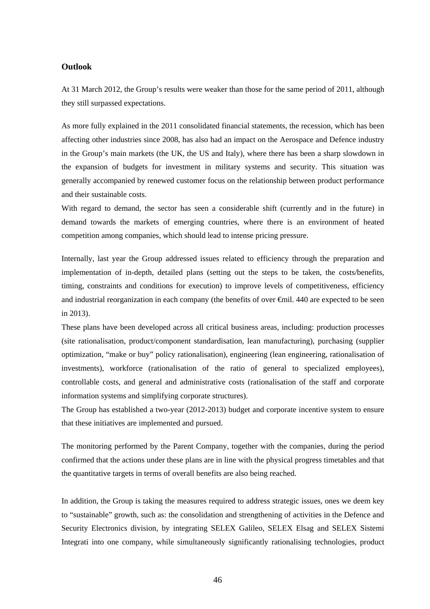#### **Outlook**

At 31 March 2012, the Group's results were weaker than those for the same period of 2011, although they still surpassed expectations.

As more fully explained in the 2011 consolidated financial statements, the recession, which has been affecting other industries since 2008, has also had an impact on the Aerospace and Defence industry in the Group's main markets (the UK, the US and Italy), where there has been a sharp slowdown in the expansion of budgets for investment in military systems and security. This situation was generally accompanied by renewed customer focus on the relationship between product performance and their sustainable costs.

With regard to demand, the sector has seen a considerable shift (currently and in the future) in demand towards the markets of emerging countries, where there is an environment of heated competition among companies, which should lead to intense pricing pressure.

Internally, last year the Group addressed issues related to efficiency through the preparation and implementation of in-depth, detailed plans (setting out the steps to be taken, the costs/benefits, timing, constraints and conditions for execution) to improve levels of competitiveness, efficiency and industrial reorganization in each company (the benefits of over €mil. 440 are expected to be seen in 2013).

These plans have been developed across all critical business areas, including: production processes (site rationalisation, product/component standardisation, lean manufacturing), purchasing (supplier optimization, "make or buy" policy rationalisation), engineering (lean engineering, rationalisation of investments), workforce (rationalisation of the ratio of general to specialized employees), controllable costs, and general and administrative costs (rationalisation of the staff and corporate information systems and simplifying corporate structures).

The Group has established a two-year (2012-2013) budget and corporate incentive system to ensure that these initiatives are implemented and pursued.

The monitoring performed by the Parent Company, together with the companies, during the period confirmed that the actions under these plans are in line with the physical progress timetables and that the quantitative targets in terms of overall benefits are also being reached.

In addition, the Group is taking the measures required to address strategic issues, ones we deem key to "sustainable" growth, such as: the consolidation and strengthening of activities in the Defence and Security Electronics division, by integrating SELEX Galileo, SELEX Elsag and SELEX Sistemi Integrati into one company, while simultaneously significantly rationalising technologies, product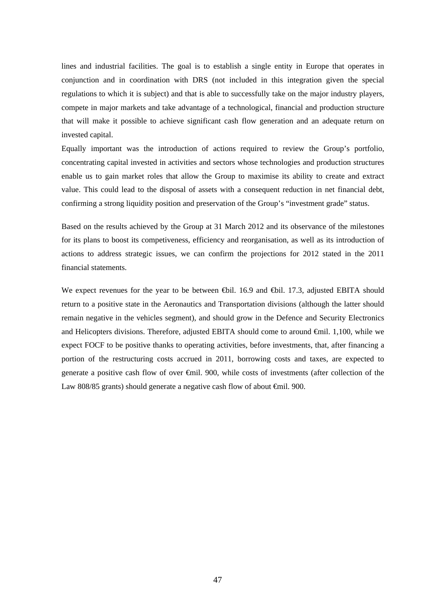lines and industrial facilities. The goal is to establish a single entity in Europe that operates in conjunction and in coordination with DRS (not included in this integration given the special regulations to which it is subject) and that is able to successfully take on the major industry players, compete in major markets and take advantage of a technological, financial and production structure that will make it possible to achieve significant cash flow generation and an adequate return on invested capital.

Equally important was the introduction of actions required to review the Group's portfolio, concentrating capital invested in activities and sectors whose technologies and production structures enable us to gain market roles that allow the Group to maximise its ability to create and extract value. This could lead to the disposal of assets with a consequent reduction in net financial debt, confirming a strong liquidity position and preservation of the Group's "investment grade" status.

Based on the results achieved by the Group at 31 March 2012 and its observance of the milestones for its plans to boost its competiveness, efficiency and reorganisation, as well as its introduction of actions to address strategic issues, we can confirm the projections for 2012 stated in the 2011 financial statements.

We expect revenues for the year to be between ⊕il. 16.9 and ⊕il. 17.3, adjusted EBITA should return to a positive state in the Aeronautics and Transportation divisions (although the latter should remain negative in the vehicles segment), and should grow in the Defence and Security Electronics and Helicopters divisions. Therefore, adjusted EBITA should come to around €mil. 1,100, while we expect FOCF to be positive thanks to operating activities, before investments, that, after financing a portion of the restructuring costs accrued in 2011, borrowing costs and taxes, are expected to generate a positive cash flow of over €mil. 900, while costs of investments (after collection of the Law 808/85 grants) should generate a negative cash flow of about €mil. 900.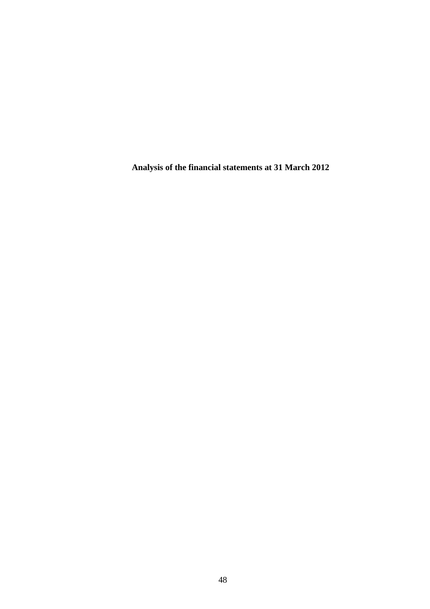**Analysis of the financial statements at 31 March 2012**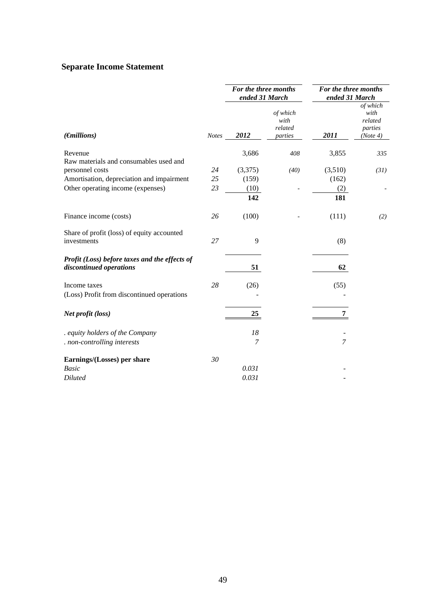# **Separate Income Statement**

|                                                                          |       | For the three months<br>ended 31 March |                                        | For the three months<br>ended 31 March |                                                    |
|--------------------------------------------------------------------------|-------|----------------------------------------|----------------------------------------|----------------------------------------|----------------------------------------------------|
| $(\epsilon)$                                                             | Notes | 2012                                   | of which<br>with<br>related<br>parties | 2011                                   | of which<br>with<br>related<br>parties<br>(Note 4) |
| Revenue                                                                  |       | 3,686                                  | 408                                    | 3,855                                  | 335                                                |
| Raw materials and consumables used and                                   |       |                                        |                                        |                                        |                                                    |
| personnel costs                                                          | 24    | (3,375)                                | (40)                                   | (3,510)                                | (31)                                               |
| Amortisation, depreciation and impairment                                | 25    | (159)                                  |                                        | (162)                                  |                                                    |
| Other operating income (expenses)                                        | 23    | (10)                                   |                                        | (2)                                    |                                                    |
|                                                                          |       | 142                                    |                                        | 181                                    |                                                    |
| Finance income (costs)                                                   | 26    | (100)                                  |                                        | (111)                                  | (2)                                                |
| Share of profit (loss) of equity accounted<br>investments                | 27    | 9                                      |                                        | (8)                                    |                                                    |
| Profit (Loss) before taxes and the effects of<br>discontinued operations |       | 51                                     |                                        | 62                                     |                                                    |
| Income taxes                                                             | 28    | (26)                                   |                                        | (55)                                   |                                                    |
| (Loss) Profit from discontinued operations                               |       |                                        |                                        |                                        |                                                    |
| Net profit (loss)                                                        |       | 25                                     |                                        | 7                                      |                                                    |
| . equity holders of the Company                                          |       | 18                                     |                                        |                                        |                                                    |
| . non-controlling interests                                              |       | 7                                      |                                        | $\overline{7}$                         |                                                    |
| Earnings/(Losses) per share                                              | 30    |                                        |                                        |                                        |                                                    |
| <b>Basic</b>                                                             |       | 0.031                                  |                                        |                                        |                                                    |
| <b>Diluted</b>                                                           |       | 0.031                                  |                                        |                                        |                                                    |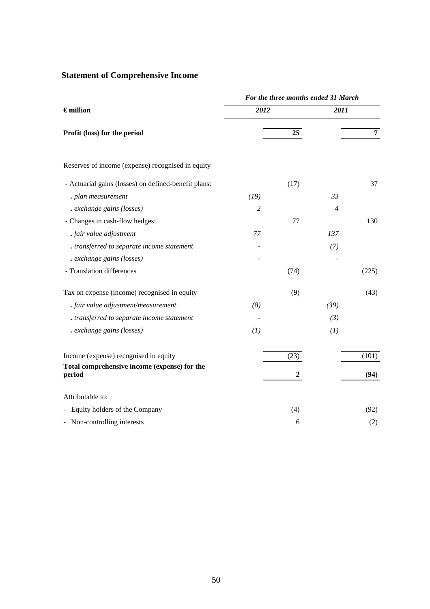# **Statement of Comprehensive Income**

|                                                        | For the three months ended 31 March |                  |                |                |  |  |  |
|--------------------------------------------------------|-------------------------------------|------------------|----------------|----------------|--|--|--|
| $\epsilon$ million                                     | 2012                                |                  | 2011           |                |  |  |  |
| Profit (loss) for the period                           |                                     | 25               |                | $\overline{7}$ |  |  |  |
| Reserves of income (expense) recognised in equity      |                                     |                  |                |                |  |  |  |
| - Actuarial gains (losses) on defined-benefit plans:   |                                     | (17)             |                | 37             |  |  |  |
| . plan measurement                                     | (19)                                |                  | 33             |                |  |  |  |
| . exchange gains (losses)                              | 2                                   |                  | $\overline{4}$ |                |  |  |  |
| - Changes in cash-flow hedges:                         |                                     | 77               |                | 130            |  |  |  |
| . fair value adjustment                                | 77                                  |                  | 137            |                |  |  |  |
| . transferred to separate income statement             |                                     |                  | (7)            |                |  |  |  |
| . exchange gains (losses)                              |                                     |                  |                |                |  |  |  |
| - Translation differences                              |                                     | (74)             |                | (225)          |  |  |  |
| Tax on expense (income) recognised in equity           |                                     | (9)              |                | (43)           |  |  |  |
| . fair value adjustment/measurement                    | (8)                                 |                  | (39)           |                |  |  |  |
| . transferred to separate income statement             |                                     |                  | (3)            |                |  |  |  |
| . exchange gains (losses)                              | (1)                                 |                  | (1)            |                |  |  |  |
| Income (expense) recognised in equity                  |                                     | (23)             |                | (101)          |  |  |  |
| Total comprehensive income (expense) for the<br>period |                                     | $\boldsymbol{2}$ |                | (94)           |  |  |  |
| Attributable to:                                       |                                     |                  |                |                |  |  |  |
| Equity holders of the Company                          |                                     | (4)              |                | (92)           |  |  |  |
| - Non-controlling interests                            |                                     | 6                |                | (2)            |  |  |  |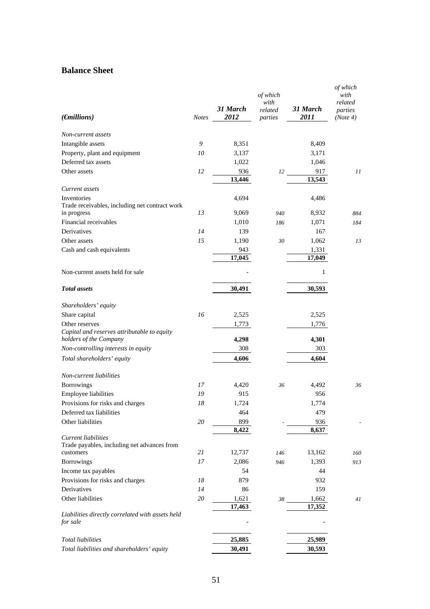# **Balance Sheet**

|                                                                       |              |                  | of which<br>with   |                  | of which<br>with<br>related |
|-----------------------------------------------------------------------|--------------|------------------|--------------------|------------------|-----------------------------|
| $(\epsilon)$                                                          | <b>Notes</b> | 31 March<br>2012 | related<br>parties | 31 March<br>2011 | parties<br>(Note 4)         |
| Non-current assets                                                    |              |                  |                    |                  |                             |
| Intangible assets                                                     | 9            | 8,351            |                    | 8,409            |                             |
| Property, plant and equipment                                         | 10           | 3,137            |                    | 3,171            |                             |
| Deferred tax assets                                                   |              | 1,022            |                    | 1,046            |                             |
| Other assets                                                          | 12           | 936              | 12                 | 917              | 11                          |
|                                                                       |              | 13,446           |                    | 13,543           |                             |
| Current assets                                                        |              |                  |                    |                  |                             |
| Inventories                                                           |              | 4,694            |                    | 4,486            |                             |
| Trade receivables, including net contract work                        |              |                  |                    |                  |                             |
| in progress                                                           | 13           | 9,069            | 940                | 8,932            | 884                         |
| Financial receivables                                                 |              | 1,010            | 186                | 1,071            | 184                         |
| Derivatives                                                           | 14           | 139              |                    | 167              |                             |
| Other assets                                                          | 15           | 1,190            | 30                 | 1,062            | 13                          |
| Cash and cash equivalents                                             |              | 943              |                    | 1,331            |                             |
|                                                                       |              | 17,045           |                    | 17,049           |                             |
| Non-current assets held for sale                                      |              |                  |                    | 1                |                             |
| <b>Total</b> assets                                                   |              | 30,491           |                    | 30,593           |                             |
| Shareholders' equity                                                  |              |                  |                    |                  |                             |
| Share capital                                                         | 16           | 2,525            |                    | 2,525            |                             |
| Other reserves                                                        |              | 1,773            |                    | 1,776            |                             |
| Capital and reserves attributable to equity<br>holders of the Company |              | 4,298            |                    | 4,301            |                             |
| Non-controlling interests in equity                                   |              | 308              |                    | 303              |                             |
| Total shareholders' equity                                            |              | 4,606            |                    | 4,604            |                             |
| Non-current liabilities                                               |              |                  |                    |                  |                             |
| Borrowings                                                            | 17           | 4,420            | 36                 | 4,492            | 36                          |
| Employee liabilities                                                  | 19           | 915              |                    | 956              |                             |
| Provisions for risks and charges                                      | 18           | 1,724            |                    | 1,774            |                             |
| Deferred tax liabilities                                              |              | 464              |                    | 479              |                             |
| Other liabilities                                                     | 20           | 899              |                    | 936              |                             |
|                                                                       |              | 8,422            |                    | 8,637            |                             |
| Current liabilities<br>Trade payables, including net advances from    |              |                  |                    |                  |                             |
| customers                                                             | 21           | 12,737           | 146                | 13,162           | 160                         |
| Borrowings                                                            | 17           | 2,086            | 946                | 1,393            | 913                         |
| Income tax payables                                                   |              | 54               |                    | 44               |                             |
| Provisions for risks and charges                                      | 18           | 879              |                    | 932              |                             |
| <b>Derivatives</b>                                                    | 14           | 86               |                    | 159              |                             |
| Other liabilities                                                     | 20           | 1,621            | 38                 | 1,662            | 41                          |
|                                                                       |              | 17,463           |                    | 17,352           |                             |
| Liabilities directly correlated with assets held<br>for sale          |              |                  |                    |                  |                             |
| <b>Total liabilities</b>                                              |              | 25,885           |                    | 25,989           |                             |
| Total liabilities and shareholders' equity                            |              | 30,491           |                    | 30,593           |                             |
|                                                                       |              |                  |                    |                  |                             |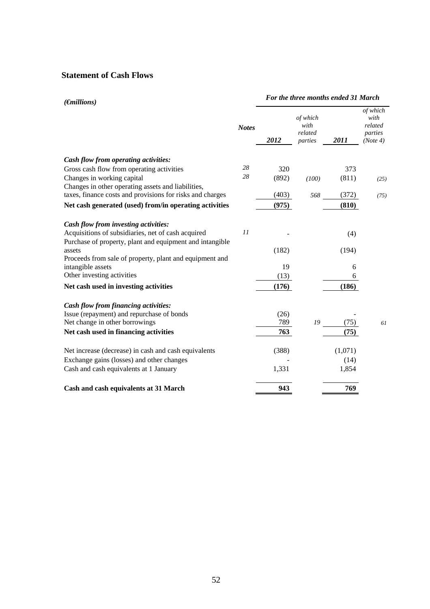# **Statement of Cash Flows**

| $(\epsilon)$                                                                                                                                           |              | For the three months ended 31 March |                                        |         |                                                    |  |
|--------------------------------------------------------------------------------------------------------------------------------------------------------|--------------|-------------------------------------|----------------------------------------|---------|----------------------------------------------------|--|
|                                                                                                                                                        | <b>Notes</b> | 2012                                | of which<br>with<br>related<br>parties | 2011    | of which<br>with<br>related<br>parties<br>(Note 4) |  |
| Cash flow from operating activities:                                                                                                                   |              |                                     |                                        |         |                                                    |  |
| Gross cash flow from operating activities                                                                                                              | 28           | 320                                 |                                        | 373     |                                                    |  |
| Changes in working capital                                                                                                                             | 28           | (892)                               | (100)                                  | (811)   | (25)                                               |  |
| Changes in other operating assets and liabilities,<br>taxes, finance costs and provisions for risks and charges                                        |              | (403)                               | 568                                    | (372)   | (75)                                               |  |
| Net cash generated (used) from/in operating activities                                                                                                 |              | (975)                               |                                        | (810)   |                                                    |  |
| Cash flow from investing activities:<br>Acquisitions of subsidiaries, net of cash acquired<br>Purchase of property, plant and equipment and intangible | II           |                                     |                                        | (4)     |                                                    |  |
| assets<br>Proceeds from sale of property, plant and equipment and                                                                                      |              | (182)                               |                                        | (194)   |                                                    |  |
| intangible assets                                                                                                                                      |              | 19                                  |                                        | 6       |                                                    |  |
| Other investing activities                                                                                                                             |              | (13)                                |                                        | 6       |                                                    |  |
| Net cash used in investing activities                                                                                                                  |              | (176)                               |                                        | (186)   |                                                    |  |
| Cash flow from financing activities:                                                                                                                   |              |                                     |                                        |         |                                                    |  |
| Issue (repayment) and repurchase of bonds                                                                                                              |              | (26)                                |                                        |         |                                                    |  |
| Net change in other borrowings                                                                                                                         |              | 789                                 | 19                                     | (75)    | 61                                                 |  |
| Net cash used in financing activities                                                                                                                  |              | 763                                 |                                        | (75)    |                                                    |  |
| Net increase (decrease) in cash and cash equivalents                                                                                                   |              | (388)                               |                                        | (1,071) |                                                    |  |
| Exchange gains (losses) and other changes                                                                                                              |              |                                     |                                        | (14)    |                                                    |  |
| Cash and cash equivalents at 1 January                                                                                                                 |              | 1,331                               |                                        | 1,854   |                                                    |  |
| Cash and cash equivalents at 31 March                                                                                                                  |              | 943                                 |                                        | 769     |                                                    |  |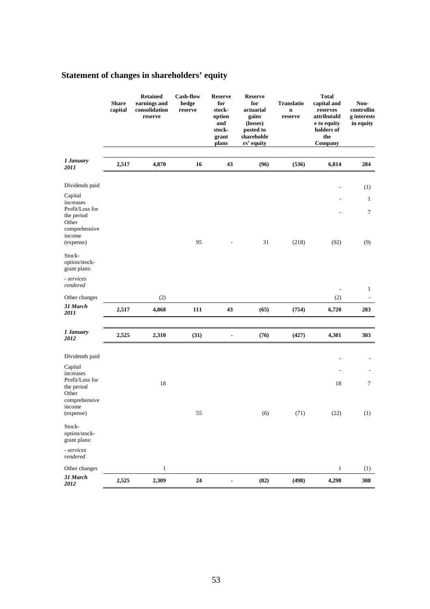|                                                                                 | <b>Share</b><br>capital | <b>Retained</b><br>earnings and<br>consolidation<br>reserve | <b>Cash-flow</b><br>hedge<br>reserve | <b>Reserve</b><br>for<br>stock-<br>option<br>and<br>stock-<br>grant<br>plans | <b>Reserve</b><br>for<br>actuarial<br>gains<br>(losses)<br>posted to<br>shareholde<br>rs' equity | <b>Translatio</b><br>$\mathbf n$<br>reserve | <b>Total</b><br>capital and<br>reserves<br>attributabl<br>e to equity<br>holders of<br>the<br>Company | Non-<br>controllin<br>g interests<br>in equity |
|---------------------------------------------------------------------------------|-------------------------|-------------------------------------------------------------|--------------------------------------|------------------------------------------------------------------------------|--------------------------------------------------------------------------------------------------|---------------------------------------------|-------------------------------------------------------------------------------------------------------|------------------------------------------------|
| 1 January<br>2011                                                               | 2,517                   | 4,870                                                       | 16                                   | 43                                                                           | (96)                                                                                             | (536)                                       | 6,814                                                                                                 | 284                                            |
| Dividends paid                                                                  |                         |                                                             |                                      |                                                                              |                                                                                                  |                                             |                                                                                                       | (1)                                            |
| Capital<br>increases                                                            |                         |                                                             |                                      |                                                                              |                                                                                                  |                                             |                                                                                                       | $\mathbf{1}$                                   |
| Profit/Loss for<br>the period<br>Other<br>comprehensive<br>income<br>(expense)  |                         |                                                             | 95                                   |                                                                              | 31                                                                                               | (218)                                       | (92)                                                                                                  | 7<br>(9)                                       |
| Stock-<br>option/stock-<br>grant plans:                                         |                         |                                                             |                                      |                                                                              |                                                                                                  |                                             |                                                                                                       |                                                |
| - services<br>rendered                                                          |                         |                                                             |                                      |                                                                              |                                                                                                  |                                             | $\overline{a}$                                                                                        | $\mathbf{1}$                                   |
| Other changes                                                                   |                         | (2)                                                         |                                      |                                                                              |                                                                                                  |                                             | (2)                                                                                                   | $\overline{\phantom{a}}$                       |
| 31 March<br>2011                                                                | 2,517                   | 4,868                                                       | 111                                  | 43                                                                           | (65)                                                                                             | (754)                                       | 6,720                                                                                                 | 283                                            |
| 1 January<br>2012                                                               | 2,525                   | 2,310                                                       | (31)                                 | $\qquad \qquad \blacksquare$                                                 | (76)                                                                                             | (427)                                       | 4,301                                                                                                 | 303                                            |
| Dividends paid                                                                  |                         |                                                             |                                      |                                                                              |                                                                                                  |                                             |                                                                                                       |                                                |
| Capital<br>increases<br>Profit/Loss for<br>the period<br>Other<br>comprehensive |                         | 18                                                          |                                      |                                                                              |                                                                                                  |                                             | 18                                                                                                    | $\tau$                                         |
| income<br>(expense)                                                             |                         |                                                             | 55                                   |                                                                              | (6)                                                                                              | (71)                                        | (22)                                                                                                  | (1)                                            |
| Stock-<br>option/stock-<br>grant plans:                                         |                         |                                                             |                                      |                                                                              |                                                                                                  |                                             |                                                                                                       |                                                |
| - services<br>rendered                                                          |                         |                                                             |                                      |                                                                              |                                                                                                  |                                             |                                                                                                       |                                                |
| Other changes                                                                   |                         | $\,1$                                                       |                                      |                                                                              |                                                                                                  |                                             | $\mathbf{1}$                                                                                          | (1)                                            |
| 31 March<br>2012                                                                | 2,525                   | 2,309                                                       | 24                                   |                                                                              | (82)                                                                                             | (498)                                       | 4,298                                                                                                 | 308                                            |

# **Statement of changes in shareholders' equity**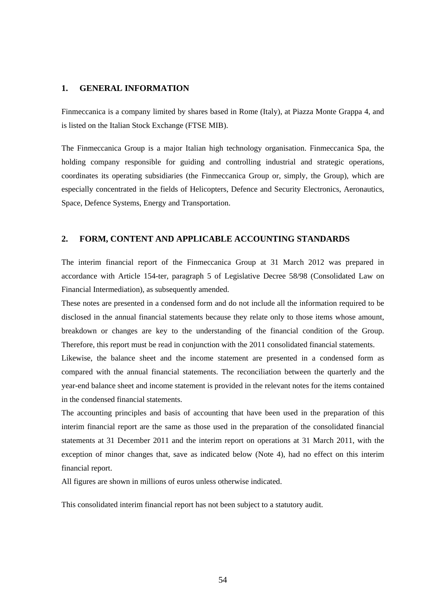#### **1. GENERAL INFORMATION**

Finmeccanica is a company limited by shares based in Rome (Italy), at Piazza Monte Grappa 4, and is listed on the Italian Stock Exchange (FTSE MIB).

The Finmeccanica Group is a major Italian high technology organisation. Finmeccanica Spa, the holding company responsible for guiding and controlling industrial and strategic operations, coordinates its operating subsidiaries (the Finmeccanica Group or, simply, the Group), which are especially concentrated in the fields of Helicopters, Defence and Security Electronics, Aeronautics, Space, Defence Systems, Energy and Transportation.

#### **2. FORM, CONTENT AND APPLICABLE ACCOUNTING STANDARDS**

The interim financial report of the Finmeccanica Group at 31 March 2012 was prepared in accordance with Article 154-ter, paragraph 5 of Legislative Decree 58/98 (Consolidated Law on Financial Intermediation), as subsequently amended.

These notes are presented in a condensed form and do not include all the information required to be disclosed in the annual financial statements because they relate only to those items whose amount, breakdown or changes are key to the understanding of the financial condition of the Group. Therefore, this report must be read in conjunction with the 2011 consolidated financial statements.

Likewise, the balance sheet and the income statement are presented in a condensed form as compared with the annual financial statements. The reconciliation between the quarterly and the year-end balance sheet and income statement is provided in the relevant notes for the items contained in the condensed financial statements.

The accounting principles and basis of accounting that have been used in the preparation of this interim financial report are the same as those used in the preparation of the consolidated financial statements at 31 December 2011 and the interim report on operations at 31 March 2011, with the exception of minor changes that, save as indicated below (Note 4), had no effect on this interim financial report.

All figures are shown in millions of euros unless otherwise indicated.

This consolidated interim financial report has not been subject to a statutory audit.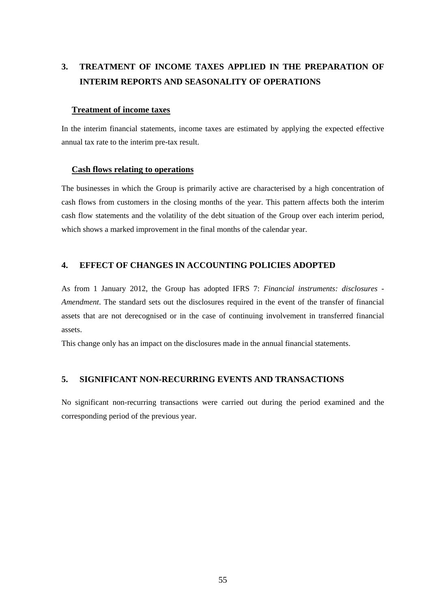# **3. TREATMENT OF INCOME TAXES APPLIED IN THE PREPARATION OF INTERIM REPORTS AND SEASONALITY OF OPERATIONS**

#### **Treatment of income taxes**

In the interim financial statements, income taxes are estimated by applying the expected effective annual tax rate to the interim pre-tax result.

#### **Cash flows relating to operations**

The businesses in which the Group is primarily active are characterised by a high concentration of cash flows from customers in the closing months of the year. This pattern affects both the interim cash flow statements and the volatility of the debt situation of the Group over each interim period, which shows a marked improvement in the final months of the calendar year.

### **4. EFFECT OF CHANGES IN ACCOUNTING POLICIES ADOPTED**

As from 1 January 2012, the Group has adopted IFRS 7: *Financial instruments: disclosures - Amendment*. The standard sets out the disclosures required in the event of the transfer of financial assets that are not derecognised or in the case of continuing involvement in transferred financial assets.

This change only has an impact on the disclosures made in the annual financial statements.

#### **5. SIGNIFICANT NON-RECURRING EVENTS AND TRANSACTIONS**

No significant non-recurring transactions were carried out during the period examined and the corresponding period of the previous year.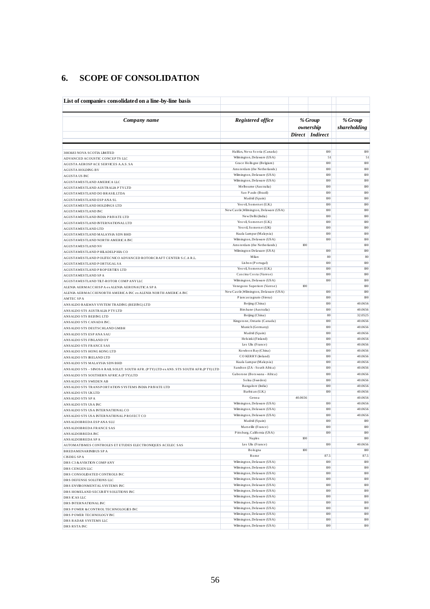#### **SCOPE OF CONSOLIDATION** 6.

| List of companies consolidated on a line-by-line basis                                         |                                                           |                                           |                  |                         |
|------------------------------------------------------------------------------------------------|-----------------------------------------------------------|-------------------------------------------|------------------|-------------------------|
| Company name                                                                                   | Registered office                                         | % Group<br>ownership<br>Direct   Indirect |                  | % Group<br>shareholding |
|                                                                                                |                                                           |                                           |                  |                         |
| 3083683 NOVA SCOTIA LIMITED                                                                    | Halifax, Nova Scotia (Canada)                             |                                           | 100              | 100                     |
| ADVANCED ACOUSTIC CONCEPTS LLC                                                                 | Wilmington, Delaware (USA)                                |                                           | 51               | 51                      |
| AGUSTA AEROSP ACE SERVICES A.A.S. SA                                                           | Grace Hollogne (Belgium)                                  |                                           | 100              | 100                     |
| <b>AGUSTA HOLDING BV</b>                                                                       | Amsterdam (the Netherlands)<br>Wilmington, Delaware (USA) |                                           | 100              | 100                     |
| AGUSTA US INC                                                                                  | Wilmington, Delaware (USA)                                |                                           | 100<br>100       | 100<br>100              |
| AGUSTAWESTLAND AMERICA LLC<br>AGUSTAWESTLAND AUSTRALIA PTYLTD                                  | Melbourne (Australia)                                     |                                           | 100              | 100                     |
| AGUSTAWESTLAND DO BRASILLTDA                                                                   | Sao Paulo (Brazil)                                        |                                           | 100              | 100                     |
| AGUSTAWESTLAND ESP ANA SL                                                                      | Madrid (Spain)                                            |                                           | 100              | 100                     |
| AGUSTAWESTLAND HOLDINGS LTD                                                                    | Yeo vil, Somerset (U.K.)                                  |                                           | 100              | 100                     |
| AGUSTAWESTLAND INC                                                                             | New Castle, Wilmington, Delaware (USA)                    |                                           | 100              | 100                     |
| AGUSTAWESTLAND INDIA PRIVATE LTD                                                               | New Delhi (India)                                         |                                           | 100              | 100                     |
| AGUSTAWESTLAND INTERNATIONALLTD                                                                | Yeo vil, Somerset (U.K.)                                  |                                           | 100              | 100                     |
| AGUSTAWESTLAND LTD                                                                             | Yeo vil, Somers et (UK)                                   |                                           | 100              | 100                     |
| AGUSTAWESTLAND MALAYSIA SDN BHD                                                                | Kuala Lumpur (Malaysia)                                   |                                           | 100              | 100                     |
| AGUSTAWESTLAND NORTH AMERICA INC                                                               | Wilmington, Delaware (USA)<br>Amsterdam (the Netherlands) | 100                                       | 100              | 100<br>100              |
| AGUSTAWESTLAND NV                                                                              | Wilmington Delaware (USA)                                 |                                           | 100              | 100                     |
| AGUSTAWESTLAND PHILADELPHIA CO                                                                 | Milan                                                     |                                           | 80               | 80                      |
| AGUSTAWESTLAND POLITECNICO ADVANCED ROTORCRAFT CENTER S.C.A R.L.<br>AGUSTAWESTLAND PORTUGAL SA | Lis bon (Portugal)                                        |                                           | 100              | 100                     |
| AGUSTAWESTLAND PROPERTIES LTD                                                                  | Yeo vil, Somers et (U.K.)                                 |                                           | 100              | 100                     |
| AGUSTAWESTLAND SPA                                                                             | Cascina Costa (Varese)                                    |                                           | 100              | 100                     |
| AGUSTAWESTLAND TILT-ROTOR COMP ANY LLC                                                         | Wilmington, Delaware (USA)                                |                                           | 100              | 100                     |
| ALENIA AERMACCHISPA ex ALENIA AERONAUTICA SPA                                                  | Venegono Superiore (Varese)                               | 100                                       |                  | 100                     |
| ALENIA AERMACCHINORTH AMERICA INC ex ALENIA NORTH AMERICA INC                                  | New Castle, Wilmington, Delaware (USA)                    |                                           | 100              | 100                     |
| <b>AMTEC SPA</b>                                                                               | Piancastagnaio (Siena)                                    |                                           | 100              | 100                     |
| ANS ALDO RAILWAY SYSTEM TRADING (BEIJING) LTD                                                  | Beijing (China)                                           |                                           | 100              | 40.0656                 |
| ANSALDO STS AUSTRALIA PTYLTD                                                                   | Birs bane (Australia)<br>Beijing (China)                  |                                           | 100              | 40.0656                 |
| ANSALDO STS BEIJ NG LTD                                                                        | Kingstone, Ontario (Canada)                               |                                           | 80<br>100        | 32.0525<br>40.0656      |
| ANSALDO STS CANADA INC.                                                                        | Munich (Germany)                                          |                                           | 100              | 40.0656                 |
| ANSALDO STS DEUTSCHLAND GMBH<br>ANSALDO STS ESP ANA SAU                                        | Madrid (Spain)                                            |                                           | 100              | 40.0656                 |
| ANSALDO STS FINLAND OY                                                                         | Hels inki (Finland)                                       |                                           | 100              | 40.0656                 |
| ANSALDO STS FRANCE SAS                                                                         | Les Ulis (France)                                         |                                           | 100              | 40.0656                 |
| ANSALDO STS HONG KONG LTD                                                                      | Kowloon Bay (China)                                       |                                           | 100              | 40.0656                 |
| ANSALDO STS IRELAND LTD                                                                        | CO KERRY (Ireland)                                        |                                           | 100              | 40.0656                 |
| ANSALDO STS MALAYSIA SDN BHD                                                                   | Kuala Lumpur (Malaysia)                                   |                                           | 100              | 40.0656                 |
| ANSALDO STS - SINOSA RAIL SOLUT. SOUTH AFR. (PTY) LTD ex ANS. STS SOUTH AFR. (PTY) LTD         | Sandton (ZA - South Africa)                               |                                           | 100              | 40.0656                 |
| ANSALDO STS SOUTHERN AFRICA (PTY) LTD                                                          | Gaborone (Botswana - Africa)                              |                                           | 100              | 40.0656                 |
| ANSALDO STS SWEDEN AB                                                                          | Solna (Sweden)                                            |                                           | 100<br>100       | 40.0656                 |
| ANSALDO STS TRANSPORTATION SYSTEMS INDIA PRIVATE LTD                                           | Bangalore (India)<br>Barbican (U.K.)                      |                                           | 100              | 40.0656<br>40.0656      |
| ANSALDO STS UKLTD                                                                              | Genoa                                                     | 40.0656                                   |                  | 40.0656                 |
| ANSALDO STS SPA<br>ANSALDO STS USA INC                                                         | Wilmington, Delaware (USA)                                |                                           | 100              | 40.0656                 |
| ANSALDO STS USA INTERNATIONAL CO                                                               | Wilmington, Delaware (USA)                                |                                           | 100              | 40.0656                 |
| ANSALDO STS USA INTERNATIONAL PROJECT CO                                                       | Wilmington, Delaware (USA)                                |                                           | 100              | 40.0656                 |
| ANS ALDOBREDA ESP ANA SLU                                                                      | Madrid (Spain)                                            |                                           | 100              | 100                     |
| ANSALDOBREDA FRANCE SAS                                                                        | Marseille (France)                                        |                                           | 100              | 100                     |
| ANS ALDOBREDA INC                                                                              | Pitts burg, California (USA)                              |                                           | 100              | 100                     |
| ANSALDOBREDA SPA                                                                               | Naples                                                    | 100                                       |                  | 100                     |
| AUTOMATISMES CONTROLES ET ETUDES ELECTRONIQUES ACELEC SAS                                      | Les Ulis (France)                                         |                                           | 100              | 40.0656                 |
| <b>BREDAMENARINIBUS SPA</b>                                                                    | Bologna<br>Rome                                           | 100                                       | 87.5             | 100<br>87.5             |
| <b>CISDEGSPA</b>                                                                               | Wilmington, Delaware (USA)                                |                                           | 100              | 100                     |
| DRS C3 & AVIATION COMPANY<br>DRS CENGEN LLC                                                    | Wilmington, Delaware (USA)                                |                                           | 100              | 100                     |
| DRS CONSOLIDATED CONTROLS INC                                                                  | Wilmington, Delaware (USA)                                |                                           | 100              | 100                     |
| DRS DEFENSE SOLUTIONS LLC                                                                      | Wilmington, Delaware (USA)                                |                                           | 100              | 100                     |
| DRS ENVIRONMENTAL SYSTEMS INC                                                                  | Wilmington, Delaware (USA)                                |                                           | 100              | 100                     |
| DRS HOMELAND SECURITY SOLUTIONS INC                                                            | Wilmington, Delaware (USA)                                |                                           | 100              | 100                     |
| DRS ICAS LLC                                                                                   | Wilmington, Delaware (USA)                                |                                           | 100              | 100                     |
| DRS INTERNATIONAL INC                                                                          | Wilmington, Delaware (USA)                                |                                           | 100              | 100                     |
| DRS POWER & CONTROLTECHNOLOGIES INC                                                            | Wilmington, Delaware (USA)                                |                                           | 100              | 100                     |
| DRS POWER TECHNOLOGY INC                                                                       | Wilmington, Delaware (USA)                                |                                           | 100              | 100                     |
| DRS RADAR SYSTEMS LLC                                                                          | Wilmington, Delaware (USA)<br>Wilmington, Delaware (USA)  |                                           | 100              | 100                     |
| DRS RSTA INC                                                                                   |                                                           |                                           | 100 <sub>1</sub> | 100                     |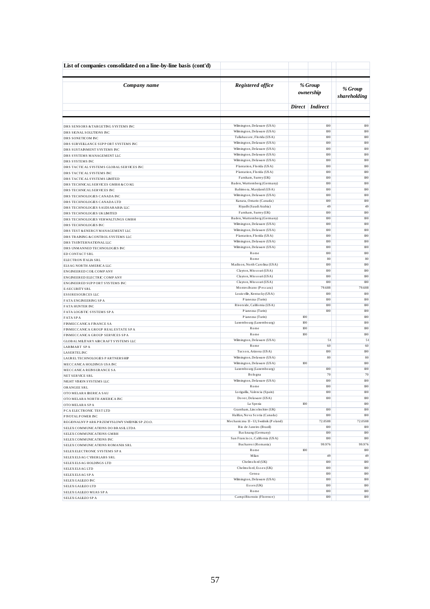| List of companies consolidated on a line-by-line basis (cont'd)  |                                                          |            |                                                 |            |
|------------------------------------------------------------------|----------------------------------------------------------|------------|-------------------------------------------------|------------|
|                                                                  |                                                          |            |                                                 |            |
| Company name                                                     | Registered office                                        |            | % Group<br>% Group<br>ownership<br>shareholding |            |
|                                                                  |                                                          |            | Direct Indirect                                 |            |
|                                                                  | Wilmington, Delaware (USA)                               |            | 100                                             | 100        |
| DRS SENSORS & TARGETING SYSTEMS INC                              | Wilmington, Delaware (USA)                               |            | $100$                                           | 100        |
| DRS SIGNAL SOLUTIONS INC<br>DRS SONETICOM INC                    | Tallahassee, Florida (USA)                               |            | 100                                             | 100        |
| DRS SURVEILLANCE SUPPORT SYSTEMS INC                             | Wilmington, Delaware (USA)                               |            | 100                                             | 100        |
| DRS SUSTAINMENT SYSTEMS INC                                      | Wilmington, Delaware (USA)                               |            | 100                                             | 100        |
| DRS SYSTEMS MANAGEMENT LLC                                       | Wilmington, Delaware (USA)                               |            | 100                                             | 100        |
| DRS SYSTEMS INC                                                  | Wilmington, Delaware (USA)                               |            | $100$                                           | 100        |
| DRS TACTICALSYSTEMS GLOBAL SERVICES INC                          | Plantation, Florida (USA)                                |            | 100                                             | 100        |
| DRS TACTICALSYSTEMS INC                                          | Plantation, Florida (USA)<br>Farnham, Surrey (UK)        |            | 100<br>100                                      | 100<br>100 |
| DRS TACTICAL SYSTEMS LIMITED                                     | Baden, Wurttemberg (Germany)                             |            | 100                                             | 100        |
| DRS TECHNICAL SERVICES GMBH & COKG<br>DRS TECHNICAL SERVICES INC | Baltimora, Maryland (USA)                                |            | 100                                             | 100        |
| DRS TECHNOLOGIES CANADA INC                                      | Wilmington, Delaware (USA)                               |            | 100                                             | 100        |
| DRS TECHNOLOGIES CANADA LTD                                      | Kanata, Ontario (Canada)                                 |            | 100                                             | 100        |
| DRS TECHNOLOGIES SAUDIARABIA LLC                                 | Riyadh (Saudi Arabia)                                    |            | 49                                              | 49         |
| DRS TECHNOLOGIES UKLIMITED                                       | Farnham, Surrey (UK)                                     |            | 100                                             | 100        |
| DRS TECHNOLOGIES VERWALTUNGS GMBH                                | Baden, Wurttemberg (Germany)                             |            | 100                                             | 100        |
| DRS TECHNOLOGIES INC                                             | Wilmington, Delaware (USA)                               |            | 100                                             | 100        |
| DRS TEST & ENERGY MANAGEMENT LLC                                 | Wilmington, Delaware (USA)                               |            | 100                                             | 100        |
| DRS TRAINING & CONTROL SYSTEMS LLC                               | Plantation, Florida (USA)                                |            | 100                                             | 100        |
| DRS TSIINTERNATIONALLLC                                          | Wilmington, Delaware (USA)<br>Wilmington, Delaware (USA) |            | 100<br>100                                      | 100<br>100 |
| DRS UNMANNED TECHNOLOGIES INC                                    | Rome                                                     |            | 100                                             | 100        |
| ED CONTACT SRL                                                   | Rome                                                     |            | 80                                              | 80         |
| ELECTRON ITALIA SRL<br>ELSAG NORTH AMERICA LLC                   | Madison, North Carolina (USA)                            |            | 100                                             | 100        |
| ENGINEER ED COIL COMPANY                                         | Clayton, Missouri (USA)                                  |            | 100                                             | 100        |
| ENGINEERED ELECTRIC COMPANY                                      | Clayton, Missouri (USA)                                  |            | 100                                             | 100        |
| ENGINEERED SUPPORT SYSTEMS INC                                   | Clayton, Missouri (USA)                                  |            | 100                                             | 100        |
| E-SECURITY SRL                                                   | Montes ilvano (Pescara)                                  |            | 79.688                                          | 79.688     |
| ESSIRESOURCES LLC                                                | Louis ville, Kentucky (USA)                              |            | 100                                             | 100        |
| FATA ENGINEERING SPA                                             | Pianezza (Turin)                                         |            | 100                                             | 100        |
| <b>FATA HUNTER INC</b>                                           | Riverside, California (USA)                              |            | 100                                             | 100        |
| FATA LOGISTIC SYSTEMS SPA                                        | Pianezza (Turin)                                         |            | 100                                             | 100        |
| <b>FATASPA</b>                                                   | Pianezza (Turin)                                         | 100        |                                                 | 100        |
| FINMECCANICA FINANCE SA                                          | Luxembourg (Luxembourg)<br>Rome                          | 100<br>100 |                                                 | 100<br>100 |
| FINMECCANICA GROUP REALESTATE SPA                                | Rome                                                     | 100        |                                                 | 100        |
| FINMECCANICA GROUP SERVICES SPA                                  | Wilmington, Delaware (USA)                               |            | 51                                              | 51         |
| GLOBAL MILITARY AIRCRAFT SYSTEMS LLC<br><b>LARMART SPA</b>       | Rome                                                     |            | 60                                              | 60         |
| <b>LASERTEL INC</b>                                              | Tucson, Arizona (USA)                                    |            | 100                                             | 100        |
| LAUREL TECHNOLOGIES PARTNERSHIP                                  | Wilmington, Delaware (USA)                               |            | 80                                              | 80         |
| MECCANICA HOLDINGS USA INC                                       | Wilmington, Delaware (USA)                               | 100        |                                                 | 100        |
| MECCANICA REINSURANCE SA                                         | Luxembourg (Luxembourg)                                  |            | 100                                             | 100        |
| NET SERVICE SRL                                                  | Bologna                                                  |            | 70                                              | 70         |
| NIGHT VISION SYSTEMS LLC                                         | Wilmington, Delaware (USA)                               |            | $100$                                           | 100        |
| ORANGEE SRL                                                      | Rome                                                     |            | 100                                             | 100        |
| OTO MELARA IBERICA SAU                                           | Lo riguilla, Valencia (Spain)                            |            | 100                                             | 100        |
| OTO MELARA NORTH AMERICA INC                                     | Dover, Delaware (USA)                                    | 100        | 100                                             | 100<br>100 |
| OTO MELARA SPA                                                   | La Spezia<br>Grantham, Lincolns hire (UK)                |            | 100                                             | 100        |
| P CA ELECTRONIC TEST LTD<br>P IVOTAL P OWER INC                  | Halifax, Nova Scotia (Canada)                            |            | 100                                             | 100        |
| REGIONALNYPARKPRZEMYSLOWYSWIDNIKSP.ZO.O.                         | Mechaniczna 13 - Ul, Swidnik (Poland)                    |            | 72.0588                                         | 72.0588    |
| SELEX COMMUNICATIONS DO BRASILLTDA                               | Rio de Janeiro (Brazil)                                  |            | 100                                             | 100        |
| SELEX COMMUNICATIONS GMBH                                        | Backnang (Germany)                                       |            | 100                                             | 100        |
| SELEX COMMUNICATIONS INC                                         | San Francisco, California (USA)                          |            | 100                                             | 100        |
| SELEX COMMUNICATIONS ROMANIA SRL                                 | Bucharest (Romania)                                      |            | 99.976                                          | 99.976     |
| SELEX ELECTRONIC SYSTEMS SPA                                     | Rome                                                     | 100        |                                                 | 100        |
| SELEXELSAG CYBERLABS SRL                                         | Milan                                                    |            | 49                                              | 49         |
| SELEXELSAG HOLDINGS LTD                                          | Chelms ford (UK)                                         |            | 100                                             | 100        |
| SELEX ELSAG LTD                                                  | Chelms ford, Essex (UK)                                  |            | 100                                             | 100        |
| SELEXELSAG SPA                                                   | Genoa                                                    |            | 100                                             | 100        |
| SELEX GALLEO INC                                                 | Wilmington, Delaware (USA)                               |            | $100\,$                                         | 100        |
| SELEX GALLEO LTD                                                 | $E$ s s e x (UK)                                         |            | 100                                             | 100        |
| SELEX GALLEO MUAS SP A                                           | Rome                                                     |            | 100                                             | 100        |
| SELEX GALLEO SPA                                                 | Campi Bisenzio (Florence)                                |            | $100\,$                                         | 100        |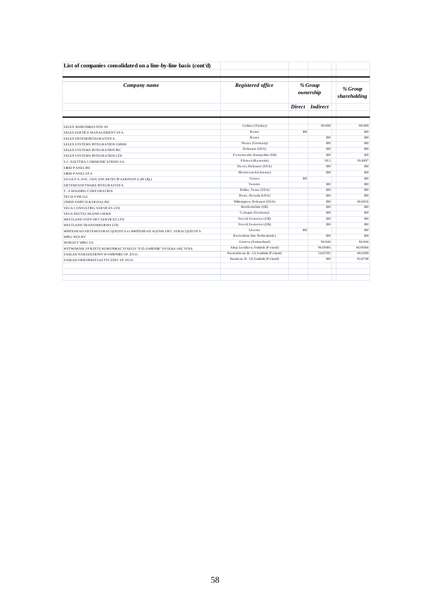| List of companies consolidated on a line-by-line basis (cont'd)        |                                           |     |                      |                         |
|------------------------------------------------------------------------|-------------------------------------------|-----|----------------------|-------------------------|
| Company name                                                           | Registered office                         |     | % Group<br>ownership | % Group<br>shareholding |
|                                                                        |                                           |     | Direct Indirect      |                         |
|                                                                        |                                           |     |                      |                         |
| SELEX KOMUNIKASYON AS                                                  | Golbasi (Turkey)                          |     | 99.999               | 99.999                  |
| SELEX SERVICE MANAGEMENT SPA                                           | Rome                                      | 100 |                      | 100                     |
| SELEX SISTEMINTEGRATISP A                                              | Rome                                      |     | 100                  | 100                     |
| SELEX SYSTEMS INTEGRATION GMBH                                         | Neuss (Germany)                           |     | 100                  | 100                     |
| SELEX SYSTEMS INTEGRATION INC.                                         | Delaware (USA)                            |     | 100                  | 100                     |
| SELEX SYSTEMS INTEGRATION LTD                                          | Ports mouth, Hampshire (UK)               |     | 100                  | 100                     |
| S.C. ELETTRA COMMUNICATIONS SA                                         | Ploiesti (Romania)                        |     | 50.5                 | 50.4997                 |
| <b>SIRIO PANELINC</b>                                                  | Do ver, Delaware (USA)                    |     | 100                  | 100                     |
| <b>SIRIO PANEL SPA</b>                                                 | Montevarchi (Arezzo)                      |     | 100                  | 100                     |
| SO.GE.P A. SOC. GEN. DIP ARTECP AZIONISP A (IN LIQ.)                   | Genoa                                     | 100 |                      | 100                     |
| SISTEMISOFTWARE INTEGRATISPA                                           | Taranto                                   |     | 100                  | 100                     |
| <b>T-SHOLDING CORPORATION</b>                                          | Dallas, Texas (USA)                       |     | 100                  | 100                     |
| TECH-SYM LLC                                                           | Reno, Nevada (USA)                        |     | 100                  | 100                     |
| UNION SWITCH & SIGNAL INC                                              | Wilmington, Delaware (USA)                |     | 100                  | 40.0656                 |
| VEGA CONSULTING SERVICES LTD                                           | Hertfords hire (UK)                       |     | 100                  | 100                     |
| VEGA DEUTS CHLAND GMBH                                                 | Cologne (Germany)                         |     | 100                  | 100                     |
| WESTLAND SUPPORT SERVICES LTD                                          | Yeo vil, Somers et (UK)                   |     | 100                  | 100                     |
| WESTLAND TRANSMISSIONS LTD                                             | Yeo vil, Somers et (UK)                   |     | 100                  | 100                     |
| WHITEHEAD SISTEMISUBACQUEISP A ex WHITEHEAD ALENIA SIST. SUBACQUEISP A | Livo mo                                   | 100 |                      | 100                     |
| WING NED BV                                                            | Rotterdam (the Netherlands)               |     | 100                  | 100                     |
| WORLD'S WING SA                                                        | Geneva (Switzerland)                      |     | 94.944               | 94.944                  |
| WYTWORNIA SP RZETU KOMUNIKACYJ NEGO "PZL-SWIDNIK" SP OLKA AKCYJ NA     | Ale ja Lotnikow, Swidnik (Poland)         |     | 96.09166             | 96.09166                |
| ZAKLAD NARZEDZIOWY W SWIDNIKU SP.ZO.O.                                 | Narzedzio wa 16 - Ul, S widnik (P o land) |     | 51.65785             | 49.6389                 |
| ZAKLAD OBROBKIP LASTYCZNEJ SP.ZO.O.                                    | Kuznicza 13 - Ul, Swidnik (Poland)        |     | 100                  | 93.8748                 |
|                                                                        |                                           |     |                      |                         |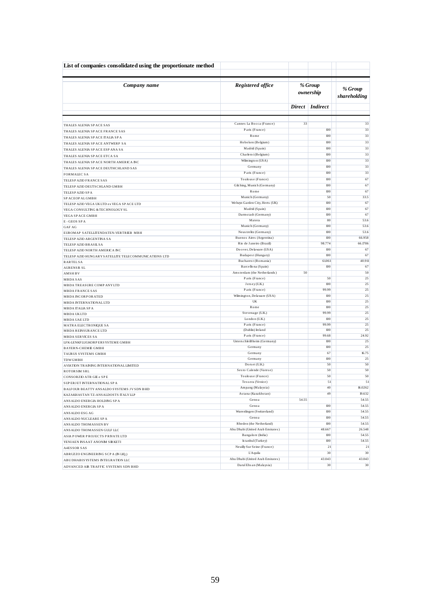| List of companies consolidated using the proportionate method |                                                  |       |                      |                         |  |
|---------------------------------------------------------------|--------------------------------------------------|-------|----------------------|-------------------------|--|
| Company name                                                  | Registered office                                |       | % Group<br>ownership | % Group<br>shareholding |  |
|                                                               |                                                  |       | Direct Indirect      |                         |  |
|                                                               |                                                  |       |                      |                         |  |
| THALES ALENIA SPACE SAS                                       | Cannes La Bocca (France)<br>Paris (France)       | 33    | 100                  | 33<br>33                |  |
| THALES ALENIA SP ACE FRANCE SAS                               | Rome                                             |       | 100                  | 33                      |  |
| THALES ALENIA SP ACE ITALIA SP A                              | Hoboken (Belgium)                                |       | 100                  | 33                      |  |
| THALES ALENIA SPACE ANTWERP SA                                | Madrid (Spain)                                   |       | 100                  | 33                      |  |
| THALES ALENIA SP ACE ESP ANA SA                               | Charleroi (Belgium)                              |       | 100                  | 33                      |  |
| THALES ALENIA SP ACE ETCA SA                                  | Wilmington (USA)                                 |       | 100                  | 33                      |  |
| THALES ALENIA SP ACE NORTH AMERICA INC                        | Germany                                          |       | 100                  | 33                      |  |
| THALES ALENIA SP ACE DEUTHCHLAND SAS                          | Paris (France)                                   |       | 100                  | 33                      |  |
| <b>FORMALEC SA</b>                                            | Toulouse (France)                                |       | 100                  | 67                      |  |
| TELESP AZIO FRANCE SAS                                        | Gilching, Munich (Germany)                       |       | 100                  | 67                      |  |
| TELESP AZIO DEUTSCHLAND GMBH<br>TELESP AZIO SP A              | Rome                                             |       | 100                  | 67                      |  |
| SP ACEOPAL GMBH                                               | Munich (Germany)                                 |       | 50                   | 33.5                    |  |
| TELESP AZIO VEGA UK LTD ex VEGA SP ACE LTD                    | Welwyn Garden City, Herts (UK)                   |       | 100                  | 67                      |  |
| VEGA CONSULTING & TECHNOLOGY SL                               | Madrid (Spain)                                   |       | 100                  | 67                      |  |
| VEGA SPACE GMBH                                               | Darmstadt (Germany)                              |       | 100                  | 67                      |  |
| E-GEOS SPA                                                    | Matera                                           |       | 80                   | 53.6                    |  |
| GAF AG                                                        | Munich (Germany)                                 |       | 100                  | 53.6                    |  |
| EUROMAP SATELLITENDATEN-VERTRIEB MBH                          | Neus trelitz (Germany)                           |       | 100                  | 53.6                    |  |
| TELESP AZIO ARGENTINA SA                                      | Buenos Aires (Argentina)                         |       | 100                  | 66.958                  |  |
| TELESP AZIO BRASIL SA                                         | Rio de Janeiro (Brazil)                          |       | 98.774               | 66.1786                 |  |
| TELESP AZIO NORTH AMERICA INC                                 | Doover, Delaware (USA)                           |       | 100                  | 67                      |  |
| TELESP AZIO HUNGARY SATELLITE TELECOMMUNICATIONS LTD          | Budapest (Hungary)                               |       | 100                  | 67                      |  |
| <b>RARTELSA</b>                                               | Bucharest (Romania)<br>Barcellona (Spain)        |       | 61061<br>100         | 40.911                  |  |
| <b>AURENSIS SL</b>                                            | Amsterdam (the Netherlands)                      | 50    |                      | 67<br>50                |  |
| <b>AMSHBV</b>                                                 | Paris (France)                                   |       | 50                   | 25                      |  |
| MBDA SAS<br>MBDA TREASURE COMPANYLTD                          | Jersey (U.K.)                                    |       | 100                  | 25                      |  |
| <b>MBDA FRANCE SAS</b>                                        | Paris (France)                                   |       | 99.99                | 25                      |  |
| <b>MBDA INCORPORATED</b>                                      | Wilmington, Delaware (USA)                       |       | 100                  | 25                      |  |
| MBDA INTERNATIONAL LTD                                        | UK                                               |       | 100                  | 25                      |  |
| MBDA ITALIA SP A                                              | Rome                                             |       | 100                  | 25                      |  |
| MBDA UKLTD                                                    | Stevenage (U.K.)                                 |       | 99.99                | 25                      |  |
| MBDA UAE LTD                                                  | London (U.K.)                                    |       | 100                  | 25                      |  |
| MATRA ELECTRONIQUE SA                                         | Paris (France)                                   |       | 99.99                | 25                      |  |
| MBDA REINSURANCE LTD                                          | (Dublin) Ireland                                 |       | 100                  | 25                      |  |
| MBDA SERVICES SA                                              | Paris (France)                                   |       | 99.68<br>100         | 24.92<br>25             |  |
| LFK-LENKFLUGKORPERSYSTEME GMBH                                | Unters chleiBheim (Germany)<br>Germany           |       | 100                  | 25                      |  |
| <b>BAYERN-CHEMIE GMBH</b>                                     | Germany                                          |       | 67                   | 16.75                   |  |
| TAURUS SYSTEMS GMBH<br>TDWGMBH                                | Germany                                          |       | 100                  | 25                      |  |
| AVIATION TRAINING INTERNATIONAL LIMITED                       | Dorset (U.K.)                                    |       | 50                   | 50                      |  |
| <b>ROTORSM SRL</b>                                            | Sesto Calende (Varese)                           |       | 50                   | 50                      |  |
| CONSORZIO ATR GE e SPE                                        | Toulouse (France)                                |       | 50                   | 50                      |  |
| SUP ERJET INTERNATIONAL SPA                                   | Tessera (Venice)                                 |       | 51                   | 51                      |  |
| BALFOUR BEATTY ANSALDO SYSTEMS JVSDN BHD                      | Ampang (Malaysia)                                |       | 40                   | 16.0262                 |  |
| KAZAKHASTAN TZ-ANSALDOSTS ITALYLLP                            | Astana (Kazakhstan)                              |       | 49                   | 19.632                  |  |
| ANS ALDO ENERGIA HOLDING SP A                                 | Genoa                                            | 54.55 |                      | 54.55                   |  |
| ANS ALDO ENERGIA SP A                                         | Genoa                                            |       | 100                  | 54.55                   |  |
| ANSALDO ESG AG                                                | Wurenlingen (Switzerland)                        |       | 100                  | 54.55                   |  |
| ANS ALDO NUCLEARE SPA                                         | Genoa                                            |       | 100                  | 54.55                   |  |
| ANSALDO THOMASSEN BV                                          | Rheden (the Netherland)                          |       | 100                  | 54.55                   |  |
| ANSALDO THOMASSEN GULF LLC                                    | Abu Dhabi (United Arab Emirates)                 |       | 48.667               | 26.548                  |  |
| ASIA POWER PROJECTS PRIVATE LTD                               | Bangalore (India)                                |       | 100                  | 54.55                   |  |
| YENIAEN INSAAT ANONIM SIRKETI                                 | Is tanbul (Turkey)<br>Neuilly Sur Seine (France) |       | 100<br>21            | 54.55<br>21             |  |
| A4ESSOR SAS                                                   | $L'A$ quila                                      |       | 30                   | 30                      |  |
| ABRUZZO ENGINEERING SCP A (IN LIQ.)                           | Abu Dhabi (United Arab Emirates)                 |       | 43.043               | 43.043                  |  |
| ABU DHABIS YSTEMS INTEGRATION LLC                             | Darul Ehs an (Malaysia)                          |       | 30                   | 30                      |  |
| ADVANCED AIR TRAFFIC SYSTEMS SDN BHD                          |                                                  |       |                      |                         |  |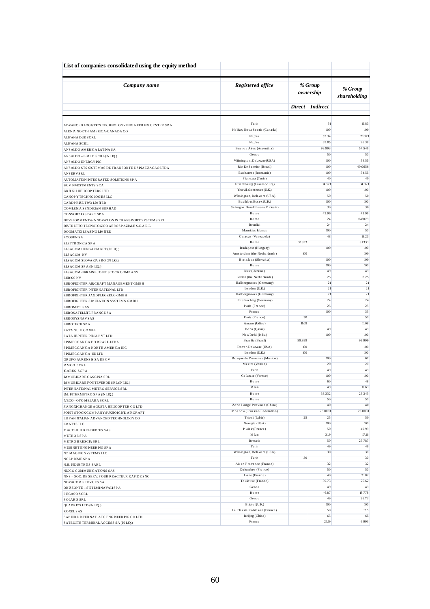| List of companies consolidated using the equity method                              |                                                          |                      |                 |                         |
|-------------------------------------------------------------------------------------|----------------------------------------------------------|----------------------|-----------------|-------------------------|
| Company name                                                                        | Registered office                                        | % Group<br>ownership |                 | % Group<br>shareholding |
|                                                                                     |                                                          |                      | Direct Indirect |                         |
| ADVANCED LOGISTICS TECHNOLOGY ENGINEERING CENTER SP A                               | Turin                                                    |                      | 51              | 16.83                   |
| ALENIA NORTH AMERICA-CANADA CO                                                      | Halifax, Nova Scotia (Canada)                            |                      | 100             | 100                     |
| ALFANA DUE SCRL                                                                     | <b>Naples</b>                                            |                      | 53.34           | 21.371                  |
| ALFANA SCRL                                                                         | <b>Naples</b>                                            |                      | 65.85           | 26.38                   |
| ANS ALDO AMERICA LATINA SA                                                          | Buenos Aires (Argentina)                                 |                      | 99.993          | 54.546                  |
| ANSALDO - E.M.IT. SCRL (IN LIQ.)                                                    | Genoa<br>Wilmington, Delaware (USA)                      |                      | 50              | 50                      |
| ANS ALDO ENERGY INC                                                                 | Rio De Janeiro (Brazil)                                  |                      | 100<br>100      | 54.55<br>40.0656        |
| ANSALDO STS SISTEMAS DE TRANSORTE E SINALIZACAO LTDA<br><b>ANSERVSRL</b>            | Bucharest (Romania)                                      |                      | 100             | 54.55                   |
| AUTOMATION INTEGRATED SOLUTIONS SPA                                                 | Pianezza (Turin)                                         |                      | 40              | 40                      |
| <b>BCV INVESTMENTS SCA</b>                                                          | Luxembourg (Luxembourg)                                  |                      | 14.321          | 14.321                  |
| <b>BRITISH HELICOPTERS LTD</b>                                                      | Yeo vil, Somerset (U.K.)                                 |                      | 100             | 100                     |
| CANOP Y TECHNOLOGIES LLC                                                            | Wilmington, Delaware (USA)                               |                      | 50              | 50                      |
| CARDPRIZE TWO LIMITED                                                               | Basildon, Essex (U.K.)<br>Selangor Darul Ehsan (Malesia) |                      | 100<br>30       | 100<br>30               |
| COMLENIA SENDIRIAN BERHAD<br>CONSORZIO START SPA                                    | Rome                                                     |                      | 43.96           | 43.96                   |
| DEVELOPMENT & INNOVATION IN TRANSPORT SYSTEMS SRL                                   | Rome                                                     |                      | 24              | 16.8079                 |
| DISTRETTO TECNOLOGICO AEROSPAZIALE S.C.A R.L.                                       | Brindis i                                                |                      | 24              | 24                      |
| DOGMATIX LEASING LIMITED                                                            | Mauritius Islands                                        |                      | 100             | 50                      |
| <b>ECOSENSA</b>                                                                     | Caracas (Venezuela)                                      |                      | 48              | 19.23                   |
| ELETTRONICA SPA                                                                     | Rome<br>Budapest (Hungary)                               | 31333                | 100             | 31333<br>100            |
| ELSACOM HUNGARIA KFT (IN LIQ.)<br>ELSACOM NV                                        | Amsterdam (the Netherlands)                              | 100                  |                 | 100                     |
| ELSACOM SLOVAKIA SRO (IN LIQ.)                                                      | Bratislava (Slovakia)                                    |                      | 100             | 100                     |
| ELSACOM SPA (IN LIQ.)                                                               | Rome                                                     |                      | 100             | 100                     |
| ELSACOM-UKRAINE JOINT STOCK COMPANY                                                 | Kiev (Ukraine)                                           |                      | 49              | 49                      |
| <b>EURISS NV</b>                                                                    | Leiden (the Netherlands)<br>Hallbergmoos (Germany)       |                      | 25<br>21        | 8.25<br>21              |
| EUR OFIGHTER AIRCRAFT MANAGEMENT GMBH<br>EUROFIGHTER INTERNATIONAL LTD              | London (U.K.)                                            |                      | 21              | 21                      |
| EUR OF IGHTER JAGDFLUGZEUG GMBH                                                     | Hallbergmoos (Germany)                                   |                      | 21              | 21                      |
| EUR OFIGHTER SIMULATION SYSTEMS GMBH                                                | Unterhaching (Germany)                                   |                      | 24              | 24                      |
| <b>EUROMIDS SAS</b>                                                                 | Paris (France)                                           |                      | 25              | 25                      |
| EUROS ATELLITE FRANCE SA                                                            | France<br>Paris (France)                                 | 50                   | 100             | 33<br>50                |
| <b>EUROSYSNAVSAS</b><br>EUR OTECH SPA                                               | Amaro (Udine)                                            | 11.08                |                 | 11.08                   |
| FATA GULF CO WLL                                                                    | Doha (Qatar)                                             |                      | 49              | 49                      |
| FATA HUNTER INDIA P VT LTD                                                          | New Dehli (India)                                        |                      | 100             | 100                     |
| FINMECCANICA DO BRASILLTDA                                                          | Brasilia (Brazil)                                        | 99.999               |                 | 99.999                  |
| FINMECCANICA NORTH AMERICA INC                                                      | Dover, Delaware (USA)                                    | 100                  |                 | 100                     |
| FINMECCANICA UKLTD                                                                  | London (U.K.)<br>Bosque de Duraznos (Mexico)             | 100                  | 100             | 100<br>67               |
| <b>GRUP O AURENSIS SADE CV</b><br><b>IAMCO SCRL</b>                                 | Mestre (Venice)                                          |                      | 20              | 20                      |
| <b>ICARUS SCPA</b>                                                                  | Turin                                                    |                      | 49              | 49                      |
| <b>IMMOBILIARE CASCINA SRL</b>                                                      | Gallarate (Varese)                                       |                      | 100             | 100                     |
| <b>IMMOBILIARE FONTEVERDE SRL (IN LIQ.)</b>                                         | Rome                                                     |                      | 60              | 48                      |
| INTERNATIONAL METRO SERVICE SRL                                                     | Milan                                                    |                      | 49              | 19.63                   |
| IM. INTERMETRO SPA (IN LIQ.)                                                        | Rome<br>Rome                                             |                      | 33.332<br>50    | 23.343<br>50            |
| IVECO - OTO MELARA SCRL                                                             | Zone Jiangxi Province (China)                            |                      | 40              | 40                      |
| JIANGXICHANGE AGUSTA HELICOPTER CO LTD<br>JOINT STOCK COMP ANY SUKHOICIVIL AIRCRAFT | Moscow (Russian Federation)                              |                      | 25.0001         | 25.0001                 |
| LIBYAN ITALIAN ADVANCED TECHNOLOGY CO                                               | Tripo li (Lybia)                                         | 25                   | 25              | 50                      |
| <b>LMATTS LLC</b>                                                                   | Georgia (USA)                                            |                      | 100             | 100                     |
| MACCHIHURELDUBOIS SAS                                                               | Plais ir (France)                                        |                      | 50              | 49.99                   |
| METRO 5 SPA                                                                         | Milan                                                    |                      | 31.9            | 17.16                   |
| METRO BRESCIA SRL                                                                   | Brescia<br>Turin                                         |                      | 50<br>49        | 25.787<br>49            |
| MUSINET ENGINEERING SPA<br>N2 IMAGING SYSTEMS LLC                                   | Wilmington, Delaware (USA)                               |                      | 30              | 30                      |
| NGLPRIME SPA                                                                        | Turin                                                    | 30                   |                 | 30                      |
| <b>N.H. INDUSTRIES SARL</b>                                                         | Aix en Provence (France)                                 |                      | 32              | 32                      |
| NICCO COMMUNICATIONS SAS                                                            | Colombes (France)                                        |                      | 50              | 50                      |
| NNS - SOC. DE SERV. POUR REACTEUR RAP IDE SNC                                       | Lione (France)                                           |                      | 40              | 21.82                   |
| <b>NOVACOM SERVICES SA</b>                                                          | Toulouse (France)<br>Genoa                               |                      | 39.73<br>49     | 26.62<br>49             |
| ORIZZONTE - SISTEMINAVALISPA<br>PEGASO SCRL                                         | Rome                                                     |                      | 46.87           | 18.778                  |
| POLARIS SRL                                                                         | Genoa                                                    |                      | 49              | 26.73                   |
| QUADRICS LTD (IN LIQ.)                                                              | Bristol(U.K.)                                            |                      | 100             | 100                     |
| <b>ROXELSAS</b>                                                                     | Le Plessis Robinson (France)                             |                      | 50              | 12.5                    |
| SAPHIRE INTERNAT. ATC ENGINEERING COLTD                                             | Beijing (China)                                          |                      | 65              | 65                      |
| SATELLITE TERMINAL ACCESS SA (IN LIQ.)                                              | France                                                   |                      | 21.19           | 6.993                   |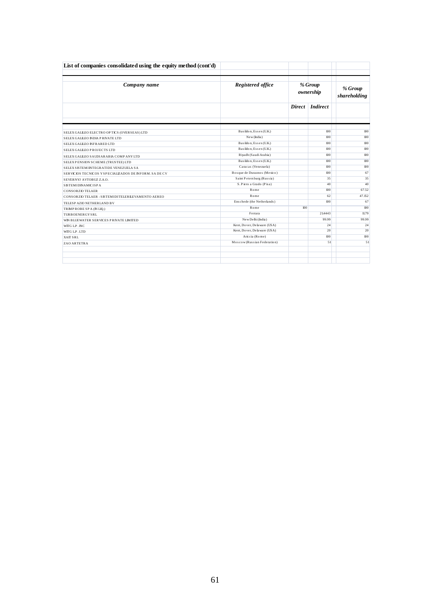| Company name                                            | Registered office           | % Group<br>ownership | % Group<br>shareholding |        |
|---------------------------------------------------------|-----------------------------|----------------------|-------------------------|--------|
|                                                         |                             |                      | Direct Indirect         |        |
|                                                         |                             |                      |                         |        |
| SELEX GALLEO ELECTRO OP TICS (OVER SEAS) LTD            | Basildon, Essex (U.K.)      |                      | 100                     |        |
| SELEX GALLEO INDIA PRIVATE LTD                          | New (India)                 |                      | 100                     |        |
| SELEX GALILEO INFRARED LTD                              | Basildon, Essex (U.K.)      |                      | 100                     |        |
| SELEX GALLEO PROJECTS LTD                               | Basildon, Essex (U.K.)      |                      | 100                     |        |
| SELEX GALILEO SAUDIARABIA COMPANY LTD                   | Riyadh (Saudi Arabia)       |                      | 100                     |        |
| SELEX PENSION SCHEME (TRUSTEE) LTD                      | Basildon, Essex (U.K.)      |                      | 100                     |        |
| SELEX SISTEMINTEGRATIDE VENEZUELA SA                    | Caracas (Venezuela)         |                      | 100                     |        |
| SER VICIOS TECNICOS Y SPECIALIZADOS DE INFORM. SA DE CV | Bosque de Duraznos (Mexico) |                      | 100                     |        |
| SEVERNYJ AVTOBUZ Z.A.O.                                 | Saint Petersburg (Russia)   |                      | 35                      |        |
| <b>SISTEMIDINAMICISPA</b>                               | S. Piero a Grado (Pisa)     |                      | 40                      |        |
| <b>CONSORZIO TELAER</b>                                 | Rome                        |                      | 100                     | 67.52  |
| CONSORZIO TELAER - SISTEMIDITELERILEVAMENTO AEREO       | Rome                        |                      | 62                      | 47.152 |
| TELESP AZIO NETHERLAND BV                               | Enschede (the Netherlands)  |                      | 100                     |        |
| TRIMPROBE SPA (IN LIQ.)                                 | Rome                        | 100                  |                         |        |
| TURBOENERGYSRL                                          | Ferrara                     |                      | 21,4443                 | 11.79  |
| WIN BLUEWATER SERVICES PRIVATE LIMITED                  | New Delhi (India)           |                      | 99.99                   | 99.99  |
| WITG LP . INC                                           | Kent, Dover, Delaware (USA) |                      | 24                      |        |
| WITG LP.LTD                                             | Kent, Dover, Delaware (USA) |                      | 20                      |        |
| <b>XAIT SRL</b>                                         | Ariccia (Rome)              |                      | 100                     |        |
| ZAO ARTETRA                                             | Moscow(Russian Federation)  |                      | 51                      |        |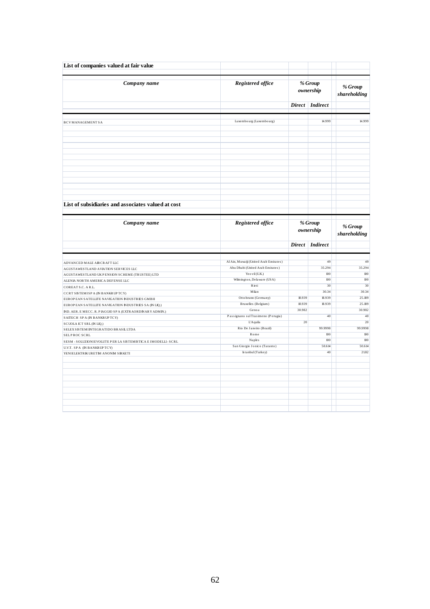| List of companies valued at fair value                         |                                                                            |                      |                      |                         |
|----------------------------------------------------------------|----------------------------------------------------------------------------|----------------------|----------------------|-------------------------|
| Company name                                                   | Registered office                                                          | % Group<br>ownership |                      | % Group<br>shareholding |
|                                                                |                                                                            | Direct               | <b>Indirect</b>      |                         |
| <b>BCVMANAGEMENTSA</b>                                         | Luxembourg (Luxembourg)                                                    |                      | 14.999               | 14.999                  |
|                                                                |                                                                            |                      |                      |                         |
|                                                                |                                                                            |                      |                      |                         |
|                                                                |                                                                            |                      |                      |                         |
|                                                                |                                                                            |                      |                      |                         |
|                                                                |                                                                            |                      |                      |                         |
|                                                                |                                                                            |                      |                      |                         |
|                                                                |                                                                            |                      |                      |                         |
| List of subsidiaries and associates valued at cost             |                                                                            |                      |                      |                         |
| Company name                                                   | Registered office                                                          |                      | % Group<br>ownership | % Group<br>shareholding |
|                                                                |                                                                            |                      | Direct Indirect      |                         |
|                                                                |                                                                            |                      |                      |                         |
| ADVANCED MALE AIRCRAFT LLC                                     | Al Ain, Muwaiji (United Arab Emirates)<br>Abu Dhabi (United Arab Emirates) |                      | 49<br>35.294         | 49<br>35.294            |
| AGUSTAWESTLAND AVIATION SERVICES LLC                           |                                                                            |                      | 100                  | 100                     |
| AGUSTAWESTLAND UKPENSION SCHEME (TRUSTEE) LTD                  | Yeo vil (U.K.)                                                             |                      |                      |                         |
| ALENIA NORTH AMERICA DEFENSE LLC                               | Wilmington, Delaware (USA)                                                 |                      | 100                  | 100                     |
| COREAT S.C. A R.L.                                             | Rieti                                                                      |                      | 30                   | 30                      |
| CCRT SISTEMISP A (IN BANKRUP TCY)                              | Milan                                                                      |                      | 30.34                | 30.34                   |
| EUROP EAN SATELLITE NAVIGATION INDUSTRIES GMBH                 | Otto brunn (Germany)                                                       | 18.939               | 18.939               | 25.189                  |
| EUROP EAN SATELLITE NAVIGATION INDUSTRIES SA (IN LIQ.)         | Bruxelles (Belgium)                                                        | 18.939               | 18.939               | 25.189                  |
| IND. AER. E MECC. R. PIAGGIO SP A (EXTRAORDINARY ADMIN.)       | Genoa                                                                      | 30.982               |                      | 30.982                  |
| SAITECH SPA (IN BANKRUPTCY)                                    | Passignano sul Trasimeno (Perugia)                                         |                      | 40                   | 40                      |
| SCUOLA ICT SRL (IN LIQ.)                                       | <b>L'Aquila</b>                                                            | 20                   |                      | 20                      |
| SELEX SISTEMINTEGRATIDO BRASILLTDA                             | Rio De Janeiro (Brazil)                                                    |                      | 99.9998              | 99.9998                 |
| SELPROC SCRL                                                   | Rome                                                                       |                      | 100                  | 100                     |
| SESM - SOLUZIONI EVOLUTE PER LA SISTEMISTICA E IMODELLI - SCRL | <b>Naples</b>                                                              |                      | 100                  | 100                     |
| U.V.T. SPA (IN BANKRUPTCY)                                     | San Giorgio Jonico (Taranto)                                               |                      | 50.614               | 50.614                  |
| YENIELEKTRIK URETIM ANONIM SIRKETI                             |                                                                            |                      | 40                   | 21.82                   |
|                                                                | Is tanbul (Turkey)                                                         |                      |                      |                         |
|                                                                |                                                                            |                      |                      |                         |
|                                                                |                                                                            |                      |                      |                         |
|                                                                |                                                                            |                      |                      |                         |
|                                                                |                                                                            |                      |                      |                         |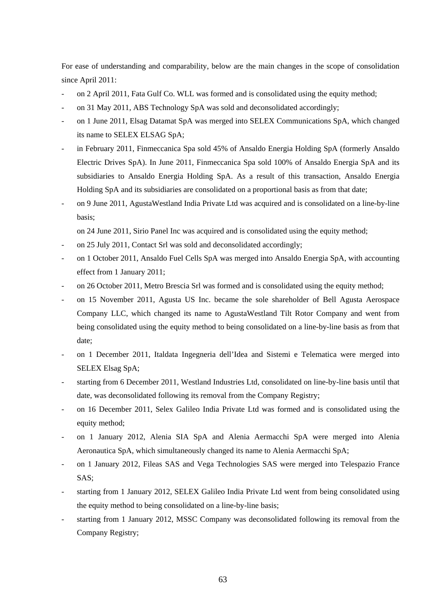For ease of understanding and comparability, below are the main changes in the scope of consolidation since April 2011:

- on 2 April 2011, Fata Gulf Co. WLL was formed and is consolidated using the equity method;
- on 31 May 2011, ABS Technology SpA was sold and deconsolidated accordingly;
- on 1 June 2011, Elsag Datamat SpA was merged into SELEX Communications SpA, which changed its name to SELEX ELSAG SpA;
- in February 2011, Finmeccanica Spa sold 45% of Ansaldo Energia Holding SpA (formerly Ansaldo Electric Drives SpA). In June 2011, Finmeccanica Spa sold 100% of Ansaldo Energia SpA and its subsidiaries to Ansaldo Energia Holding SpA. As a result of this transaction, Ansaldo Energia Holding SpA and its subsidiaries are consolidated on a proportional basis as from that date;
- on 9 June 2011, AgustaWestland India Private Ltd was acquired and is consolidated on a line-by-line basis;

on 24 June 2011, Sirio Panel Inc was acquired and is consolidated using the equity method;

- on 25 July 2011, Contact Srl was sold and deconsolidated accordingly;
- on 1 October 2011, Ansaldo Fuel Cells SpA was merged into Ansaldo Energia SpA, with accounting effect from 1 January 2011;
- on 26 October 2011, Metro Brescia Srl was formed and is consolidated using the equity method;
- on 15 November 2011, Agusta US Inc. became the sole shareholder of Bell Agusta Aerospace Company LLC, which changed its name to AgustaWestland Tilt Rotor Company and went from being consolidated using the equity method to being consolidated on a line-by-line basis as from that date;
- on 1 December 2011, Italdata Ingegneria dell'Idea and Sistemi e Telematica were merged into SELEX Elsag SpA;
- starting from 6 December 2011, Westland Industries Ltd, consolidated on line-by-line basis until that date, was deconsolidated following its removal from the Company Registry;
- on 16 December 2011, Selex Galileo India Private Ltd was formed and is consolidated using the equity method;
- on 1 January 2012, Alenia SIA SpA and Alenia Aermacchi SpA were merged into Alenia Aeronautica SpA, which simultaneously changed its name to Alenia Aermacchi SpA;
- on 1 January 2012, Fileas SAS and Vega Technologies SAS were merged into Telespazio France SAS;
- starting from 1 January 2012, SELEX Galileo India Private Ltd went from being consolidated using the equity method to being consolidated on a line-by-line basis;
- starting from 1 January 2012, MSSC Company was deconsolidated following its removal from the Company Registry;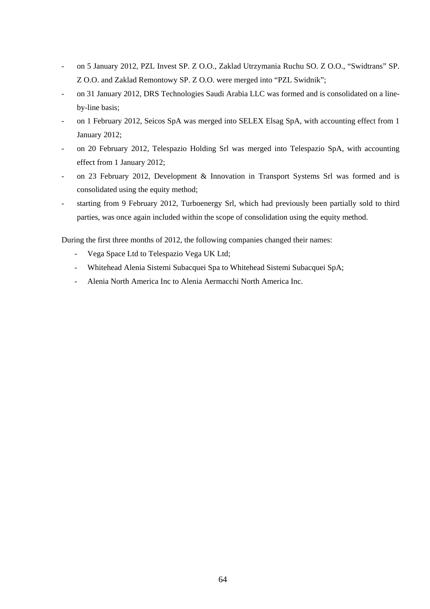- on 5 January 2012, PZL Invest SP. Z O.O., Zaklad Utrzymania Ruchu SO. Z O.O., "Swidtrans" SP. Z O.O. and Zaklad Remontowy SP. Z O.O. were merged into "PZL Swidnik";
- on 31 January 2012, DRS Technologies Saudi Arabia LLC was formed and is consolidated on a lineby-line basis;
- on 1 February 2012, Seicos SpA was merged into SELEX Elsag SpA, with accounting effect from 1 January 2012;
- on 20 February 2012, Telespazio Holding Srl was merged into Telespazio SpA, with accounting effect from 1 January 2012;
- on 23 February 2012, Development & Innovation in Transport Systems Srl was formed and is consolidated using the equity method;
- starting from 9 February 2012, Turboenergy Srl, which had previously been partially sold to third parties, was once again included within the scope of consolidation using the equity method.

During the first three months of 2012, the following companies changed their names:

- Vega Space Ltd to Telespazio Vega UK Ltd;
- Whitehead Alenia Sistemi Subacquei Spa to Whitehead Sistemi Subacquei SpA;
- Alenia North America Inc to Alenia Aermacchi North America Inc.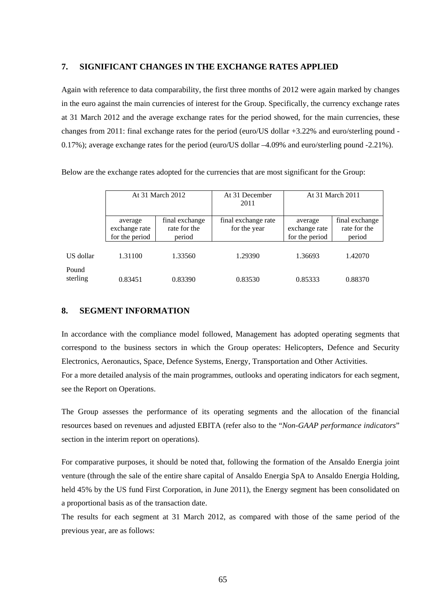#### **7. SIGNIFICANT CHANGES IN THE EXCHANGE RATES APPLIED**

Again with reference to data comparability, the first three months of 2012 were again marked by changes in the euro against the main currencies of interest for the Group. Specifically, the currency exchange rates at 31 March 2012 and the average exchange rates for the period showed, for the main currencies, these changes from 2011: final exchange rates for the period (euro/US dollar +3.22% and euro/sterling pound - 0.17%); average exchange rates for the period (euro/US dollar –4.09% and euro/sterling pound -2.21%).

Below are the exchange rates adopted for the currencies that are most significant for the Group:

|                   | At 31 March 2012                           |                                          | At 31 December<br>2011              | At 31 March 2011                           |                                          |  |
|-------------------|--------------------------------------------|------------------------------------------|-------------------------------------|--------------------------------------------|------------------------------------------|--|
|                   | average<br>exchange rate<br>for the period | final exchange<br>rate for the<br>period | final exchange rate<br>for the year | average<br>exchange rate<br>for the period | final exchange<br>rate for the<br>period |  |
| US dollar         | 1.31100                                    | 1.33560                                  | 1.29390                             | 1.36693                                    | 1.42070                                  |  |
| Pound<br>sterling | 0.83451                                    | 0.83390                                  | 0.83530                             | 0.85333                                    | 0.88370                                  |  |

#### **8. SEGMENT INFORMATION**

In accordance with the compliance model followed, Management has adopted operating segments that correspond to the business sectors in which the Group operates: Helicopters, Defence and Security Electronics, Aeronautics, Space, Defence Systems, Energy, Transportation and Other Activities. For a more detailed analysis of the main programmes, outlooks and operating indicators for each segment, see the Report on Operations.

The Group assesses the performance of its operating segments and the allocation of the financial resources based on revenues and adjusted EBITA (refer also to the "*Non-GAAP performance indicators*" section in the interim report on operations).

For comparative purposes, it should be noted that, following the formation of the Ansaldo Energia joint venture (through the sale of the entire share capital of Ansaldo Energia SpA to Ansaldo Energia Holding, held 45% by the US fund First Corporation, in June 2011), the Energy segment has been consolidated on a proportional basis as of the transaction date.

The results for each segment at 31 March 2012, as compared with those of the same period of the previous year, are as follows: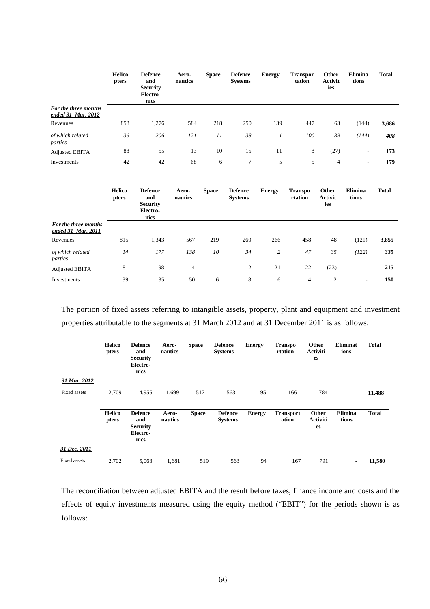|                                            | <b>Helico</b><br>pters | <b>Defence</b><br>and<br><b>Security</b><br>Electro-<br>nics | Aero-<br>nautics | <b>Space</b> | <b>Defence</b><br><b>Systems</b> | <b>Energy</b> | <b>Transpor</b><br>tation | Other<br><b>Activit</b><br>ies | Elimina<br>tions         | <b>Total</b> |
|--------------------------------------------|------------------------|--------------------------------------------------------------|------------------|--------------|----------------------------------|---------------|---------------------------|--------------------------------|--------------------------|--------------|
| For the three months<br>ended 31 Mar. 2012 |                        |                                                              |                  |              |                                  |               |                           |                                |                          |              |
| Revenues                                   | 853                    | 1,276                                                        | 584              | 218          | 250                              | 139           | 447                       | 63                             | (144)                    | 3,686        |
| of which related<br>parties                | 36                     | 206                                                          | 121              | 11           | 38                               |               | 100                       | 39                             | (144)                    | 408          |
| <b>Adjusted EBITA</b>                      | 88                     | 55                                                           | 13               | 10           | 15                               | 11            | 8                         | (27)                           | $\sim$                   | 173          |
| Investments                                | 42                     | 42                                                           | 68               | 6            | $\tau$                           | 5             | 5                         | $\overline{4}$                 | $\overline{\phantom{a}}$ | 179          |

|                                            | <b>Helico</b><br>pters | <b>Defence</b><br>and<br><b>Security</b><br>Electro-<br>nics | Aero-<br>nautics | <b>Space</b>    | <b>Defence</b><br><b>Systems</b> | <b>Energy</b>  | <b>Transpo</b><br>rtation | <b>Other</b><br><b>Activit</b><br>ies | Elimina<br>tions | <b>Total</b> |
|--------------------------------------------|------------------------|--------------------------------------------------------------|------------------|-----------------|----------------------------------|----------------|---------------------------|---------------------------------------|------------------|--------------|
| For the three months<br>ended 31 Mar. 2011 |                        |                                                              |                  |                 |                                  |                |                           |                                       |                  |              |
| Revenues                                   | 815                    | 1,343                                                        | 567              | 219             | 260                              | 266            | 458                       | 48                                    | (121)            | 3,855        |
| of which related<br>parties                | 14                     | 177                                                          | 138              | 10              | 34                               | $\overline{c}$ | 47                        | 35                                    | (122)            | 335          |
| Adjusted EBITA                             | 81                     | 98                                                           | $\overline{4}$   | $\qquad \qquad$ | 12                               | 21             | 22                        | (23)                                  | ٠                | 215          |
| Investments                                | 39                     | 35                                                           | 50               | 6               | 8                                | 6              | 4                         | 2                                     | ۰.               | 150          |

The portion of fixed assets referring to intangible assets, property, plant and equipment and investment properties attributable to the segments at 31 March 2012 and at 31 December 2011 is as follows:

|              | <b>Helico</b><br>pters | <b>Defence</b><br>and<br><b>Security</b><br>Electro-<br>nics | Aero-<br>nautics | <b>Space</b> | <b>Defence</b><br><b>Systems</b> | <b>Energy</b> | <b>Transpo</b><br>rtation | Other<br><b>Activiti</b><br>es | <b>Eliminat</b><br>ions  | <b>Total</b> |
|--------------|------------------------|--------------------------------------------------------------|------------------|--------------|----------------------------------|---------------|---------------------------|--------------------------------|--------------------------|--------------|
| 31 Mar. 2012 |                        |                                                              |                  |              |                                  |               |                           |                                |                          |              |
| Fixed assets | 2,709                  | 4,955                                                        | 1,699            | 517          | 563                              | 95            | 166                       | 784                            | $\overline{\phantom{a}}$ | 11,488       |
|              | <b>Helico</b><br>pters | <b>Defence</b><br>and<br><b>Security</b><br>Electro-<br>nics | Aero-<br>nautics | <b>Space</b> | <b>Defence</b><br><b>Systems</b> | <b>Energy</b> | <b>Transport</b><br>ation | Other<br><b>Activiti</b><br>es | <b>Elimina</b><br>tions  | <b>Total</b> |
| 31 Dec. 2011 |                        |                                                              |                  |              |                                  |               |                           |                                |                          |              |
| Fixed assets | 2,702                  | 5,063                                                        | 1,681            | 519          | 563                              | 94            | 167                       | 791                            | $\overline{\phantom{a}}$ | 11,580       |

The reconciliation between adjusted EBITA and the result before taxes, finance income and costs and the effects of equity investments measured using the equity method ("EBIT") for the periods shown is as follows: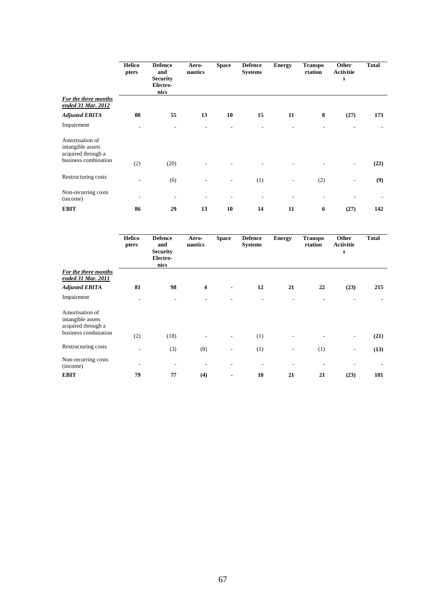|                                                            | <b>Helico</b><br>pters       | <b>Defence</b><br>and<br><b>Security</b><br>Electro-<br>nics | Aero-<br>nautics | <b>Space</b> | <b>Defence</b><br><b>Systems</b> | <b>Energy</b> | <b>Transpo</b><br>rtation | Other<br><b>Activitie</b><br>s | <b>Total</b> |
|------------------------------------------------------------|------------------------------|--------------------------------------------------------------|------------------|--------------|----------------------------------|---------------|---------------------------|--------------------------------|--------------|
| For the three months<br>ended 31 Mar. 2012                 |                              |                                                              |                  |              |                                  |               |                           |                                |              |
| <b>Adjusted EBITA</b>                                      | 88                           | 55                                                           | 13               | 10           | 15                               | 11            | 8                         | (27)                           | 173          |
| Impairment                                                 |                              |                                                              |                  |              |                                  |               |                           |                                |              |
| Amortisation of<br>intangible assets<br>acquired through a |                              |                                                              |                  |              |                                  |               |                           |                                |              |
| business combination                                       | (2)                          | (20)                                                         |                  |              |                                  |               |                           |                                | (22)         |
| Restructuring costs                                        | $\qquad \qquad \blacksquare$ | (6)                                                          |                  | ٠            | (1)                              | ٠             | (2)                       | ٠                              | (9)          |
| Non-recurring costs<br>(income)                            |                              |                                                              | ٠                |              | ٠                                | ۰             |                           |                                |              |
| <b>EBIT</b>                                                | 86                           | 29                                                           | 13               | 10           | 14                               | 11            | 6                         | (27)                           | 142          |

|                                                            | <b>Helico</b><br>pters | <b>Defence</b><br>and<br><b>Security</b><br>Electro-<br>nics | Aero-<br>nautics | <b>Space</b>             | <b>Defence</b><br><b>Systems</b> | <b>Energy</b> | <b>Transpo</b><br>rtation | Other<br><b>Activitie</b><br>S | <b>Total</b> |
|------------------------------------------------------------|------------------------|--------------------------------------------------------------|------------------|--------------------------|----------------------------------|---------------|---------------------------|--------------------------------|--------------|
| For the three months<br>ended 31 Mar. 2011                 |                        |                                                              |                  |                          |                                  |               |                           |                                |              |
| <b>Adjusted EBITA</b>                                      | 81                     | 98                                                           | 4                | $\overline{\phantom{0}}$ | 12                               | 21            | 22                        | (23)                           | 215          |
| Impairment                                                 |                        |                                                              |                  |                          |                                  |               |                           |                                |              |
| Amortisation of<br>intangible assets<br>acquired through a |                        |                                                              |                  |                          |                                  |               |                           |                                |              |
| business combination                                       | (2)                    | (18)                                                         |                  |                          | (1)                              |               |                           | -                              | (21)         |
| Restructuring costs                                        | ٠                      | (3)                                                          | (8)              |                          | (1)                              | ٠             | (1)                       | -                              | (13)         |
| Non-recurring costs<br>(income)                            | ٠                      |                                                              |                  |                          |                                  |               | $\overline{a}$            |                                |              |
| <b>EBIT</b>                                                | 79                     | 77                                                           | (4)              |                          | 10                               | 21            | 21                        | (23)                           | 181          |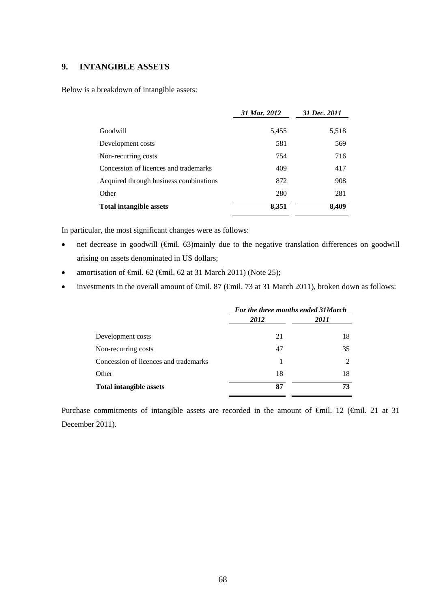### **9. INTANGIBLE ASSETS**

Below is a breakdown of intangible assets:

|                                        | 31 Mar. 2012 | 31 Dec. 2011 |
|----------------------------------------|--------------|--------------|
| Goodwill                               | 5,455        | 5,518        |
| Development costs                      | 581          | 569          |
| Non-recurring costs                    | 754          | 716          |
| Concession of licences and trademarks  | 409          | 417          |
| Acquired through business combinations | 872          | 908          |
| Other                                  | 280          | 281          |
| <b>Total intangible assets</b>         | 8,351        | 8,409        |

In particular, the most significant changes were as follows:

- net decrease in goodwill (€mil. 63)mainly due to the negative translation differences on goodwill arising on assets denominated in US dollars;
- amortisation of  $\epsilon$ mil. 62 ( $\epsilon$ mil. 62 at 31 March 2011) (Note 25);
- investments in the overall amount of  $\epsilon$ mil. 87 ( $\epsilon$ mil. 73 at 31 March 2011), broken down as follows:

|                                       | For the three months ended 31 March |      |  |
|---------------------------------------|-------------------------------------|------|--|
|                                       | 2012                                | 2011 |  |
| Development costs                     | 21                                  | 18   |  |
| Non-recurring costs                   | 47                                  | 35   |  |
| Concession of licences and trademarks | 1                                   |      |  |
| Other                                 | 18                                  | 18   |  |
| <b>Total intangible assets</b>        | 87                                  | 73   |  |

Purchase commitments of intangible assets are recorded in the amount of €mil. 12 (€mil. 21 at 31 December 2011).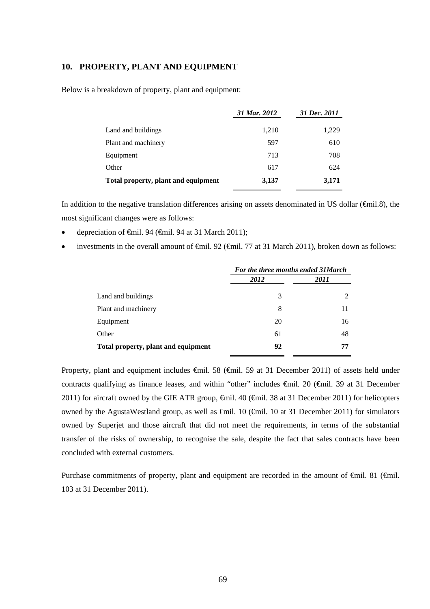### **10. PROPERTY, PLANT AND EQUIPMENT**

Below is a breakdown of property, plant and equipment:

|                                     | 31 Mar. 2012 | 31 Dec. 2011 |
|-------------------------------------|--------------|--------------|
| Land and buildings                  | 1,210        | 1,229        |
| Plant and machinery                 | 597          | 610          |
| Equipment                           | 713          | 708          |
| Other                               | 617          | 624          |
| Total property, plant and equipment | 3,137        | 3,171        |

In addition to the negative translation differences arising on assets denominated in US dollar (€mil.8), the most significant changes were as follows:

- depreciation of €mil. 94 (€mil. 94 at 31 March 2011);
- investments in the overall amount of €mil. 92 (€mil. 77 at 31 March 2011), broken down as follows:

|                                     | For the three months ended 31 March |               |  |
|-------------------------------------|-------------------------------------|---------------|--|
|                                     | 2012                                | 2011          |  |
| Land and buildings                  | 3                                   | $\mathcal{L}$ |  |
| Plant and machinery                 | 8                                   | 11            |  |
| Equipment                           | 20                                  | 16            |  |
| Other                               | 61                                  | 48            |  |
| Total property, plant and equipment | 92                                  | 77            |  |

Property, plant and equipment includes €mil. 58 (€mil. 59 at 31 December 2011) of assets held under contracts qualifying as finance leases, and within "other" includes €mil. 20 (€mil. 39 at 31 December 2011) for aircraft owned by the GIE ATR group,  $\epsilon$ mil. 40 ( $\epsilon$ mil. 38 at 31 December 2011) for helicopters owned by the AgustaWestland group, as well as €mil. 10 (€mil. 10 at 31 December 2011) for simulators owned by Superjet and those aircraft that did not meet the requirements, in terms of the substantial transfer of the risks of ownership, to recognise the sale, despite the fact that sales contracts have been concluded with external customers.

Purchase commitments of property, plant and equipment are recorded in the amount of €mil. 81 (€mil. 103 at 31 December 2011).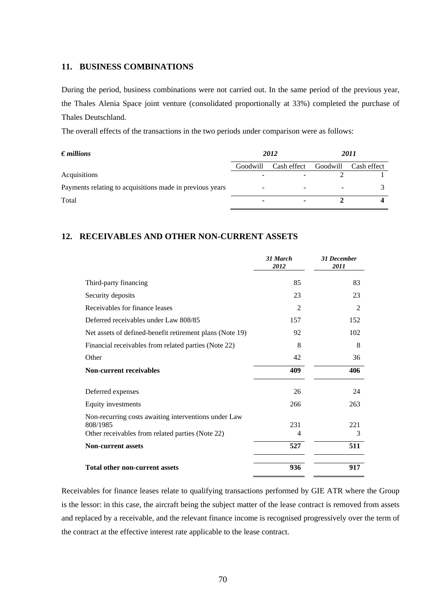### **11. BUSINESS COMBINATIONS**

During the period, business combinations were not carried out. In the same period of the previous year, the Thales Alenia Space joint venture (consolidated proportionally at 33%) completed the purchase of Thales Deutschland.

The overall effects of the transactions in the two periods under comparison were as follows:

| $\bm{\epsilon}$ millions                                 | 2012     |             | 2011     |             |
|----------------------------------------------------------|----------|-------------|----------|-------------|
|                                                          | Goodwill | Cash effect | Goodwill | Cash effect |
| <b>Acquisitions</b>                                      |          |             |          |             |
| Payments relating to acquisitions made in previous years |          |             |          |             |
| Total                                                    |          | ۰           |          |             |

### **12. RECEIVABLES AND OTHER NON-CURRENT ASSETS**

|                                                              | 31 March<br>2012 | <b>31 December</b><br>2011 |
|--------------------------------------------------------------|------------------|----------------------------|
| Third-party financing                                        | 85               | 83                         |
| Security deposits                                            | 23               | 23                         |
| Receivables for finance leases                               | $\overline{2}$   | 2                          |
| Deferred receivables under Law 808/85                        | 157              | 152                        |
| Net assets of defined-benefit retirement plans (Note 19)     | 92               | 102                        |
| Financial receivables from related parties (Note 22)         | 8                | 8                          |
| Other                                                        | 42               | 36                         |
| <b>Non-current receivables</b>                               | 409              | 406                        |
| Deferred expenses                                            | 26               | 24                         |
| Equity investments                                           | 266              | 263                        |
| Non-recurring costs awaiting interventions under Law         |                  | 221                        |
| 808/1985<br>Other receivables from related parties (Note 22) | 231<br>4         | 3                          |
| <b>Non-current assets</b>                                    | 527              | 511                        |
| <b>Total other non-current assets</b>                        | 936              | 917                        |

Receivables for finance leases relate to qualifying transactions performed by GIE ATR where the Group is the lessor: in this case, the aircraft being the subject matter of the lease contract is removed from assets and replaced by a receivable, and the relevant finance income is recognised progressively over the term of the contract at the effective interest rate applicable to the lease contract.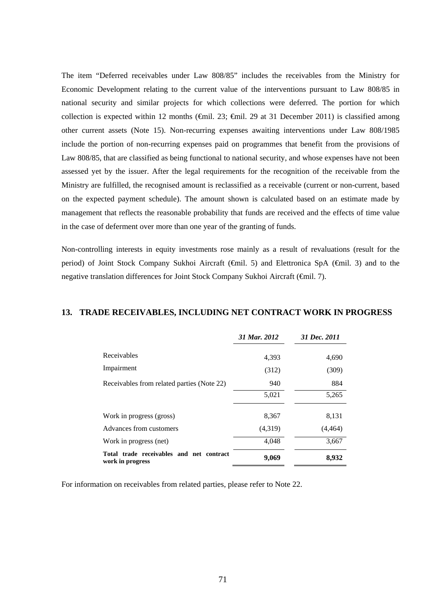The item "Deferred receivables under Law 808/85" includes the receivables from the Ministry for Economic Development relating to the current value of the interventions pursuant to Law 808/85 in national security and similar projects for which collections were deferred. The portion for which collection is expected within 12 months (€mil. 23; €mil. 29 at 31 December 2011) is classified among other current assets (Note 15). Non-recurring expenses awaiting interventions under Law 808/1985 include the portion of non-recurring expenses paid on programmes that benefit from the provisions of Law 808/85, that are classified as being functional to national security, and whose expenses have not been assessed yet by the issuer. After the legal requirements for the recognition of the receivable from the Ministry are fulfilled, the recognised amount is reclassified as a receivable (current or non-current, based on the expected payment schedule). The amount shown is calculated based on an estimate made by management that reflects the reasonable probability that funds are received and the effects of time value in the case of deferment over more than one year of the granting of funds.

Non-controlling interests in equity investments rose mainly as a result of revaluations (result for the period) of Joint Stock Company Sukhoi Aircraft (€mil. 5) and Elettronica SpA (€mil. 3) and to the negative translation differences for Joint Stock Company Sukhoi Aircraft (€mil. 7).

#### **13. TRADE RECEIVABLES, INCLUDING NET CONTRACT WORK IN PROGRESS**

|                                                              | 31 Mar. 2012 | 31 Dec. 2011 |
|--------------------------------------------------------------|--------------|--------------|
| Receivables                                                  | 4,393        | 4,690        |
| Impairment                                                   | (312)        | (309)        |
| Receivables from related parties (Note 22)                   | 940          | 884          |
|                                                              | 5,021        | 5,265        |
| Work in progress (gross)                                     | 8,367        | 8,131        |
| Advances from customers                                      | (4,319)      | (4, 464)     |
| Work in progress (net)                                       | 4,048        | 3,667        |
| Total trade receivables and net contract<br>work in progress | 9,069        | 8,932        |

For information on receivables from related parties, please refer to Note 22.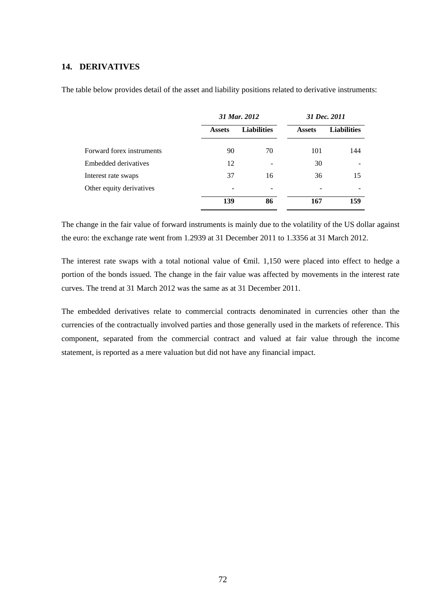#### **14. DERIVATIVES**

|                           | 31 Mar. 2012  |                    | 31 Dec. 2011  |                    |
|---------------------------|---------------|--------------------|---------------|--------------------|
|                           | <b>Assets</b> | <b>Liabilities</b> | <b>Assets</b> | <b>Liabilities</b> |
| Forward forex instruments | 90            | 70                 | 101           | 144                |
| Embedded derivatives      | 12            |                    | 30            |                    |
| Interest rate swaps       | 37            | 16                 | 36            | 15                 |
| Other equity derivatives  |               |                    |               |                    |
|                           | 139           | 86                 | 167           | 159                |

The table below provides detail of the asset and liability positions related to derivative instruments:

The change in the fair value of forward instruments is mainly due to the volatility of the US dollar against the euro: the exchange rate went from 1.2939 at 31 December 2011 to 1.3356 at 31 March 2012.

The interest rate swaps with a total notional value of  $\oplus$ mil. 1,150 were placed into effect to hedge a portion of the bonds issued. The change in the fair value was affected by movements in the interest rate curves. The trend at 31 March 2012 was the same as at 31 December 2011.

The embedded derivatives relate to commercial contracts denominated in currencies other than the currencies of the contractually involved parties and those generally used in the markets of reference. This component, separated from the commercial contract and valued at fair value through the income statement, is reported as a mere valuation but did not have any financial impact.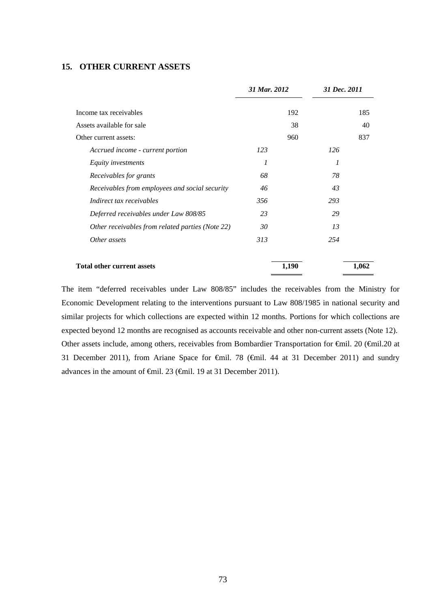### **15. OTHER CURRENT ASSETS**

|                                                  | 31 Mar. 2012 | 31 Dec. 2011 |       |
|--------------------------------------------------|--------------|--------------|-------|
| Income tax receivables                           | 192          |              | 185   |
| Assets available for sale                        | 38           |              | 40    |
| Other current assets:                            | 960          |              | 837   |
| Accrued income - current portion                 | 123          | 126          |       |
| Equity investments                               | 1            | 1            |       |
| Receivables for grants                           | 68           | 78           |       |
| Receivables from employees and social security   | 46           | 43           |       |
| Indirect tax receivables                         | 356          | 293          |       |
| Deferred receivables under Law 808/85            | 23           | 29           |       |
| Other receivables from related parties (Note 22) | 30           | 13           |       |
| Other assets                                     | 313          | 254          |       |
| <b>Total other current assets</b>                | 1,190        |              | 1,062 |

The item "deferred receivables under Law 808/85" includes the receivables from the Ministry for Economic Development relating to the interventions pursuant to Law 808/1985 in national security and similar projects for which collections are expected within 12 months. Portions for which collections are expected beyond 12 months are recognised as accounts receivable and other non-current assets (Note 12). Other assets include, among others, receivables from Bombardier Transportation for €mil. 20 (€mil.20 at 31 December 2011), from Ariane Space for €mil. 78 (€mil. 44 at 31 December 2011) and sundry advances in the amount of €mil. 23 (€mil. 19 at 31 December 2011).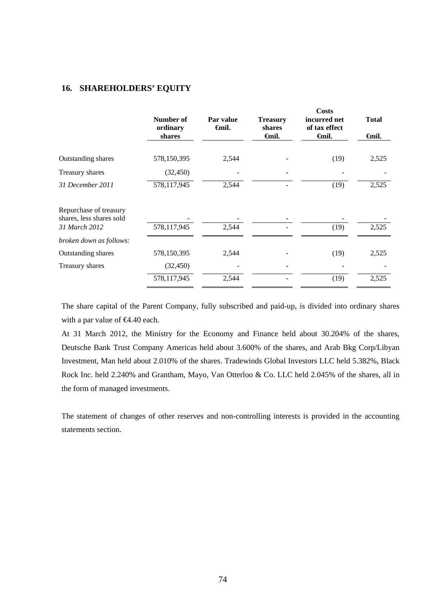#### **16. SHAREHOLDERS' EQUITY**

| Number of<br>ordinary<br>shares | Par value<br><b>∈</b> mil. | <b>Treasury</b><br>shares<br>Gmil. | Costs<br>incurred net<br>of tax effect<br>Gmil. | <b>Total</b><br><b>∈</b> mil. |
|---------------------------------|----------------------------|------------------------------------|-------------------------------------------------|-------------------------------|
|                                 |                            |                                    |                                                 |                               |
| 578,150,395                     | 2,544                      |                                    | (19)                                            | 2,525                         |
| (32, 450)                       |                            |                                    |                                                 |                               |
| 578,117,945                     | 2,544                      |                                    | (19)                                            | 2,525                         |
|                                 |                            |                                    |                                                 |                               |
| 578,117,945                     | 2,544                      |                                    | (19)                                            | 2,525                         |
|                                 |                            |                                    |                                                 |                               |
| 578,150,395                     | 2,544                      |                                    | (19)                                            | 2,525                         |
| (32, 450)                       |                            |                                    |                                                 |                               |
| 578,117,945                     | 2,544                      |                                    | (19)                                            | 2,525                         |
|                                 |                            |                                    |                                                 |                               |

The share capital of the Parent Company, fully subscribed and paid-up, is divided into ordinary shares with a par value of **€4.40** each.

At 31 March 2012, the Ministry for the Economy and Finance held about 30.204% of the shares, Deutsche Bank Trust Company Americas held about 3.600% of the shares, and Arab Bkg Corp/Libyan Investment, Man held about 2.010% of the shares. Tradewinds Global Investors LLC held 5.382%, Black Rock Inc. held 2.240% and Grantham, Mayo, Van Otterloo & Co. LLC held 2.045% of the shares, all in the form of managed investments.

The statement of changes of other reserves and non-controlling interests is provided in the accounting statements section.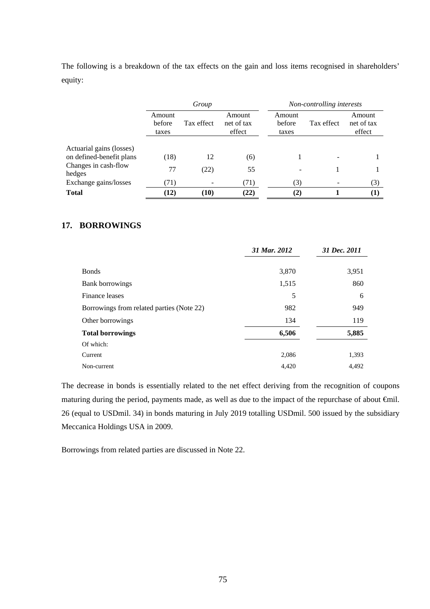The following is a breakdown of the tax effects on the gain and loss items recognised in shareholders' equity:

|                                                      | Group                            |            |                                |                           | Non-controlling interests |                                |
|------------------------------------------------------|----------------------------------|------------|--------------------------------|---------------------------|---------------------------|--------------------------------|
|                                                      | Amount<br><b>before</b><br>taxes | Tax effect | Amount<br>net of tax<br>effect | Amount<br>before<br>taxes | Tax effect                | Amount<br>net of tax<br>effect |
| Actuarial gains (losses)<br>on defined-benefit plans |                                  | 12         |                                |                           |                           |                                |
| Changes in cash-flow<br>hedges                       | (18)<br>77                       | (22)       | (6)<br>55                      |                           |                           |                                |
| Exchange gains/losses                                | (71)                             |            | (71)                           | (3)                       |                           | (3)                            |
| <b>Total</b>                                         | (12)                             | (10)       | (22)                           | (2)                       |                           | $\bf(1)$                       |

## **17. BORROWINGS**

|                                           | 31 Mar. 2012 | 31 Dec. 2011 |
|-------------------------------------------|--------------|--------------|
| <b>Bonds</b>                              | 3,870        | 3,951        |
| Bank borrowings                           | 1,515        | 860          |
| Finance leases                            | 5            | 6            |
| Borrowings from related parties (Note 22) | 982          | 949          |
| Other borrowings                          | 134          | 119          |
| <b>Total borrowings</b>                   | 6,506        | 5,885        |
| Of which:                                 |              |              |
| Current                                   | 2,086        | 1,393        |
| Non-current                               | 4,420        | 4,492        |

The decrease in bonds is essentially related to the net effect deriving from the recognition of coupons maturing during the period, payments made, as well as due to the impact of the repurchase of about €mil. 26 (equal to USDmil. 34) in bonds maturing in July 2019 totalling USDmil. 500 issued by the subsidiary Meccanica Holdings USA in 2009.

Borrowings from related parties are discussed in Note 22.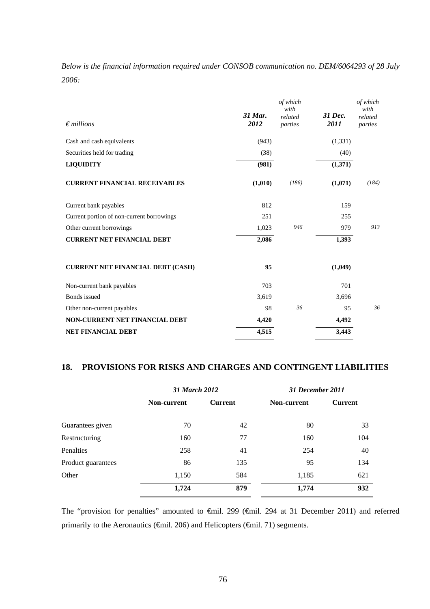*Below is the financial information required under CONSOB communication no. DEM/6064293 of 28 July 2006:* 

| $\epsilon$ millions                       | 31 Mar.<br>2012 | of which<br>with<br>related<br>parties | 31 Dec.<br>2011 | of which<br>with<br>related<br>parties |
|-------------------------------------------|-----------------|----------------------------------------|-----------------|----------------------------------------|
| Cash and cash equivalents                 | (943)           |                                        | (1, 331)        |                                        |
| Securities held for trading               | (38)            |                                        | (40)            |                                        |
| <b>LIQUIDITY</b>                          | (981)           |                                        | (1,371)         |                                        |
| <b>CURRENT FINANCIAL RECEIVABLES</b>      | (1,010)         | (186)                                  | (1,071)         | (184)                                  |
| Current bank payables                     | 812             |                                        | 159             |                                        |
| Current portion of non-current borrowings | 251             |                                        | 255             |                                        |
| Other current borrowings                  | 1,023           | 946                                    | 979             | 913                                    |
| <b>CURRENT NET FINANCIAL DEBT</b>         | 2,086           |                                        | 1,393           |                                        |
| <b>CURRENT NET FINANCIAL DEBT (CASH)</b>  | 95              |                                        | (1,049)         |                                        |
| Non-current bank payables                 | 703             |                                        | 701             |                                        |
| Bonds issued                              | 3,619           |                                        | 3,696           |                                        |
| Other non-current payables                | 98              | 36                                     | 95              | 36                                     |
| <b>NON-CURRENT NET FINANCIAL DEBT</b>     | 4,420           |                                        | 4,492           |                                        |
| <b>NET FINANCIAL DEBT</b>                 | 4,515           |                                        | 3,443           |                                        |

### **18. PROVISIONS FOR RISKS AND CHARGES AND CONTINGENT LIABILITIES**

|                    |             | 31 March 2012  |             | <b>31 December 2011</b> |
|--------------------|-------------|----------------|-------------|-------------------------|
|                    | Non-current | <b>Current</b> | Non-current | <b>Current</b>          |
| Guarantees given   | 70          | 42             | 80          | 33                      |
| Restructuring      | 160         | 77             | 160         | 104                     |
| <b>Penalties</b>   | 258         | 41             | 254         | 40                      |
| Product guarantees | 86          | 135            | 95          | 134                     |
| Other              | 1,150       | 584            | 1,185       | 621                     |
|                    | 1,724       | 879            | 1,774       | 932                     |

The "provision for penalties" amounted to €mil. 299 (€mil. 294 at 31 December 2011) and referred primarily to the Aeronautics (€mil. 206) and Helicopters (€mil. 71) segments.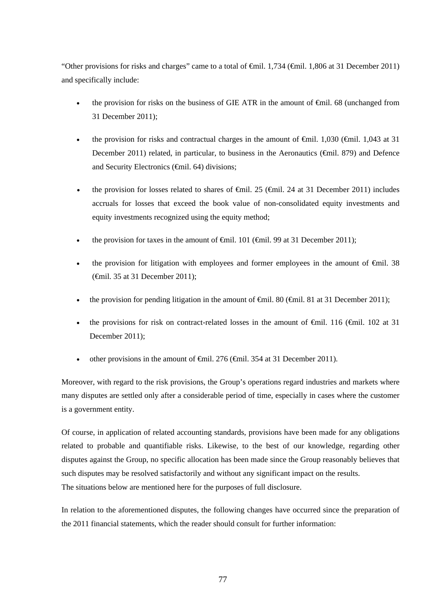"Other provisions for risks and charges" came to a total of  $\epsilon$ mil. 1,734 ( $\epsilon$ mil. 1,806 at 31 December 2011) and specifically include:

- the provision for risks on the business of GIE ATR in the amount of €mil. 68 (unchanged from 31 December 2011);
- the provision for risks and contractual charges in the amount of  $\epsilon$ mil. 1,030 ( $\epsilon$ mil. 1,043 at 31 December 2011) related, in particular, to business in the Aeronautics (€mil. 879) and Defence and Security Electronics (€mil. 64) divisions;
- the provision for losses related to shares of  $\theta$ mil. 25 ( $\theta$ mil. 24 at 31 December 2011) includes accruals for losses that exceed the book value of non-consolidated equity investments and equity investments recognized using the equity method;
- the provision for taxes in the amount of  $\epsilon$ mil. 101 ( $\epsilon$ mil. 99 at 31 December 2011);
- the provision for litigation with employees and former employees in the amount of €mil. 38 (€mil. 35 at 31 December 2011);
- the provision for pending litigation in the amount of  $\oplus$  mil. 80 ( $\oplus$  mil. 81 at 31 December 2011);
- the provisions for risk on contract-related losses in the amount of  $\epsilon$ mil. 116 ( $\epsilon$ mil. 102 at 31 December 2011);
- other provisions in the amount of  $\theta$ mil. 276 ( $\theta$ mil. 354 at 31 December 2011).

Moreover, with regard to the risk provisions, the Group's operations regard industries and markets where many disputes are settled only after a considerable period of time, especially in cases where the customer is a government entity.

Of course, in application of related accounting standards, provisions have been made for any obligations related to probable and quantifiable risks. Likewise, to the best of our knowledge, regarding other disputes against the Group, no specific allocation has been made since the Group reasonably believes that such disputes may be resolved satisfactorily and without any significant impact on the results. The situations below are mentioned here for the purposes of full disclosure.

In relation to the aforementioned disputes, the following changes have occurred since the preparation of the 2011 financial statements, which the reader should consult for further information: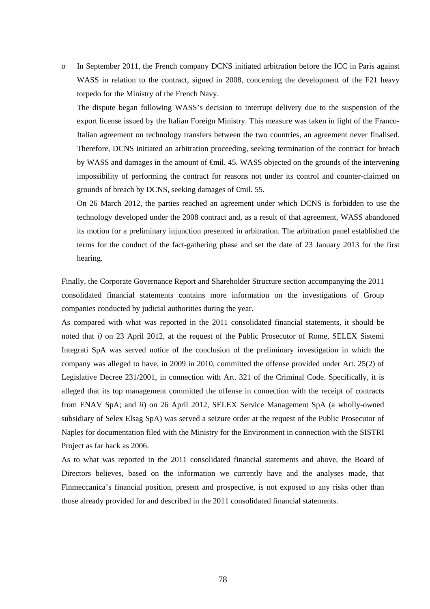o In September 2011, the French company DCNS initiated arbitration before the ICC in Paris against WASS in relation to the contract, signed in 2008, concerning the development of the F21 heavy torpedo for the Ministry of the French Navy.

The dispute began following WASS's decision to interrupt delivery due to the suspension of the export license issued by the Italian Foreign Ministry. This measure was taken in light of the Franco-Italian agreement on technology transfers between the two countries, an agreement never finalised. Therefore, DCNS initiated an arbitration proceeding, seeking termination of the contract for breach by WASS and damages in the amount of €mil. 45. WASS objected on the grounds of the intervening impossibility of performing the contract for reasons not under its control and counter-claimed on grounds of breach by DCNS, seeking damages of €mil. 55.

On 26 March 2012, the parties reached an agreement under which DCNS is forbidden to use the technology developed under the 2008 contract and, as a result of that agreement, WASS abandoned its motion for a preliminary injunction presented in arbitration. The arbitration panel established the terms for the conduct of the fact-gathering phase and set the date of 23 January 2013 for the first hearing.

Finally, the Corporate Governance Report and Shareholder Structure section accompanying the 2011 consolidated financial statements contains more information on the investigations of Group companies conducted by judicial authorities during the year.

As compared with what was reported in the 2011 consolidated financial statements, it should be noted that *i)* on 23 April 2012, at the request of the Public Prosecutor of Rome, SELEX Sistemi Integrati SpA was served notice of the conclusion of the preliminary investigation in which the company was alleged to have, in 2009 in 2010, committed the offense provided under Art. 25(2) of Legislative Decree 231/2001, in connection with Art. 321 of the Criminal Code. Specifically, it is alleged that its top management committed the offense in connection with the receipt of contracts from ENAV SpA; and *ii*) on 26 April 2012, SELEX Service Management SpA (a wholly-owned subsidiary of Selex Elsag SpA) was served a seizure order at the request of the Public Prosecutor of Naples for documentation filed with the Ministry for the Environment in connection with the SISTRI Project as far back as 2006.

As to what was reported in the 2011 consolidated financial statements and above, the Board of Directors believes, based on the information we currently have and the analyses made, that Finmeccanica's financial position, present and prospective, is not exposed to any risks other than those already provided for and described in the 2011 consolidated financial statements.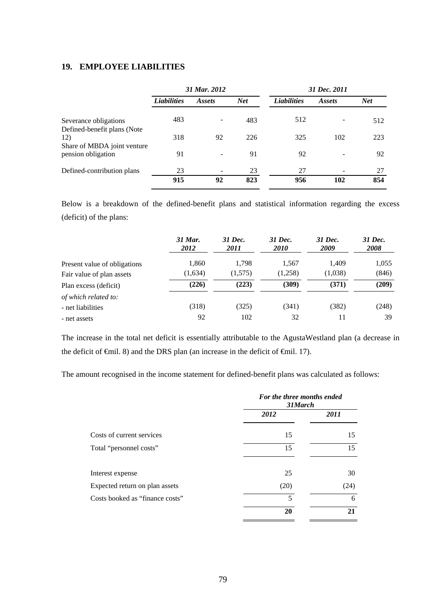### **19. EMPLOYEE LIABILITIES**

|                                                      | 31 Mar. 2012       |        |            | 31 Dec. 2011       |               |            |
|------------------------------------------------------|--------------------|--------|------------|--------------------|---------------|------------|
|                                                      | <b>Liabilities</b> | Assets | <b>Net</b> | <b>Liabilities</b> | <i>Assets</i> | <b>Net</b> |
| Severance obligations<br>Defined-benefit plans (Note | 483                |        | 483        | 512                |               | 512        |
| 12)<br>Share of MBDA joint venture                   | 318                | 92     | 226        | 325                | 102           | 223        |
| pension obligation                                   | 91                 |        | 91         | 92                 |               | 92         |
| Defined-contribution plans                           | 23                 |        | 23         | 27                 |               | 27         |
|                                                      | 915                | 92     | 823        | 956                | 102           | 854        |

Below is a breakdown of the defined-benefit plans and statistical information regarding the excess (deficit) of the plans:

|                              | 31 Mar.<br>2012 | 31 Dec.<br>2011 | 31 Dec.<br><i>2010</i> | 31 Dec.<br>2009 | 31 Dec.<br><b>2008</b> |
|------------------------------|-----------------|-----------------|------------------------|-----------------|------------------------|
| Present value of obligations | 1,860           | 1,798           | 1.567                  | 1.409           | 1,055                  |
| Fair value of plan assets    | (1,634)         | (1,575)         | (1,258)                | (1,038)         | (846)                  |
| Plan excess (deficit)        | (226)           | (223)           | (309)                  | (371)           | (209)                  |
| of which related to:         |                 |                 |                        |                 |                        |
| - net liabilities            | (318)           | (325)           | (341)                  | (382)           | (248)                  |
| - net assets                 | 92              | 102             | 32                     | 11              | 39                     |

The increase in the total net deficit is essentially attributable to the AgustaWestland plan (a decrease in the deficit of  $\epsilon$ mil. 8) and the DRS plan (an increase in the deficit of  $\epsilon$ mil. 17).

The amount recognised in the income statement for defined-benefit plans was calculated as follows:

|                                 | For the three months ended<br>31March |      |  |
|---------------------------------|---------------------------------------|------|--|
|                                 | 2012                                  | 2011 |  |
| Costs of current services       | 15                                    | 15   |  |
| Total "personnel costs"         | 15                                    | 15   |  |
| Interest expense                | 25                                    | 30   |  |
| Expected return on plan assets  | (20)                                  | (24) |  |
| Costs booked as "finance costs" | 5                                     | 6    |  |
|                                 | 20                                    | 21   |  |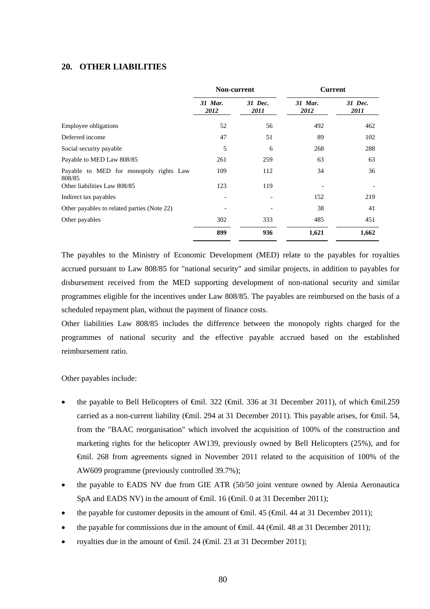### **20. OTHER LIABILITIES**

|                                                  | <b>Non-current</b> |                 | <b>Current</b>  |                 |
|--------------------------------------------------|--------------------|-----------------|-----------------|-----------------|
|                                                  | 31 Mar.<br>2012    | 31 Dec.<br>2011 | 31 Mar.<br>2012 | 31 Dec.<br>2011 |
| <b>Employee obligations</b>                      | 52                 | 56              | 492             | 462             |
| Deferred income                                  | 47                 | 51              | 89              | 102             |
| Social security payable                          | 5                  | 6               | 268             | 288             |
| Payable to MED Law 808/85                        | 261                | 259             | 63              | 63              |
| Payable to MED for monopoly rights Law<br>808/85 | 109                | 112             | 34              | 36              |
| Other liabilities Law 808/85                     | 123                | 119             |                 |                 |
| Indirect tax payables                            |                    |                 | 152             | 219             |
| Other payables to related parties (Note 22)      |                    |                 | 38              | 41              |
| Other payables                                   | 302                | 333             | 485             | 451             |
|                                                  | 899                | 936             | 1,621           | 1,662           |

The payables to the Ministry of Economic Development (MED) relate to the payables for royalties accrued pursuant to Law 808/85 for "national security" and similar projects, in addition to payables for disbursement received from the MED supporting development of non-national security and similar programmes eligible for the incentives under Law 808/85. The payables are reimbursed on the basis of a scheduled repayment plan, without the payment of finance costs.

Other liabilities Law 808/85 includes the difference between the monopoly rights charged for the programmes of national security and the effective payable accrued based on the established reimbursement ratio.

Other payables include:

- the payable to Bell Helicopters of €mil. 322 (€mil. 336 at 31 December 2011), of which €mil.259 carried as a non-current liability ( $\Theta$ mil. 294 at 31 December 2011). This payable arises, for  $\Theta$ mil. 54, from the "BAAC reorganisation" which involved the acquisition of 100% of the construction and marketing rights for the helicopter AW139, previously owned by Bell Helicopters (25%), and for €mil. 268 from agreements signed in November 2011 related to the acquisition of 100% of the AW609 programme (previously controlled 39.7%);
- the payable to EADS NV due from GIE ATR (50/50 joint venture owned by Alenia Aeronautica SpA and EADS NV) in the amount of  $\theta$ mil. 16 ( $\theta$ mil. 0 at 31 December 2011);
- the payable for customer deposits in the amount of  $\widehat{\mathbf{f}}(mil)$ . 45 ( $\widehat{\mathbf{f}}(mil)$ , 44 at 31 December 2011);
- the payable for commissions due in the amount of  $\epsilon$ mil. 44 ( $\epsilon$ mil. 48 at 31 December 2011);
- royalties due in the amount of  $\oplus$ mil. 24 ( $\oplus$ mil. 23 at 31 December 2011);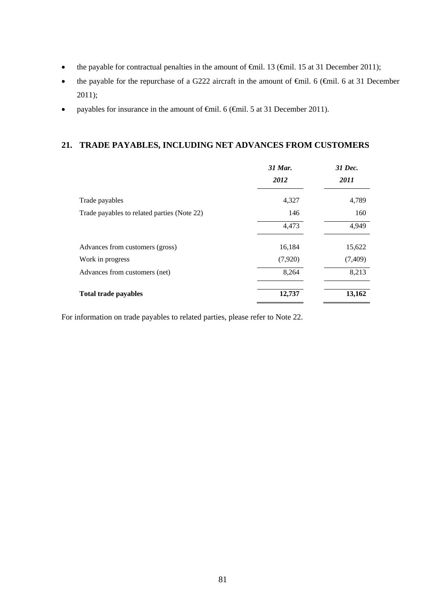- the payable for contractual penalties in the amount of  $\oplus$ mil. 13 ( $\oplus$ mil. 15 at 31 December 2011);
- the payable for the repurchase of a G222 aircraft in the amount of  $\theta$ mil. 6 ( $\theta$ mil. 6 at 31 December 2011);
- payables for insurance in the amount of €mil. 6 (€mil. 5 at 31 December 2011).

### **21. TRADE PAYABLES, INCLUDING NET ADVANCES FROM CUSTOMERS**

|                                             | 31 Mar. | 31 Dec. |
|---------------------------------------------|---------|---------|
|                                             | 2012    | 2011    |
| Trade payables                              | 4,327   | 4,789   |
| Trade payables to related parties (Note 22) | 146     | 160     |
|                                             | 4,473   | 4,949   |
| Advances from customers (gross)             | 16,184  | 15,622  |
| Work in progress                            | (7,920) | (7,409) |
| Advances from customers (net)               | 8,264   | 8,213   |
| <b>Total trade payables</b>                 | 12,737  | 13,162  |

For information on trade payables to related parties, please refer to Note 22.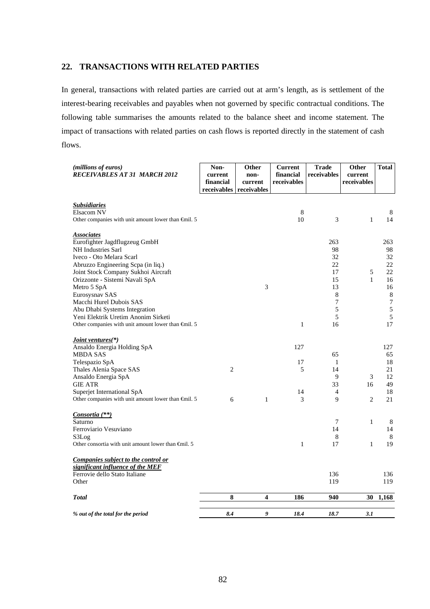### **22. TRANSACTIONS WITH RELATED PARTIES**

In general, transactions with related parties are carried out at arm's length, as is settlement of the interest-bearing receivables and payables when not governed by specific contractual conditions. The following table summarises the amounts related to the balance sheet and income statement. The impact of transactions with related parties on cash flows is reported directly in the statement of cash flows.

| (millions of euros)<br><b>RECEIVABLES AT 31 MARCH 2012</b>                                           | Non-<br>current<br>financial<br>receivables | Other<br>non-<br>current<br>receivables | <b>Current</b><br>financial<br>receivables | <b>Trade</b><br>receivables | Other<br>current<br>receivables | <b>Total</b> |
|------------------------------------------------------------------------------------------------------|---------------------------------------------|-----------------------------------------|--------------------------------------------|-----------------------------|---------------------------------|--------------|
| <b>Subsidiaries</b>                                                                                  |                                             |                                         |                                            |                             |                                 |              |
| Elsacom NV<br>Other companies with unit amount lower than $\oplus$ nil. 5                            |                                             |                                         | 8<br>10                                    | 3                           | $\mathbf{1}$                    | 8<br>14      |
| <b>Associates</b>                                                                                    |                                             |                                         |                                            |                             |                                 |              |
| Eurofighter Jagdflugzeug GmbH<br><b>NH</b> Industries Sarl                                           |                                             |                                         |                                            | 263<br>98                   |                                 | 263<br>98    |
| Iveco - Oto Melara Scarl                                                                             |                                             |                                         |                                            | 32                          |                                 | 32           |
| Abruzzo Engineering Scpa (in liq.)                                                                   |                                             |                                         |                                            | 22                          |                                 | 22           |
| Joint Stock Company Sukhoi Aircraft                                                                  |                                             |                                         |                                            | 17                          | 5                               | 22           |
| Orizzonte - Sistemi Navali SpA                                                                       |                                             |                                         |                                            | 15                          | $\mathbf{1}$                    | 16           |
| Metro 5 SpA                                                                                          |                                             | 3                                       |                                            | 13                          |                                 | 16           |
| Eurosysnav SAS                                                                                       |                                             |                                         |                                            | 8                           |                                 | 8            |
| Macchi Hurel Dubois SAS                                                                              |                                             |                                         |                                            | 7                           |                                 | 7            |
| Abu Dhabi Systems Integration                                                                        |                                             |                                         |                                            | 5<br>5                      |                                 | 5<br>5       |
| Yeni Elektrik Uretim Anonim Sirketi<br>Other companies with unit amount lower than $\epsilon$ mil. 5 |                                             |                                         | $\,1\,$                                    | 16                          |                                 | 17           |
| <u>Joint ventures</u> (*)                                                                            |                                             |                                         |                                            |                             |                                 |              |
| Ansaldo Energia Holding SpA                                                                          |                                             |                                         | 127                                        |                             |                                 | 127          |
| MBDA SAS                                                                                             |                                             |                                         |                                            | 65                          |                                 | 65           |
| Telespazio SpA                                                                                       |                                             |                                         | 17                                         | $\mathbf{1}$                |                                 | 18           |
| Thales Alenia Space SAS                                                                              | $\overline{c}$                              |                                         | 5                                          | 14<br>9                     | 3                               | 21<br>12     |
| Ansaldo Energia SpA<br><b>GIE ATR</b>                                                                |                                             |                                         |                                            | 33                          | 16                              | 49           |
| Superjet International SpA                                                                           |                                             |                                         | 14                                         | $\overline{4}$              |                                 | 18           |
| Other companies with unit amount lower than $\epsilon$ mil. 5                                        | 6                                           | 1                                       | 3                                          | 9                           | $\overline{c}$                  | 21           |
| Consortia (**)                                                                                       |                                             |                                         |                                            |                             |                                 |              |
| Saturno                                                                                              |                                             |                                         |                                            | 7                           | $\mathbf{1}$                    | 8            |
| Ferroviario Vesuviano                                                                                |                                             |                                         |                                            | 14                          |                                 | 14           |
| S3Log<br>Other consortia with unit amount lower than $\oplus$ nil. 5                                 |                                             |                                         | 1                                          | 8<br>17                     | $\mathbf{1}$                    | 8<br>19      |
| Companies subject to the control or                                                                  |                                             |                                         |                                            |                             |                                 |              |
| significant influence of the MEF                                                                     |                                             |                                         |                                            |                             |                                 |              |
| Ferrovie dello Stato Italiane<br>Other                                                               |                                             |                                         |                                            | 136<br>119                  |                                 | 136<br>119   |
| Total                                                                                                | 8                                           | 4                                       | 186                                        | 940                         | 30                              | 1,168        |
| % out of the total for the period                                                                    | 8.4                                         | 9                                       | 18.4                                       | 18.7                        | 3.1                             |              |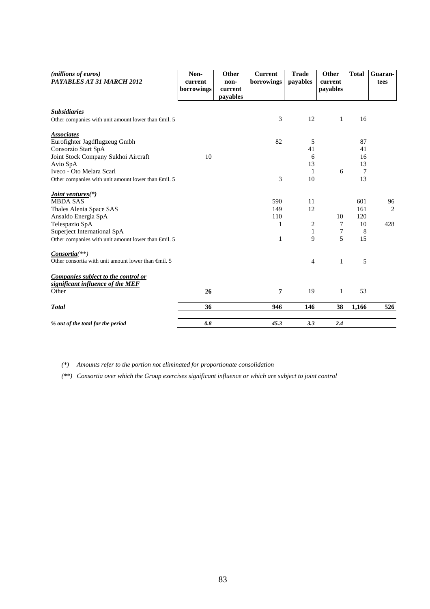| (millions of euros)<br>PAYABLES AT 31 MARCH 2012              | Non-<br>current | Other<br>non- | <b>Current</b><br>borrowings | <b>Trade</b><br>payables | Other<br>current | <b>Total</b>    | Guaran-<br>tees |
|---------------------------------------------------------------|-----------------|---------------|------------------------------|--------------------------|------------------|-----------------|-----------------|
|                                                               | borrowings      | current       |                              |                          | payables         |                 |                 |
|                                                               |                 | payables      |                              |                          |                  |                 |                 |
| <b>Subsidiaries</b>                                           |                 |               |                              |                          |                  |                 |                 |
| Other companies with unit amount lower than $\epsilon$ mil. 5 |                 |               | 3                            | 12                       | 1                | 16              |                 |
| <b>Associates</b>                                             |                 |               |                              |                          |                  |                 |                 |
| Eurofighter Jagdflugzeug Gmbh                                 |                 |               | 82                           | 5                        |                  | 87              |                 |
| Consorzio Start SpA                                           |                 |               |                              | 41                       |                  | 41              |                 |
| Joint Stock Company Sukhoi Aircraft                           | 10              |               |                              | 6                        |                  | 16              |                 |
| Avio SpA                                                      |                 |               |                              | 13                       |                  | 13              |                 |
| Iveco - Oto Melara Scarl                                      |                 |               |                              | 1                        | 6                | $7\phantom{.0}$ |                 |
| Other companies with unit amount lower than $\epsilon$ mil. 5 |                 |               | 3                            | 10                       |                  | 13              |                 |
| <i>Joint ventures</i> <sup>(*)</sup>                          |                 |               |                              |                          |                  |                 |                 |
| <b>MBDA SAS</b>                                               |                 |               | 590                          | 11                       |                  | 601             | 96              |
| Thales Alenia Space SAS                                       |                 |               | 149                          | 12                       |                  | 161             | $\overline{2}$  |
| Ansaldo Energia SpA                                           |                 |               | 110                          |                          | 10               | 120             |                 |
| Telespazio SpA                                                |                 |               | 1                            | $\overline{\mathbf{c}}$  | 7                | 10              | 428             |
| Superject International SpA                                   |                 |               |                              | $\mathbf{1}$             | 7                | 8               |                 |
| Other companies with unit amount lower than €mil. 5           |                 |               | 1                            | 9                        | 5                | 15              |                 |
| $Consortia(**)$                                               |                 |               |                              |                          |                  |                 |                 |
| Other consortia with unit amount lower than $\oplus$ nil. 5   |                 |               |                              | $\overline{4}$           | $\mathbf{1}$     | 5               |                 |
| Companies subject to the control or                           |                 |               |                              |                          |                  |                 |                 |
| significant influence of the MEF                              |                 |               |                              |                          |                  |                 |                 |
| Other                                                         | 26              |               | 7                            | 19                       | 1                | 53              |                 |
| <b>Total</b>                                                  | 36              |               | 946                          | 146                      | 38               | 1,166           | 526             |
| % out of the total for the period                             | 0.8             |               | 45.3                         | 3.3                      | 2.4              |                 |                 |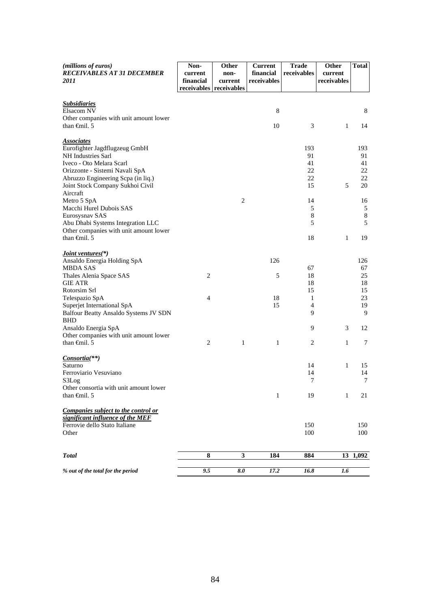| (millions of euros)<br><b>RECEIVABLES AT 31 DECEMBER</b>             | Non-<br>current | Other<br>non-                      | <b>Current</b><br>financial | <b>Trade</b><br>receivables | Other<br>current | <b>Total</b> |
|----------------------------------------------------------------------|-----------------|------------------------------------|-----------------------------|-----------------------------|------------------|--------------|
| <i>2011</i>                                                          | financial       | current<br>receivables receivables | receivables                 |                             | receivables      |              |
| <b>Subsidiaries</b>                                                  |                 |                                    |                             |                             |                  |              |
| Elsacom NV                                                           |                 |                                    | 8                           |                             |                  | 8            |
| Other companies with unit amount lower<br>than $\oplus$ finil. 5     |                 |                                    | 10                          | 3                           | 1                | 14           |
| <b>Associates</b>                                                    |                 |                                    |                             |                             |                  |              |
| Eurofighter Jagdflugzeug GmbH<br>NH Industries Sarl                  |                 |                                    |                             | 193<br>91                   |                  | 193<br>91    |
| Iveco - Oto Melara Scarl                                             |                 |                                    |                             | 41                          |                  | 41           |
| Orizzonte - Sistemi Navali SpA<br>Abruzzo Engineering Scpa (in liq.) |                 |                                    |                             | 22<br>22                    |                  | 22<br>22     |
| Joint Stock Company Sukhoi Civil                                     |                 |                                    |                             | 15                          | 5                | 20           |
| Aircraft                                                             |                 |                                    |                             |                             |                  |              |
| Metro 5 SpA                                                          |                 | $\overline{2}$                     |                             | 14                          |                  | 16           |
| Macchi Hurel Dubois SAS<br>Eurosysnav SAS                            |                 |                                    |                             | 5<br>$\,8\,$                |                  | 5<br>$\,8\,$ |
| Abu Dhabi Systems Integration LLC                                    |                 |                                    |                             | 5                           |                  | 5            |
| Other companies with unit amount lower                               |                 |                                    |                             |                             |                  |              |
| than $\oplus$ finil. 5                                               |                 |                                    |                             | 18                          | 1                | 19           |
| <i>Joint ventures</i> <sup>(*)</sup>                                 |                 |                                    |                             |                             |                  |              |
| Ansaldo Energia Holding SpA                                          |                 |                                    | 126                         |                             |                  | 126          |
| <b>MBDA SAS</b><br>Thales Alenia Space SAS                           | 2               |                                    | 5                           | 67<br>18                    |                  | 67<br>25     |
| <b>GIE ATR</b>                                                       |                 |                                    |                             | 18                          |                  | 18           |
| Rotorsim Srl                                                         |                 |                                    |                             | 15                          |                  | 15           |
| Telespazio SpA<br>Superjet International SpA                         | 4               |                                    | 18<br>15                    | 1<br>$\overline{4}$         |                  | 23<br>19     |
| Balfour Beatty Ansaldo Systems JV SDN                                |                 |                                    |                             | 9                           |                  | 9            |
| <b>BHD</b>                                                           |                 |                                    |                             |                             |                  |              |
| Ansaldo Energia SpA                                                  |                 |                                    |                             | 9                           | 3                | 12           |
| Other companies with unit amount lower<br>than $\oplus$ finil. 5     | $\overline{2}$  | 1                                  | $\mathbf{1}$                | $\overline{c}$              | 1                | 7            |
|                                                                      |                 |                                    |                             |                             |                  |              |
| <i>Consortia</i> <sup>(**)</sup>                                     |                 |                                    |                             |                             |                  |              |
| Saturno<br>Ferroviario Vesuviano                                     |                 |                                    |                             | 14<br>14                    | 1                | 15<br>14     |
| S3Log                                                                |                 |                                    |                             | 7                           |                  | 7            |
| Other consortia with unit amount lower                               |                 |                                    |                             |                             |                  |              |
| than $\oplus$ finil. 5                                               |                 |                                    | $\mathbf{1}$                | 19                          | 1                | 21           |
| Companies subject to the control or                                  |                 |                                    |                             |                             |                  |              |
| significant influence of the MEF                                     |                 |                                    |                             |                             |                  |              |
| Ferrovie dello Stato Italiane<br>Other                               |                 |                                    |                             | 150<br>100                  |                  | 150<br>100   |
|                                                                      |                 |                                    |                             |                             |                  |              |
| <b>Total</b>                                                         | 8               | 3                                  | 184                         | 884                         |                  | 13 1,092     |
|                                                                      |                 |                                    |                             |                             |                  |              |
| % out of the total for the period                                    | 9.5             | 8.0                                | 17.2                        | 16.8                        | 1.6              |              |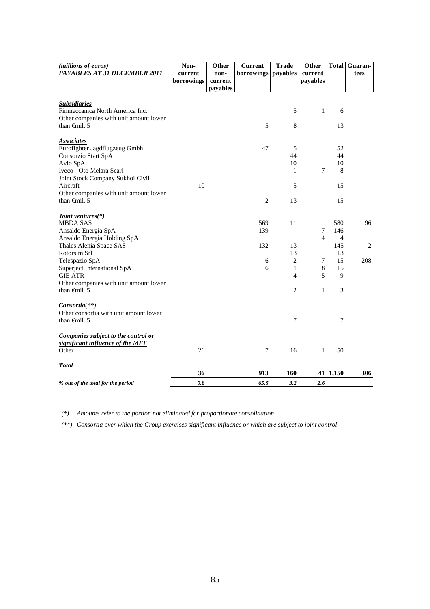| (millions of euros)<br>PAYABLES AT 31 DECEMBER 2011                     | Non-<br>current | Other<br>non-       | <b>Current</b><br>borrowings   payables | <b>Trade</b>                   | Other<br>current | <b>Total</b>    | Guaran-<br>tees |
|-------------------------------------------------------------------------|-----------------|---------------------|-----------------------------------------|--------------------------------|------------------|-----------------|-----------------|
|                                                                         | borrowings      | current<br>payables |                                         |                                | payables         |                 |                 |
|                                                                         |                 |                     |                                         |                                |                  |                 |                 |
| <b>Subsidiaries</b><br>Finmeccanica North America Inc.                  |                 |                     |                                         | 5                              | 1                | 6               |                 |
| Other companies with unit amount lower<br>than $\oplus$ finil. 5        |                 |                     | 5                                       | 8                              |                  | 13              |                 |
| <b>Associates</b><br>Eurofighter Jagdflugzeug Gmbh                      |                 |                     | 47                                      | 5                              |                  | 52              |                 |
| Consorzio Start SpA                                                     |                 |                     |                                         | 44                             |                  | 44              |                 |
| Avio SpA                                                                |                 |                     |                                         | 10                             |                  | 10              |                 |
| Iveco - Oto Melara Scarl<br>Joint Stock Company Sukhoi Civil            |                 |                     |                                         | $\mathbf{1}$                   | 7                | 8               |                 |
| Aircraft<br>Other companies with unit amount lower                      | 10              |                     |                                         | 5                              |                  | 15              |                 |
| than $\oplus$ finil. 5                                                  |                 |                     | $\overline{c}$                          | 13                             |                  | 15              |                 |
| <i>Joint ventures</i> <sup>(*)</sup><br><b>MBDA SAS</b>                 |                 |                     | 569                                     | 11                             |                  | 580             | 96              |
| Ansaldo Energia SpA                                                     |                 |                     | 139                                     |                                | 7                | 146             |                 |
| Ansaldo Energia Holding SpA                                             |                 |                     |                                         |                                | $\overline{4}$   | $\overline{4}$  |                 |
| Thales Alenia Space SAS                                                 |                 |                     | 132                                     | 13                             |                  | 145             | 2               |
| Rotorsim Srl                                                            |                 |                     |                                         | 13                             |                  | 13              |                 |
| Telespazio SpA                                                          |                 |                     | 6                                       | $\overline{2}$                 | 7                | 15              | 208             |
| Superject International SpA<br><b>GIE ATR</b>                           |                 |                     | 6                                       | $\mathbf{1}$<br>$\overline{4}$ | $\,8\,$<br>5     | 15<br>9         |                 |
| Other companies with unit amount lower                                  |                 |                     |                                         |                                |                  |                 |                 |
| than $\oplus$ finil. 5                                                  |                 |                     |                                         | 2                              | $\mathbf{1}$     | 3               |                 |
| $Consortia(**)$                                                         |                 |                     |                                         |                                |                  |                 |                 |
| Other consortia with unit amount lower<br>than $\oplus$ finil. 5        |                 |                     |                                         | 7                              |                  | $\overline{7}$  |                 |
| Companies subject to the control or<br>significant influence of the MEF |                 |                     |                                         |                                |                  |                 |                 |
| Other                                                                   | 26              |                     | 7                                       | 16                             | $\mathbf{1}$     | 50              |                 |
| <b>Total</b>                                                            |                 |                     |                                         |                                |                  |                 |                 |
|                                                                         | 36              |                     | 913                                     | 160                            |                  | $41 \;\; 1,150$ | 306             |
| % out of the total for the period                                       | 0.8             |                     | 65.5                                    | 3.2                            | 2.6              |                 |                 |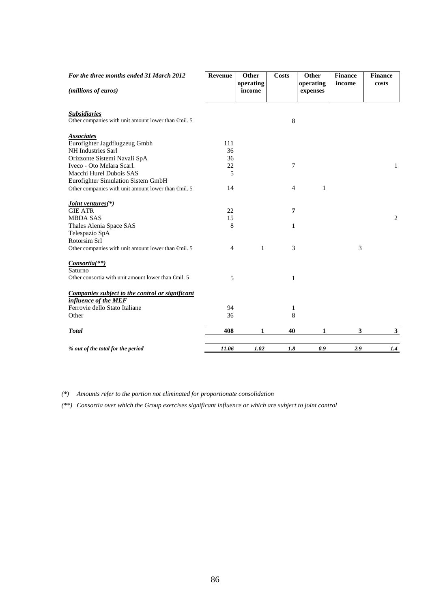| For the three months ended 31 March 2012                      | Revenue        | Other               | <b>Costs</b>   | Other                 | <b>Finance</b> | <b>Finance</b> |
|---------------------------------------------------------------|----------------|---------------------|----------------|-----------------------|----------------|----------------|
| (millions of euros)                                           |                | operating<br>income |                | operating<br>expenses | income         | costs          |
| <b>Subsidiaries</b>                                           |                |                     |                |                       |                |                |
| Other companies with unit amount lower than $\epsilon$ mil. 5 |                |                     | 8              |                       |                |                |
| <b>Associates</b>                                             |                |                     |                |                       |                |                |
| Eurofighter Jagdflugzeug Gmbh                                 | 111            |                     |                |                       |                |                |
| NH Industries Sarl                                            | 36             |                     |                |                       |                |                |
| Orizzonte Sistemi Navali SpA                                  | 36             |                     |                |                       |                |                |
| Iveco - Oto Melara Scarl.                                     | 22             |                     | 7              |                       |                | 1              |
| Macchi Hurel Dubois SAS                                       | 5              |                     |                |                       |                |                |
| Eurofighter Simulation Sistem GmbH                            |                |                     |                |                       |                |                |
| Other companies with unit amount lower than $\oplus$ nil. 5   | 14             |                     | $\overline{4}$ | 1                     |                |                |
| Joint ventures(*)                                             |                |                     |                |                       |                |                |
| <b>GIE ATR</b>                                                | 22             |                     | 7              |                       |                |                |
| <b>MBDA SAS</b>                                               | 15             |                     |                |                       |                | 2              |
| Thales Alenia Space SAS                                       | 8              |                     | 1              |                       |                |                |
| Telespazio SpA                                                |                |                     |                |                       |                |                |
| Rotorsim Srl                                                  |                |                     |                |                       |                |                |
| Other companies with unit amount lower than $\epsilon$ mil. 5 | $\overline{4}$ | $\mathbf{1}$        | 3              |                       | 3              |                |
| <i>Consortia</i> <sup>(**)</sup>                              |                |                     |                |                       |                |                |
| Saturno                                                       |                |                     |                |                       |                |                |
| Other consortia with unit amount lower than $\epsilon$ mil. 5 | 5              |                     | $\mathbf{1}$   |                       |                |                |
| Companies subject to the control or significant               |                |                     |                |                       |                |                |
| influence of the MEF                                          |                |                     |                |                       |                |                |
| Ferrovie dello Stato Italiane                                 | 94             |                     | 1              |                       |                |                |
| Other                                                         | 36             |                     | 8              |                       |                |                |
| <b>Total</b>                                                  | 408            | $\mathbf{1}$        | 40             | 1                     | 3              | $\mathbf{3}$   |
|                                                               |                |                     |                |                       |                |                |
| % out of the total for the period                             | 11.06          | 1.02                | 1.8            | 0.9                   | 2.9            | 1.4            |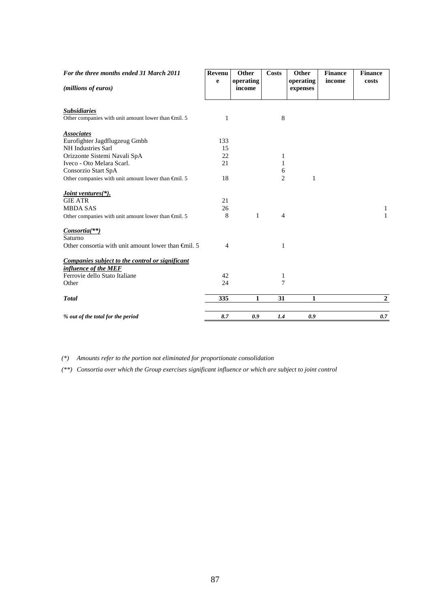| For the three months ended 31 March 2011                      | <b>Revenu</b><br>e | Other<br>operating | <b>Costs</b>   | Other<br>operating | <b>Finance</b><br>income | <b>Finance</b><br>costs |
|---------------------------------------------------------------|--------------------|--------------------|----------------|--------------------|--------------------------|-------------------------|
| (millions of euros)                                           |                    | income             |                | expenses           |                          |                         |
| <b>Subsidiaries</b>                                           |                    |                    |                |                    |                          |                         |
| Other companies with unit amount lower than $\epsilon$ mil. 5 | 1                  |                    | $\,8\,$        |                    |                          |                         |
| <b>Associates</b>                                             |                    |                    |                |                    |                          |                         |
| Eurofighter Jagdflugzeug Gmbh                                 | 133                |                    |                |                    |                          |                         |
| NH Industries Sarl                                            | 15                 |                    |                |                    |                          |                         |
| Orizzonte Sistemi Navali SpA                                  | 22                 |                    | 1              |                    |                          |                         |
| Iveco - Oto Melara Scarl.                                     | 21                 |                    | 1              |                    |                          |                         |
| Consorzio Start SpA                                           |                    |                    | 6              |                    |                          |                         |
| Other companies with unit amount lower than $\oplus$ nil. 5   | 18                 |                    | $\overline{2}$ | 1                  |                          |                         |
| Joint ventures $(*)$ .                                        |                    |                    |                |                    |                          |                         |
| <b>GIE ATR</b>                                                | 21                 |                    |                |                    |                          |                         |
| <b>MBDA SAS</b>                                               | 26                 |                    |                |                    |                          | $\mathbf{1}$            |
| Other companies with unit amount lower than $\epsilon$ mil. 5 | 8                  | $\mathbf{1}$       | $\overline{4}$ |                    |                          | $\mathbf{1}$            |
| Consortia(**)                                                 |                    |                    |                |                    |                          |                         |
| Saturno                                                       |                    |                    |                |                    |                          |                         |
| Other consortia with unit amount lower than $\oplus$ nil. 5   | 4                  |                    | 1              |                    |                          |                         |
| Companies subject to the control or significant               |                    |                    |                |                    |                          |                         |
| influence of the MEF                                          |                    |                    |                |                    |                          |                         |
| Ferrovie dello Stato Italiane                                 | 42                 |                    | 1              |                    |                          |                         |
| Other                                                         | 24                 |                    | 7              |                    |                          |                         |
| <b>Total</b>                                                  | 335                | 1                  | 31             | 1                  |                          | $\overline{2}$          |
| % out of the total for the period                             | 8.7                | 0.9                | 1.4            | 0.9                |                          | 0.7                     |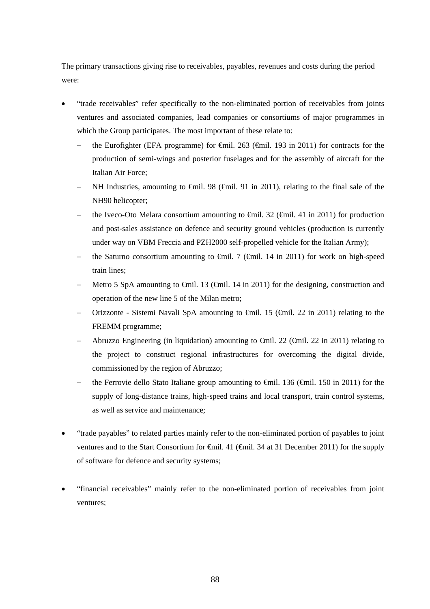The primary transactions giving rise to receivables, payables, revenues and costs during the period were:

- "trade receivables" refer specifically to the non-eliminated portion of receivables from joints ventures and associated companies, lead companies or consortiums of major programmes in which the Group participates. The most important of these relate to:
	- the Eurofighter (EFA programme) for €mil. 263 (€mil. 193 in 2011) for contracts for the production of semi-wings and posterior fuselages and for the assembly of aircraft for the Italian Air Force;
	- NH Industries, amounting to  $\epsilon$ mil. 98 ( $\epsilon$ mil. 91 in 2011), relating to the final sale of the NH90 helicopter;
	- the Iveco-Oto Melara consortium amounting to  $\oplus$  inil. 32 ( $\oplus$  inil. 41 in 2011) for production and post-sales assistance on defence and security ground vehicles (production is currently under way on VBM Freccia and PZH2000 self-propelled vehicle for the Italian Army);
	- the Saturno consortium amounting to €mil. 7 (€mil. 14 in 2011) for work on high-speed train lines;
	- Metro 5 SpA amounting to €mil. 13 (€mil. 14 in 2011) for the designing, construction and operation of the new line 5 of the Milan metro;
	- Orizzonte Sistemi Navali SpA amounting to €mil. 15 (€mil. 22 in 2011) relating to the FREMM programme;
	- Abruzzo Engineering (in liquidation) amounting to  $\theta$ mil. 22 ( $\theta$ mil. 22 in 2011) relating to the project to construct regional infrastructures for overcoming the digital divide, commissioned by the region of Abruzzo;
	- the Ferrovie dello Stato Italiane group amounting to  $\epsilon$ mil. 136 ( $\epsilon$ mil. 150 in 2011) for the supply of long-distance trains, high-speed trains and local transport, train control systems, as well as service and maintenance*;*
- "trade payables" to related parties mainly refer to the non-eliminated portion of payables to joint ventures and to the Start Consortium for €mil. 41 (€mil. 34 at 31 December 2011) for the supply of software for defence and security systems;
- "financial receivables" mainly refer to the non-eliminated portion of receivables from joint ventures;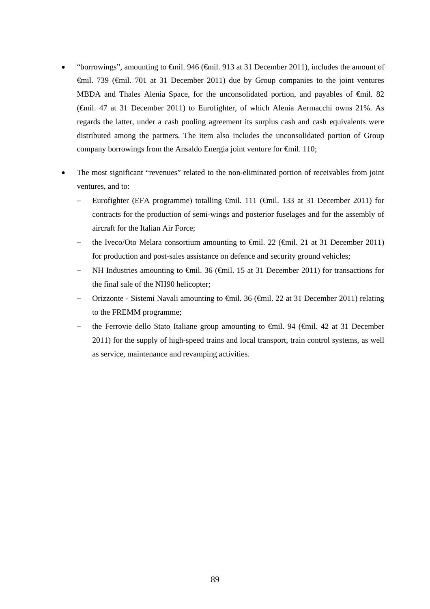- "borrowings", amounting to €mil. 946 (€mil. 913 at 31 December 2011), includes the amount of €mil. 739 (€mil. 701 at 31 December 2011) due by Group companies to the joint ventures MBDA and Thales Alenia Space, for the unconsolidated portion, and payables of  $\epsilon$ mil. 82 (€mil. 47 at 31 December 2011) to Eurofighter, of which Alenia Aermacchi owns 21%. As regards the latter, under a cash pooling agreement its surplus cash and cash equivalents were distributed among the partners. The item also includes the unconsolidated portion of Group company borrowings from the Ansaldo Energia joint venture for €mil. 110;
- The most significant "revenues" related to the non-eliminated portion of receivables from joint ventures, and to:
	- Eurofighter (EFA programme) totalling €mil. 111 (€mil. 133 at 31 December 2011) for contracts for the production of semi-wings and posterior fuselages and for the assembly of aircraft for the Italian Air Force;
	- the Iveco/Oto Melara consortium amounting to €mil. 22 (€mil. 21 at 31 December 2011) for production and post-sales assistance on defence and security ground vehicles;
	- NH Industries amounting to  $\oplus$  iil. 36 ( $\oplus$ nil. 15 at 31 December 2011) for transactions for the final sale of the NH90 helicopter;
	- Orizzonte Sistemi Navali amounting to €mil. 36 (€mil. 22 at 31 December 2011) relating to the FREMM programme;
	- the Ferrovie dello Stato Italiane group amounting to €mil. 94 (€mil. 42 at 31 December 2011) for the supply of high-speed trains and local transport, train control systems, as well as service, maintenance and revamping activities*.*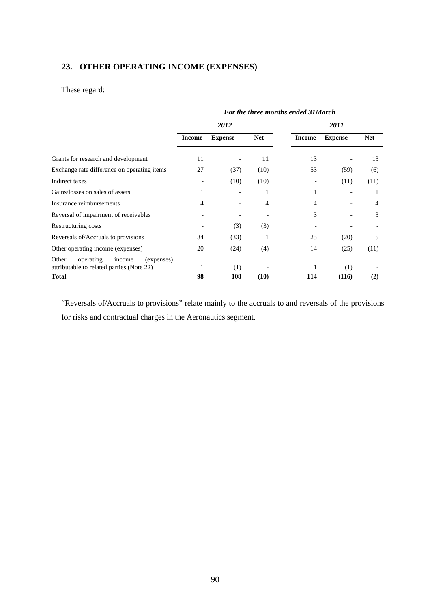# **23. OTHER OPERATING INCOME (EXPENSES)**

# These regard:

|                                                                                         | For the three months ended 31 March |                |            |               |                |            |  |  |
|-----------------------------------------------------------------------------------------|-------------------------------------|----------------|------------|---------------|----------------|------------|--|--|
|                                                                                         |                                     | 2012           |            |               | 2011           |            |  |  |
|                                                                                         | <b>Income</b>                       | <b>Expense</b> | <b>Net</b> | <b>Income</b> | <b>Expense</b> | <b>Net</b> |  |  |
| Grants for research and development                                                     | 11                                  |                | 11         | 13            |                | 13         |  |  |
| Exchange rate difference on operating items                                             | 27                                  | (37)           | (10)       | 53            | (59)           | (6)        |  |  |
| Indirect taxes                                                                          |                                     | (10)           | (10)       |               | (11)           | (11)       |  |  |
| Gains/losses on sales of assets                                                         | 1                                   |                | 1          | 1             |                |            |  |  |
| Insurance reimbursements                                                                | 4                                   |                | 4          | 4             |                | 4          |  |  |
| Reversal of impairment of receivables                                                   |                                     |                |            | 3             |                | 3          |  |  |
| Restructuring costs                                                                     |                                     | (3)            | (3)        |               |                |            |  |  |
| Reversals of/Accruals to provisions                                                     | 34                                  | (33)           | 1          | 25            | (20)           | 5          |  |  |
| Other operating income (expenses)                                                       | 20                                  | (24)           | (4)        | 14            | (25)           | (11)       |  |  |
| Other<br>operating<br>(expenses)<br>income<br>attributable to related parties (Note 22) |                                     | (1)            |            |               | (1)            |            |  |  |
| <b>Total</b>                                                                            | 98                                  | 108            | (10)       | 114           | (116)          | (2)        |  |  |

"Reversals of/Accruals to provisions" relate mainly to the accruals to and reversals of the provisions for risks and contractual charges in the Aeronautics segment.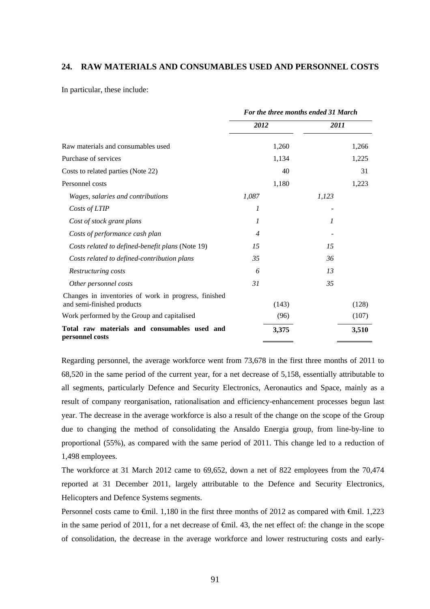#### **24. RAW MATERIALS AND CONSUMABLES USED AND PERSONNEL COSTS**

In particular, these include:

|                                                                                    | For the three months ended 31 March |       |       |  |
|------------------------------------------------------------------------------------|-------------------------------------|-------|-------|--|
|                                                                                    | 2012                                | 2011  |       |  |
| Raw materials and consumables used                                                 |                                     | 1,260 | 1,266 |  |
| Purchase of services                                                               |                                     | 1,134 | 1,225 |  |
| Costs to related parties (Note 22)                                                 |                                     | 40    | 31    |  |
| Personnel costs                                                                    |                                     | 1,180 | 1,223 |  |
| Wages, salaries and contributions                                                  | 1,087                               | 1,123 |       |  |
| Costs of LTIP                                                                      | 1                                   |       |       |  |
| Cost of stock grant plans                                                          | 1                                   | 1     |       |  |
| Costs of performance cash plan                                                     | $\overline{4}$                      |       |       |  |
| Costs related to defined-benefit plans (Note 19)                                   | 15                                  | 15    |       |  |
| Costs related to defined-contribution plans                                        | 35                                  | 36    |       |  |
| Restructuring costs                                                                | 6                                   | 13    |       |  |
| Other personnel costs                                                              | 31                                  | 35    |       |  |
| Changes in inventories of work in progress, finished<br>and semi-finished products |                                     | (143) | (128) |  |
| Work performed by the Group and capitalised                                        |                                     | (96)  | (107) |  |
| Total raw materials and consumables used and<br>personnel costs                    |                                     | 3,375 | 3,510 |  |

Regarding personnel, the average workforce went from 73,678 in the first three months of 2011 to 68,520 in the same period of the current year, for a net decrease of 5,158, essentially attributable to all segments, particularly Defence and Security Electronics, Aeronautics and Space, mainly as a result of company reorganisation, rationalisation and efficiency-enhancement processes begun last year. The decrease in the average workforce is also a result of the change on the scope of the Group due to changing the method of consolidating the Ansaldo Energia group, from line-by-line to proportional (55%), as compared with the same period of 2011. This change led to a reduction of 1,498 employees.

The workforce at 31 March 2012 came to 69,652, down a net of 822 employees from the 70,474 reported at 31 December 2011, largely attributable to the Defence and Security Electronics, Helicopters and Defence Systems segments.

Personnel costs came to <del>C</del>mil. 1,180 in the first three months of 2012 as compared with <del>C</del>mil. 1,223 in the same period of 2011, for a net decrease of  $\epsilon$ mil. 43, the net effect of: the change in the scope of consolidation, the decrease in the average workforce and lower restructuring costs and early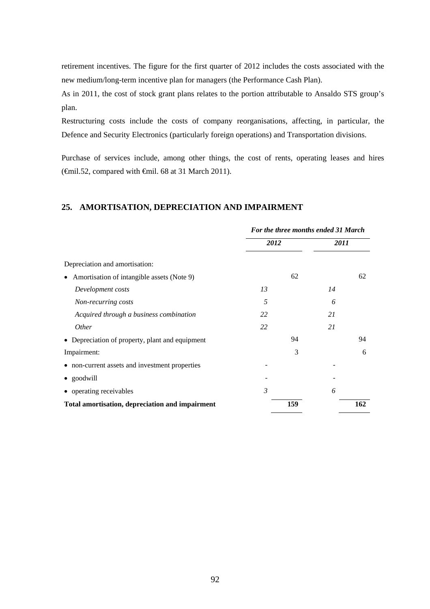retirement incentives. The figure for the first quarter of 2012 includes the costs associated with the new medium/long-term incentive plan for managers (the Performance Cash Plan).

As in 2011, the cost of stock grant plans relates to the portion attributable to Ansaldo STS group's plan.

Restructuring costs include the costs of company reorganisations, affecting, in particular, the Defence and Security Electronics (particularly foreign operations) and Transportation divisions.

Purchase of services include, among other things, the cost of rents, operating leases and hires  $(\text{Gmil.52},$  compared with  $\text{Gmil. 68}$  at 31 March 2011).

### **25. AMORTISATION, DEPRECIATION AND IMPAIRMENT**

|                                                         | For the three months ended 31 March |     |      |     |
|---------------------------------------------------------|-------------------------------------|-----|------|-----|
|                                                         | 2012                                |     | 2011 |     |
| Depreciation and amortisation:                          |                                     |     |      |     |
| Amortisation of intangible assets (Note 9)<br>$\bullet$ |                                     | 62  |      | 62  |
| Development costs                                       | 13                                  |     | 14   |     |
| Non-recurring costs                                     | 5                                   |     | 6    |     |
| Acquired through a business combination                 | 22                                  |     | 21   |     |
| <i>Other</i>                                            | 22                                  |     | 21   |     |
| • Depreciation of property, plant and equipment         |                                     | 94  |      | 94  |
| Impairment:                                             |                                     | 3   |      | 6   |
| • non-current assets and investment properties          |                                     |     |      |     |
| • goodwill                                              |                                     |     |      |     |
| • operating receivables                                 | $\mathfrak{Z}$                      |     | 6    |     |
| Total amortisation, depreciation and impairment         |                                     | 159 |      | 162 |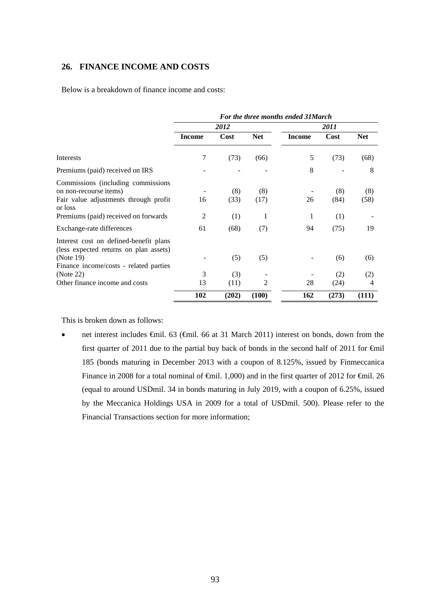## **26. FINANCE INCOME AND COSTS**

Below is a breakdown of finance income and costs:

|                                                                                                                                         | For the three months ended 31 March |             |             |        |             |             |  |
|-----------------------------------------------------------------------------------------------------------------------------------------|-------------------------------------|-------------|-------------|--------|-------------|-------------|--|
|                                                                                                                                         |                                     | 2012        |             |        | 2011        |             |  |
|                                                                                                                                         | <b>Income</b>                       | Cost        | <b>Net</b>  | Income | Cost        | <b>Net</b>  |  |
| Interests                                                                                                                               | 7                                   | (73)        | (66)        | 5      | (73)        | (68)        |  |
| Premiums (paid) received on IRS                                                                                                         |                                     |             |             | 8      |             | 8           |  |
| Commissions (including commissions)<br>on non-recourse items)<br>Fair value adjustments through profit<br>or loss                       | 16                                  | (8)<br>(33) | (8)<br>(17) | 26     | (8)<br>(84) | (8)<br>(58) |  |
| Premiums (paid) received on forwards                                                                                                    | 2                                   | (1)         | 1           | 1      | (1)         |             |  |
| Exchange-rate differences                                                                                                               | 61                                  | (68)        | (7)         | 94     | (75)        | 19          |  |
| Interest cost on defined-benefit plans<br>(less expected returns on plan assets)<br>(Note 19)<br>Finance income/costs - related parties |                                     | (5)         | (5)         |        | (6)         | (6)         |  |
| (Note 22)                                                                                                                               | 3                                   | (3)         |             |        | (2)         | (2)         |  |
| Other finance income and costs                                                                                                          | 13                                  | (11)        | 2           | 28     | (24)        | 4           |  |
|                                                                                                                                         | 102                                 | (202)       | (100)       | 162    | (273)       | (111)       |  |

This is broken down as follows:

 net interest includes €mil. 63 (€mil. 66 at 31 March 2011) interest on bonds, down from the first quarter of 2011 due to the partial buy back of bonds in the second half of 2011 for €mil 185 (bonds maturing in December 2013 with a coupon of 8.125%, issued by Finmeccanica Finance in 2008 for a total nominal of  $\oplus$ mil. 1,000) and in the first quarter of 2012 for  $\oplus$ mil. 26 (equal to around USDmil. 34 in bonds maturing in July 2019, with a coupon of 6.25%, issued by the Meccanica Holdings USA in 2009 for a total of USDmil. 500). Please refer to the Financial Transactions section for more information;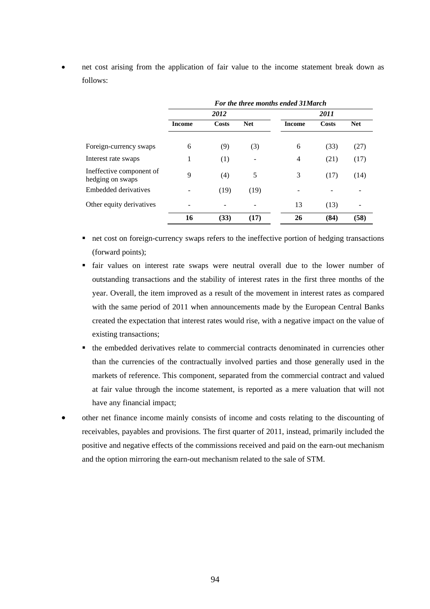net cost arising from the application of fair value to the income statement break down as follows:

|                                              | For the three months ended 31 March |       |            |        |       |            |
|----------------------------------------------|-------------------------------------|-------|------------|--------|-------|------------|
|                                              |                                     | 2012  |            | 2011   |       |            |
|                                              | <b>Income</b>                       | Costs | <b>Net</b> | Income | Costs | <b>Net</b> |
| Foreign-currency swaps                       | 6                                   | (9)   | (3)        | 6      | (33)  | (27)       |
| Interest rate swaps                          | 1                                   | (1)   |            | 4      | (21)  | (17)       |
| Ineffective component of<br>hedging on swaps | 9                                   | (4)   | 5          | 3      | (17)  | (14)       |
| <b>Embedded derivatives</b>                  |                                     | (19)  | (19)       |        |       |            |
| Other equity derivatives                     |                                     |       |            | 13     | (13)  |            |
|                                              | 16                                  | (33)  | (17)       | 26     | (84)  | (58)       |

- net cost on foreign-currency swaps refers to the ineffective portion of hedging transactions (forward points);
- fair values on interest rate swaps were neutral overall due to the lower number of outstanding transactions and the stability of interest rates in the first three months of the year. Overall, the item improved as a result of the movement in interest rates as compared with the same period of 2011 when announcements made by the European Central Banks created the expectation that interest rates would rise, with a negative impact on the value of existing transactions;
- the embedded derivatives relate to commercial contracts denominated in currencies other than the currencies of the contractually involved parties and those generally used in the markets of reference. This component, separated from the commercial contract and valued at fair value through the income statement, is reported as a mere valuation that will not have any financial impact;
- other net finance income mainly consists of income and costs relating to the discounting of receivables, payables and provisions. The first quarter of 2011, instead, primarily included the positive and negative effects of the commissions received and paid on the earn-out mechanism and the option mirroring the earn-out mechanism related to the sale of STM.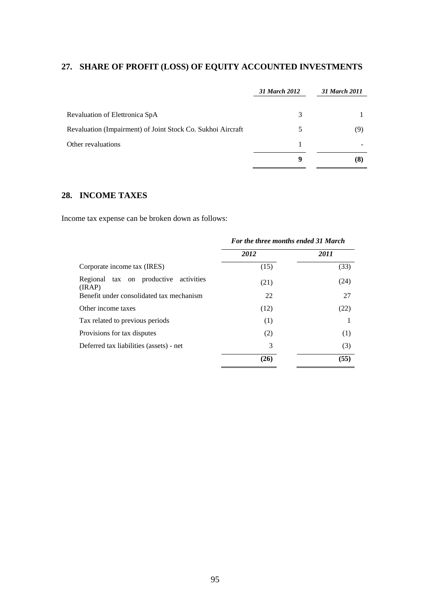# **27. SHARE OF PROFIT (LOSS) OF EQUITY ACCOUNTED INVESTMENTS**

| 31 March 2012 | 31 March 2011 |
|---------------|---------------|
| 3             |               |
| 5             | (9)           |
|               |               |
| -9            | (8)           |
|               |               |

# **28. INCOME TAXES**

Income tax expense can be broken down as follows:

|                                                 | For the three months ended 31 March |      |  |  |
|-------------------------------------------------|-------------------------------------|------|--|--|
|                                                 | 2012                                | 2011 |  |  |
| Corporate income tax (IRES)                     | (15)                                | (33) |  |  |
| Regional tax on productive activities<br>(IRAP) | (21)                                | (24) |  |  |
| Benefit under consolidated tax mechanism        | 22                                  | 27   |  |  |
| Other income taxes                              | (12)                                | (22) |  |  |
| Tax related to previous periods                 | (1)                                 |      |  |  |
| Provisions for tax disputes                     | (2)                                 | (1)  |  |  |
| Deferred tax liabilities (assets) - net         | 3                                   | (3)  |  |  |
|                                                 | (26)                                | (55) |  |  |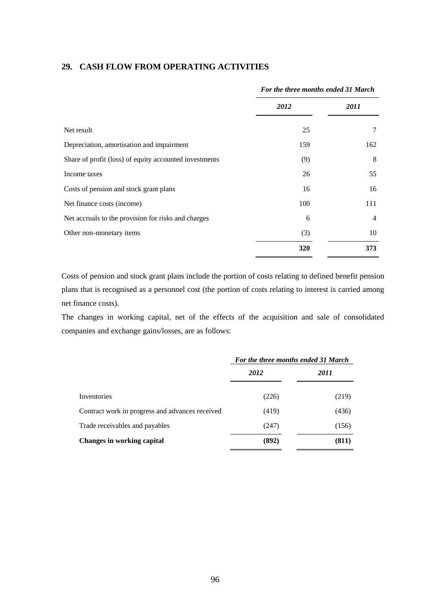### **29. CASH FLOW FROM OPERATING ACTIVITIES**

|                                                        | For the three months ended 31 March |                |
|--------------------------------------------------------|-------------------------------------|----------------|
|                                                        | 2012                                | 2011           |
| Net result                                             | 25                                  |                |
| Depreciation, amortisation and impairment              | 159                                 | 162            |
| Share of profit (loss) of equity accounted investments | (9)                                 | 8              |
| Income taxes                                           | 26                                  | 55             |
| Costs of pension and stock grant plans                 | 16                                  | 16             |
| Net finance costs (income)                             | 100                                 | 111            |
| Net accruals to the provision for risks and charges    | 6                                   | $\overline{4}$ |
| Other non-monetary items                               | (3)                                 | 10             |
|                                                        | 320                                 | 373            |

Costs of pension and stock grant plans include the portion of costs relating to defined benefit pension plans that is recognised as a personnel cost (the portion of costs relating to interest is carried among net finance costs).

The changes in working capital, net of the effects of the acquisition and sale of consolidated companies and exchange gains/losses, are as follows:

|                                                 | For the three months ended 31 March |             |
|-------------------------------------------------|-------------------------------------|-------------|
|                                                 | 2012                                | <i>2011</i> |
| Inventories                                     | (226)                               | (219)       |
| Contract work in progress and advances received | (419)                               | (436)       |
| Trade receivables and payables                  | (247)                               | (156)       |
| <b>Changes in working capital</b>               | (892)                               | (811)       |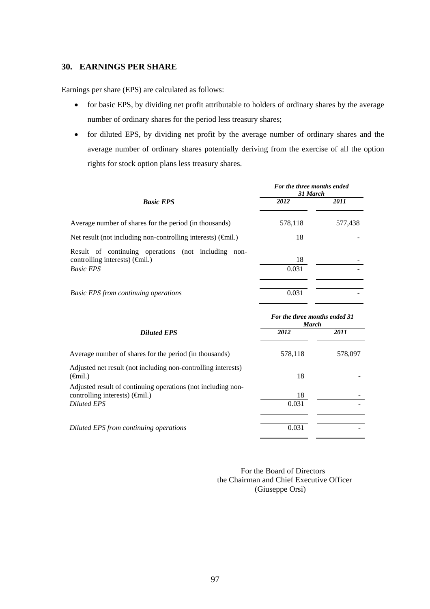### **30. EARNINGS PER SHARE**

Earnings per share (EPS) are calculated as follows:

- for basic EPS, by dividing net profit attributable to holders of ordinary shares by the average number of ordinary shares for the period less treasury shares;
- for diluted EPS, by dividing net profit by the average number of ordinary shares and the average number of ordinary shares potentially deriving from the exercise of all the option rights for stock option plans less treasury shares.

|                                                                                                                            | For the three months ended<br>31 March |         |
|----------------------------------------------------------------------------------------------------------------------------|----------------------------------------|---------|
| <b>Basic EPS</b>                                                                                                           | 2012                                   | 2011    |
| Average number of shares for the period (in thousands)                                                                     | 578,118                                | 577,438 |
| Net result (not including non-controlling interests) $(\widehat{\mathsf{f}}\mathsf{snil.})$                                | 18                                     |         |
| Result of continuing operations (not including<br>non-<br>controlling interests) $(\hat{\theta}$ mil.)<br><b>Basic EPS</b> | 18<br>0.031                            |         |
| <b>Basic EPS from continuing operations</b>                                                                                | 0.031                                  |         |

|                                                                                                                      | For the three months ended 31<br><b>March</b> |         |
|----------------------------------------------------------------------------------------------------------------------|-----------------------------------------------|---------|
| <b>Diluted EPS</b>                                                                                                   | 2012                                          | 2011    |
| Average number of shares for the period (in thousands)                                                               | 578,118                                       | 578,097 |
| Adjusted net result (not including non-controlling interests)<br>$(\epsilon \hat{m}$ il.)                            | 18                                            |         |
| Adjusted result of continuing operations (not including non-<br>controlling interests) $(\widehat{\mathsf{f}}$ mil.) | 18                                            |         |
| <b>Diluted EPS</b>                                                                                                   | 0.031                                         |         |
| Diluted EPS from continuing operations                                                                               | 0.031                                         |         |

 For the Board of Directors the Chairman and Chief Executive Officer (Giuseppe Orsi)